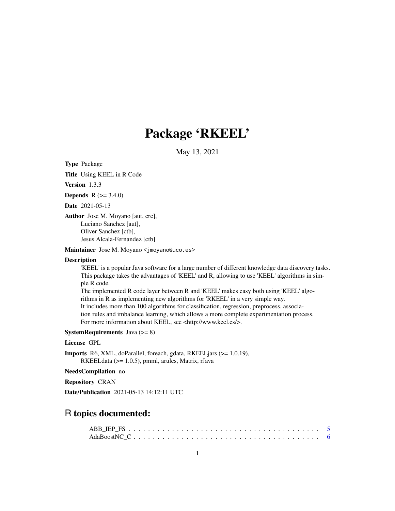# Package 'RKEEL'

May 13, 2021

Type Package

Title Using KEEL in R Code

Version 1.3.3

**Depends** R  $(>= 3.4.0)$ 

Date 2021-05-13

Author Jose M. Moyano [aut, cre], Luciano Sanchez [aut], Oliver Sanchez [ctb], Jesus Alcala-Fernandez [ctb]

Maintainer Jose M. Moyano <jmoyano@uco.es>

#### **Description**

'KEEL' is a popular Java software for a large number of different knowledge data discovery tasks. This package takes the advantages of 'KEEL' and R, allowing to use 'KEEL' algorithms in simple R code.

The implemented R code layer between R and 'KEEL' makes easy both using 'KEEL' algorithms in R as implementing new algorithms for 'RKEEL' in a very simple way. It includes more than 100 algorithms for classification, regression, preprocess, association rules and imbalance learning, which allows a more complete experimentation process. For more information about KEEL, see <http://www.keel.es/>.

**SystemRequirements** Java  $(>= 8)$ 

License GPL

Imports R6, XML, doParallel, foreach, gdata, RKEELjars (>= 1.0.19), RKEELdata (>= 1.0.5), pmml, arules, Matrix, rJava

NeedsCompilation no

Repository CRAN

Date/Publication 2021-05-13 14:12:11 UTC

# R topics documented: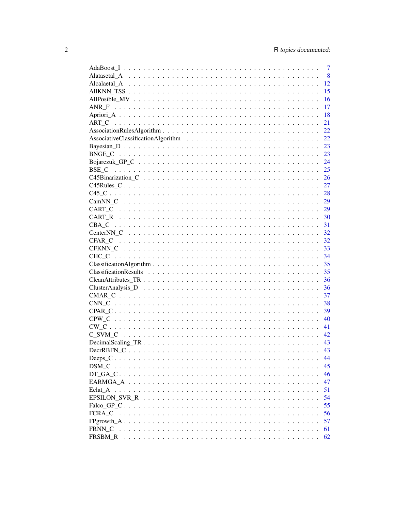|        | $\overline{7}$ |
|--------|----------------|
|        | 8              |
|        | 12             |
|        | 15             |
|        | 16             |
|        | 17             |
|        | 18             |
|        | 21             |
|        | 22             |
|        |                |
|        |                |
|        |                |
|        |                |
|        | 25             |
|        |                |
|        |                |
|        |                |
|        |                |
|        |                |
|        |                |
|        |                |
|        |                |
|        |                |
|        |                |
|        |                |
|        |                |
|        |                |
|        |                |
|        | 36             |
|        | 37             |
|        | 38             |
|        |                |
|        |                |
|        | 41             |
|        |                |
|        |                |
|        | 43             |
|        |                |
|        | 44<br>45       |
| DSM C  |                |
|        | 46             |
|        | 47             |
|        | 51             |
|        | 54             |
|        | 55             |
| FCRA C | 56             |
|        | 57             |
| FRNN C | 61             |
|        | 62             |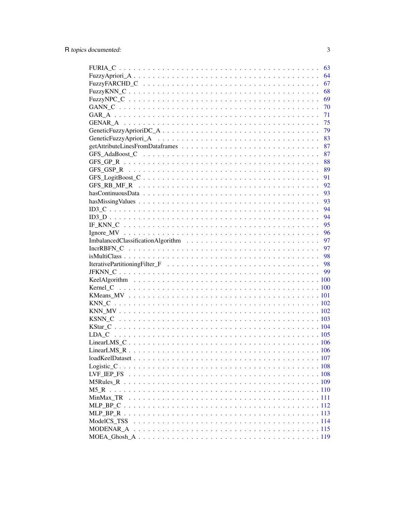|            | 63  |
|------------|-----|
|            | 64  |
|            | 67  |
|            | 68  |
|            | 69  |
|            | 70  |
|            | 71  |
|            | 75  |
|            | -79 |
|            | 83  |
|            | 87  |
|            | 87  |
|            | 88  |
|            | 89  |
|            | 91  |
|            | 92  |
|            | 93  |
|            | 93  |
|            | 94  |
|            | 94  |
|            | 95  |
|            | 96  |
|            | 97  |
|            | 97  |
|            |     |
|            | 98  |
|            |     |
|            |     |
|            |     |
|            |     |
|            |     |
|            |     |
|            |     |
|            |     |
|            |     |
| LDA C      |     |
|            |     |
|            |     |
|            |     |
|            |     |
| LVF IEP FS |     |
|            |     |
|            |     |
|            |     |
|            |     |
|            |     |
|            |     |
|            |     |
|            |     |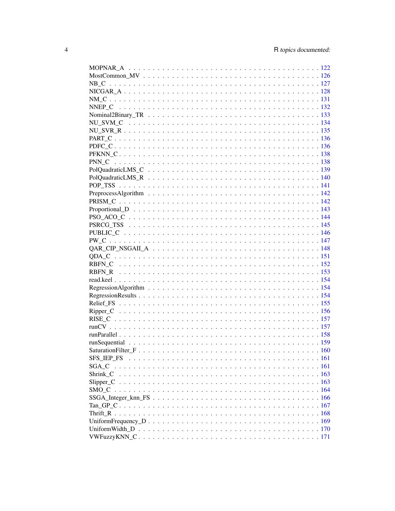| SGA_C    |  |
|----------|--|
| Shrink C |  |
|          |  |
|          |  |
|          |  |
|          |  |
|          |  |
|          |  |
|          |  |
|          |  |
|          |  |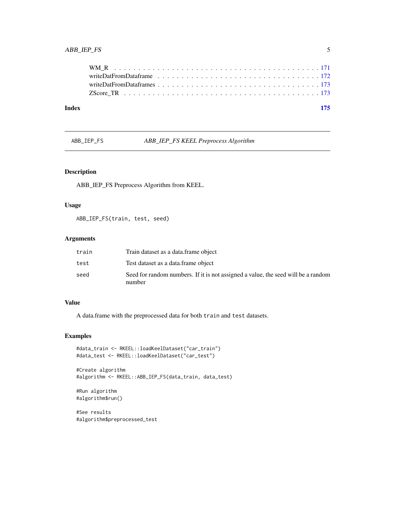# <span id="page-4-0"></span>ABB\_IEP\_FS 5

# **Index** the contract of the contract of the contract of the contract of the contract of the contract of the contract of the contract of the contract of the contract of the contract of the contract of the contract of the co

# ABB\_IEP\_FS *ABB\_IEP\_FS KEEL Preprocess Algorithm*

# Description

ABB\_IEP\_FS Preprocess Algorithm from KEEL.

# Usage

ABB\_IEP\_FS(train, test, seed)

# Arguments

| train | Train dataset as a data.frame object                                                        |
|-------|---------------------------------------------------------------------------------------------|
| test  | Test dataset as a data.frame object                                                         |
| seed  | Seed for random numbers. If it is not assigned a value, the seed will be a random<br>number |

# Value

A data.frame with the preprocessed data for both train and test datasets.

# Examples

```
#data_train <- RKEEL::loadKeelDataset("car_train")
#data_test <- RKEEL::loadKeelDataset("car_test")
```

```
#Create algorithm
#algorithm <- RKEEL::ABB_IEP_FS(data_train, data_test)
```

```
#Run algorithm
#algorithm$run()
```
#See results #algorithm\$preprocessed\_test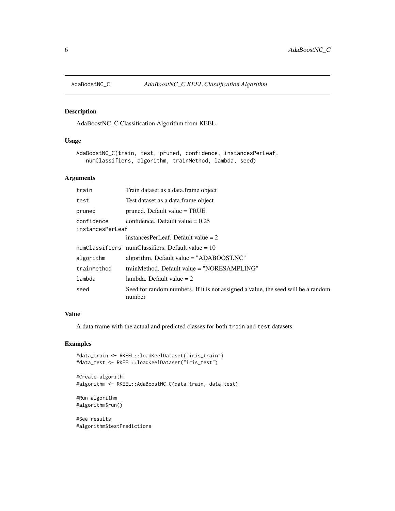<span id="page-5-0"></span>

AdaBoostNC\_C Classification Algorithm from KEEL.

#### Usage

```
AdaBoostNC_C(train, test, pruned, confidence, instancesPerLeaf,
   numClassifiers, algorithm, trainMethod, lambda, seed)
```
### Arguments

| train            | Train dataset as a data. frame object                                                       |  |  |  |
|------------------|---------------------------------------------------------------------------------------------|--|--|--|
| test             | Test dataset as a data frame object                                                         |  |  |  |
| pruned           | pruned. Default value = TRUE                                                                |  |  |  |
| confidence       | confidence. Default value $= 0.25$                                                          |  |  |  |
| instancesPerLeaf |                                                                                             |  |  |  |
|                  | instances PerLeaf. Default value $= 2$                                                      |  |  |  |
|                  | numClassifiers numClassifiers. Default value = $10$                                         |  |  |  |
| algorithm        | algorithm. Default value $=$ "ADABOOST.NC"                                                  |  |  |  |
| trainMethod      | $trainMethod. Default value = "NORESAMPLING"$                                               |  |  |  |
| lambda           | lambda. Default value $= 2$                                                                 |  |  |  |
| seed             | Seed for random numbers. If it is not assigned a value, the seed will be a random<br>number |  |  |  |

## Value

A data.frame with the actual and predicted classes for both train and test datasets.

# Examples

```
#data_train <- RKEEL::loadKeelDataset("iris_train")
#data_test <- RKEEL::loadKeelDataset("iris_test")
```

```
#Create algorithm
#algorithm <- RKEEL::AdaBoostNC_C(data_train, data_test)
```

```
#Run algorithm
#algorithm$run()
```
#See results #algorithm\$testPredictions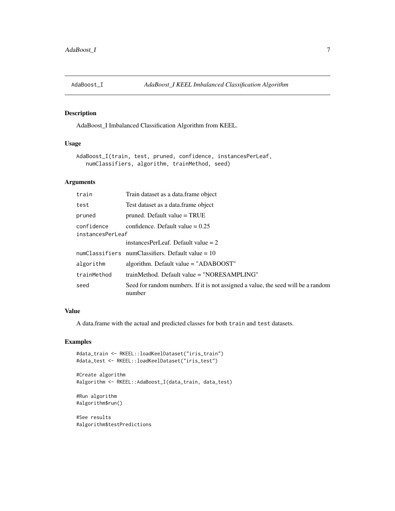<span id="page-6-0"></span>

AdaBoost\_I Imbalanced Classification Algorithm from KEEL.

# Usage

```
AdaBoost_I(train, test, pruned, confidence, instancesPerLeaf,
  numClassifiers, algorithm, trainMethod, seed)
```
# Arguments

| train            | Train dataset as a data.frame object                                                        |  |  |  |
|------------------|---------------------------------------------------------------------------------------------|--|--|--|
| test             | Test dataset as a data frame object                                                         |  |  |  |
| pruned           | pruned. Default value = TRUE                                                                |  |  |  |
| confidence       | confidence. Default value $= 0.25$                                                          |  |  |  |
| instancesPerLeaf |                                                                                             |  |  |  |
|                  | instances PerLeaf. Default value $= 2$                                                      |  |  |  |
|                  | numClassifiers numClassifiers. Default value = $10$                                         |  |  |  |
| algorithm        | algorithm. Default value $=$ "ADABOOST"                                                     |  |  |  |
| trainMethod      | trainMethod. Default value = "NORESAMPLING"                                                 |  |  |  |
| seed             | Seed for random numbers. If it is not assigned a value, the seed will be a random<br>number |  |  |  |

# Value

A data.frame with the actual and predicted classes for both train and test datasets.

#### Examples

```
#data_train <- RKEEL::loadKeelDataset("iris_train")
#data_test <- RKEEL::loadKeelDataset("iris_test")
```

```
#Create algorithm
#algorithm <- RKEEL::AdaBoost_I(data_train, data_test)
```
#Run algorithm #algorithm\$run()

#See results #algorithm\$testPredictions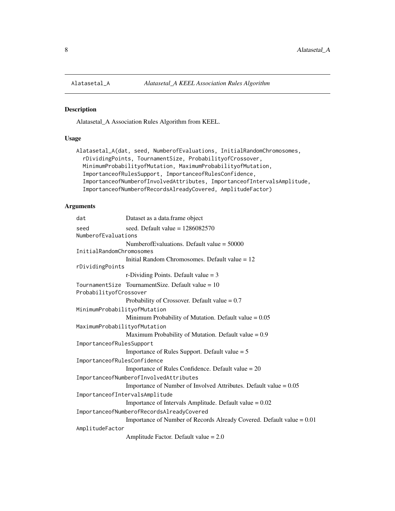<span id="page-7-0"></span>

Alatasetal\_A Association Rules Algorithm from KEEL.

# Usage

```
Alatasetal_A(dat, seed, NumberofEvaluations, InitialRandomChromosomes,
  rDividingPoints, TournamentSize, ProbabilityofCrossover,
 MinimumProbabilityofMutation, MaximumProbabilityofMutation,
  ImportanceofRulesSupport, ImportanceofRulesConfidence,
  ImportanceofNumberofInvolvedAttributes, ImportanceofIntervalsAmplitude,
  ImportanceofNumberofRecordsAlreadyCovered, AmplitudeFactor)
```
# Arguments

| dat                          | Dataset as a data.frame object                                        |
|------------------------------|-----------------------------------------------------------------------|
| seed                         | seed. Default value = $1286082570$                                    |
| NumberofEvaluations          |                                                                       |
|                              | Numberof Evaluations. Default value $=$ 50000                         |
| InitialRandomChromosomes     |                                                                       |
|                              | Initial Random Chromosomes. Default value $= 12$                      |
| rDividingPoints              |                                                                       |
|                              | r-Dividing Points. Default value $= 3$                                |
|                              | TournamentSize TournamentSize. Default value = 10                     |
| ProbabilityofCrossover       |                                                                       |
|                              | Probability of Crossover. Default value $= 0.7$                       |
| MinimumProbabilityofMutation |                                                                       |
|                              | Minimum Probability of Mutation. Default value $= 0.05$               |
| MaximumProbabilityofMutation |                                                                       |
|                              | Maximum Probability of Mutation. Default value $= 0.9$                |
| ImportanceofRulesSupport     |                                                                       |
|                              | Importance of Rules Support. Default value $= 5$                      |
| ImportanceofRulesConfidence  |                                                                       |
|                              | Importance of Rules Confidence. Default value $= 20$                  |
|                              | ImportanceofNumberofInvolvedAttributes                                |
|                              | Importance of Number of Involved Attributes. Default value $= 0.05$   |
|                              | ImportanceofIntervalsAmplitude                                        |
|                              | Importance of Intervals Amplitude. Default value $= 0.02$             |
|                              | ImportanceofNumberofRecordsAlreadyCovered                             |
|                              | Importance of Number of Records Already Covered. Default value = 0.01 |
| AmplitudeFactor              |                                                                       |
|                              | Amplitude Factor. Default value $= 2.0$                               |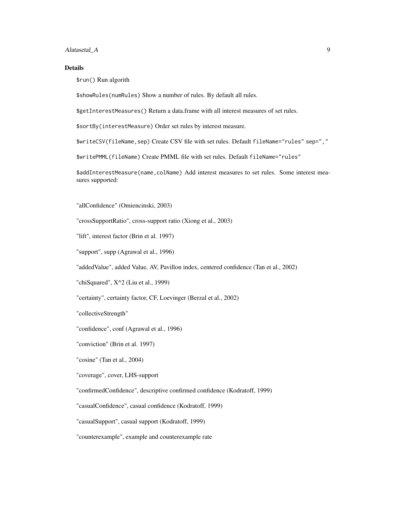Alatasetal\_A 9

#### Details

\$run() Run algorith

\$showRules(numRules) Show a number of rules. By default all rules.

\$getInterestMeasures() Return a data.frame with all interest measures of set rules.

\$sortBy(interestMeasure) Order set rules by interest measure.

\$writeCSV(fileName,sep) Create CSV file with set rules. Default fileName="rules" sep=","

\$writePMML(fileName) Create PMML file with set rules. Default fileName="rules"

\$addInterestMeasure(name,colName) Add interest measures to set rules. Some interest measures supported:

"allConfidence" (Omiencinski, 2003)

"crossSupportRatio", cross-support ratio (Xiong et al., 2003)

"lift", interest factor (Brin et al. 1997)

"support", supp (Agrawal et al., 1996)

"addedValue", added Value, AV, Pavillon index, centered confidence (Tan et al., 2002)

"chiSquared",  $X^2$  (Liu et al., 1999)

"certainty", certainty factor, CF, Loevinger (Berzal et al., 2002)

"collectiveStrength"

"confidence", conf (Agrawal et al., 1996)

"conviction" (Brin et al. 1997)

"cosine" (Tan et al., 2004)

"coverage", cover, LHS-support

"confirmedConfidence", descriptive confirmed confidence (Kodratoff, 1999)

"casualConfidence", casual confidence (Kodratoff, 1999)

"casualSupport", casual support (Kodratoff, 1999)

"counterexample", example and counterexample rate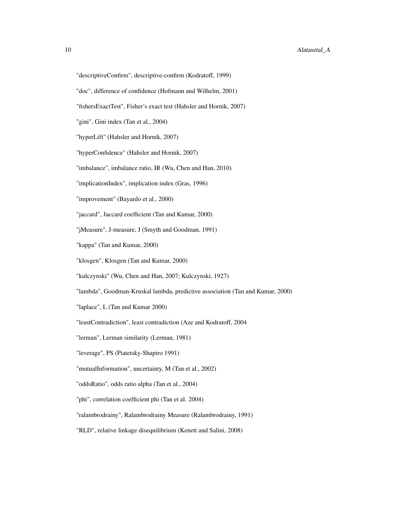- "descriptiveConfirm", descriptive-confirm (Kodratoff, 1999)
- "doc", difference of confidence (Hofmann and Wilhelm, 2001)
- "fishersExactTest", Fisher's exact test (Hahsler and Hornik, 2007)
- "gini", Gini index (Tan et al., 2004)
- "hyperLift" (Hahsler and Hornik, 2007)
- "hyperConfidence" (Hahsler and Hornik, 2007)
- "imbalance", imbalance ratio, IR (Wu, Chen and Han, 2010)
- "implicationIndex", implication index (Gras, 1996)
- "improvement" (Bayardo et al., 2000)
- "jaccard", Jaccard coefficient (Tan and Kumar, 2000)
- "jMeasure", J-measure, J (Smyth and Goodman, 1991)
- "kappa" (Tan and Kumar, 2000)
- "klosgen", Klosgen (Tan and Kumar, 2000)
- "kulczynski" (Wu, Chen and Han, 2007; Kulczynski, 1927)
- "lambda", Goodman-Kruskal lambda, predictive association (Tan and Kumar, 2000)
- "laplace", L (Tan and Kumar 2000)
- "leastContradiction", least contradiction (Aze and Kodratoff, 2004
- "lerman", Lerman similarity (Lerman, 1981)
- "leverage", PS (Piatetsky-Shapiro 1991)
- "mutualInformation", uncertainty, M (Tan et al., 2002)
- "oddsRatio", odds ratio alpha (Tan et al., 2004)
- "phi", correlation coefficient phi (Tan et al. 2004)
- "ralambrodrainy", Ralambrodrainy Measure (Ralambrodrainy, 1991)
- "RLD", relative linkage disequilibrium (Kenett and Salini, 2008)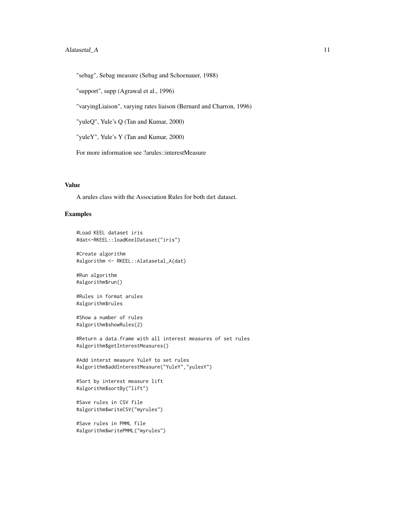# Alatasetal\_A 11

"sebag", Sebag measure (Sebag and Schoenauer, 1988)

"support", supp (Agrawal et al., 1996)

"varyingLiaison", varying rates liaison (Bernard and Charron, 1996)

"yuleQ", Yule's Q (Tan and Kumar, 2000)

"yuleY", Yule's Y (Tan and Kumar, 2000)

For more information see ?arules::interestMeasure

# Value

A arules class with the Association Rules for both dat dataset.

#### Examples

```
#Load KEEL dataset iris
#dat<-RKEEL::loadKeelDataset("iris")
```
#Create algorithm #algorithm <- RKEEL::Alatasetal\_A(dat)

```
#Run algorithm
#algorithm$run()
```

```
#Rules in format arules
#algorithm$rules
```

```
#Show a number of rules
#algorithm$showRules(2)
```

```
#Return a data.frame with all interest measures of set rules
#algorithm$getInterestMeasures()
```

```
#Add interst measure YuleY to set rules
#algorithm$addInterestMeasure("YuleY","yulesY")
```

```
#Sort by interest measure lift
#algorithm$sortBy("lift")
```
#Save rules in CSV file #algorithm\$writeCSV("myrules")

```
#Save rules in PMML file
#algorithm$writePMML("myrules")
```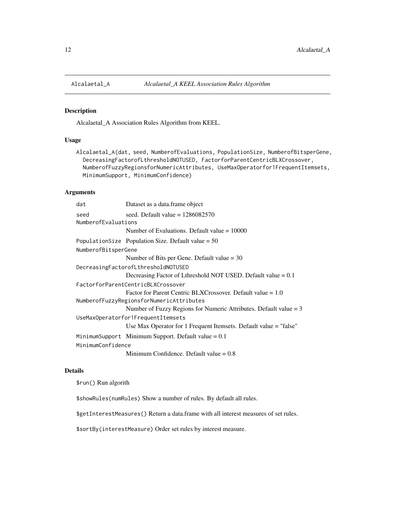<span id="page-11-0"></span>

Alcalaetal\_A Association Rules Algorithm from KEEL.

#### Usage

Alcalaetal\_A(dat, seed, NumberofEvaluations, PopulationSize, NumberofBitsperGene, DecreasingFactorofLthresholdNOTUSED, FactorforParentCentricBLXCrossover, NumberofFuzzyRegionsforNumericAttributes, UseMaxOperatorfor1FrequentItemsets, MinimumSupport, MinimumConfidence)

# Arguments

| dat                         | Dataset as a data.frame object                                      |
|-----------------------------|---------------------------------------------------------------------|
| seed<br>NumberofEvaluations | seed. Default value = $1286082570$                                  |
|                             | Number of Evaluations. Default value $= 10000$                      |
|                             | PopulationSize Population Size. Default value = $50$                |
| NumberofBitsperGene         |                                                                     |
|                             | Number of Bits per Gene. Default value $=$ 30                       |
|                             | DecreasingFactorofLthresholdNOTUSED                                 |
|                             | Decreasing Factor of Lthreshold NOT USED. Default value $= 0.1$     |
|                             | FactorforParentCentricBLXCrossover                                  |
|                             | Factor for Parent Centric BLXCrossover. Default value $= 1.0$       |
|                             | NumberofFuzzyRegionsforNumericAttributes                            |
|                             | Number of Fuzzy Regions for Numeric Attributes. Default value $= 3$ |
|                             | UseMaxOperatorfor1FrequentItemsets                                  |
|                             | Use Max Operator for 1 Frequent Itemsets. Default value = "false"   |
|                             | MinimumSupport Minimum Support. Default value $= 0.1$               |
| MinimumConfidence           |                                                                     |
|                             | Minimum Confidence. Default value $= 0.8$                           |

#### Details

\$run() Run algorith

\$showRules(numRules) Show a number of rules. By default all rules.

\$getInterestMeasures() Return a data.frame with all interest measures of set rules.

\$sortBy(interestMeasure) Order set rules by interest measure.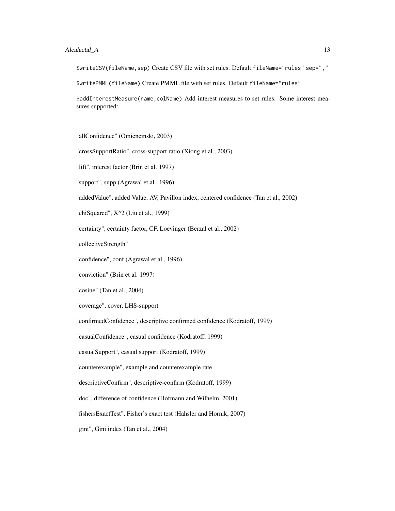## Alcalaetal A 13

\$writeCSV(fileName,sep) Create CSV file with set rules. Default fileName="rules" sep=","

\$writePMML(fileName) Create PMML file with set rules. Default fileName="rules"

\$addInterestMeasure(name,colName) Add interest measures to set rules. Some interest measures supported:

"allConfidence" (Omiencinski, 2003)

"crossSupportRatio", cross-support ratio (Xiong et al., 2003)

"lift", interest factor (Brin et al. 1997)

"support", supp (Agrawal et al., 1996)

"addedValue", added Value, AV, Pavillon index, centered confidence (Tan et al., 2002)

"chiSquared", X^2 (Liu et al., 1999)

"certainty", certainty factor, CF, Loevinger (Berzal et al., 2002)

"collectiveStrength"

"confidence", conf (Agrawal et al., 1996)

"conviction" (Brin et al. 1997)

"cosine" (Tan et al., 2004)

"coverage", cover, LHS-support

"confirmedConfidence", descriptive confirmed confidence (Kodratoff, 1999)

"casualConfidence", casual confidence (Kodratoff, 1999)

"casualSupport", casual support (Kodratoff, 1999)

"counterexample", example and counterexample rate

"descriptiveConfirm", descriptive-confirm (Kodratoff, 1999)

"doc", difference of confidence (Hofmann and Wilhelm, 2001)

"fishersExactTest", Fisher's exact test (Hahsler and Hornik, 2007)

"gini", Gini index (Tan et al., 2004)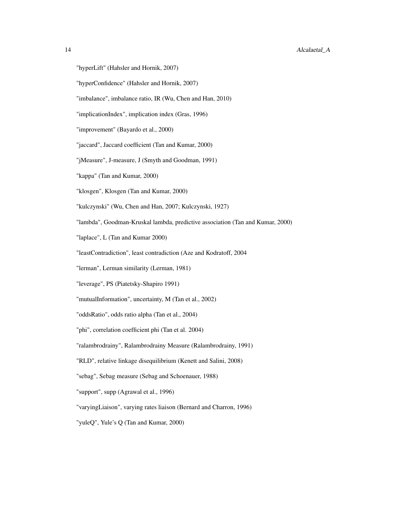- "hyperLift" (Hahsler and Hornik, 2007)
- "hyperConfidence" (Hahsler and Hornik, 2007)
- "imbalance", imbalance ratio, IR (Wu, Chen and Han, 2010)
- "implicationIndex", implication index (Gras, 1996)
- "improvement" (Bayardo et al., 2000)
- "jaccard", Jaccard coefficient (Tan and Kumar, 2000)
- "jMeasure", J-measure, J (Smyth and Goodman, 1991)
- "kappa" (Tan and Kumar, 2000)
- "klosgen", Klosgen (Tan and Kumar, 2000)
- "kulczynski" (Wu, Chen and Han, 2007; Kulczynski, 1927)
- "lambda", Goodman-Kruskal lambda, predictive association (Tan and Kumar, 2000)
- "laplace", L (Tan and Kumar 2000)
- "leastContradiction", least contradiction (Aze and Kodratoff, 2004
- "lerman", Lerman similarity (Lerman, 1981)
- "leverage", PS (Piatetsky-Shapiro 1991)
- "mutualInformation", uncertainty, M (Tan et al., 2002)
- "oddsRatio", odds ratio alpha (Tan et al., 2004)
- "phi", correlation coefficient phi (Tan et al. 2004)
- "ralambrodrainy", Ralambrodrainy Measure (Ralambrodrainy, 1991)
- "RLD", relative linkage disequilibrium (Kenett and Salini, 2008)
- "sebag", Sebag measure (Sebag and Schoenauer, 1988)
- "support", supp (Agrawal et al., 1996)
- "varyingLiaison", varying rates liaison (Bernard and Charron, 1996)
- "yuleQ", Yule's Q (Tan and Kumar, 2000)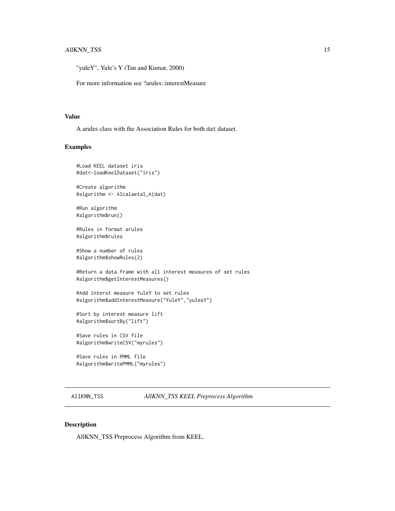<span id="page-14-0"></span>"yuleY", Yule's Y (Tan and Kumar, 2000)

For more information see ?arules::interestMeasure

#### Value

A arules class with the Association Rules for both dat dataset.

# Examples

```
#Load KEEL dataset iris
#dat<-loadKeelDataset("iris")
#Create algorithm
#algorithm <- Alcalaetal_A(dat)
#Run algorithm
#algorithm$run()
#Rules in format arules
#algorithm$rules
#Show a number of rules
#algorithm$showRules(2)
#Return a data.frame with all interest measures of set rules
#algorithm$getInterestMeasures()
#Add interst measure YuleY to set rules
#algorithm$addInterestMeasure("YuleY","yulesY")
#Sort by interest measure lift
#algorithm$sortBy("lift")
#Save rules in CSV file
#algorithm$writeCSV("myrules")
```
#Save rules in PMML file #algorithm\$writePMML("myrules")

AllKNN\_TSS *AllKNN\_TSS KEEL Preprocess Algorithm*

# Description

AllKNN\_TSS Preprocess Algorithm from KEEL.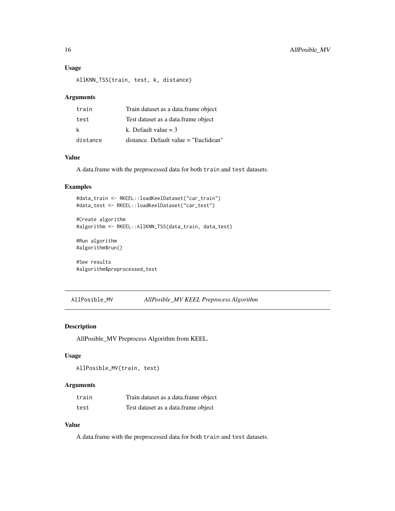# <span id="page-15-0"></span>Usage

AllKNN\_TSS(train, test, k, distance)

#### Arguments

| train    | Train dataset as a data. frame object |
|----------|---------------------------------------|
| test     | Test dataset as a data.frame object   |
| k        | k. Default value $=$ 3                |
| distance | distance. Default value = "Euclidean" |

# Value

A data.frame with the preprocessed data for both train and test datasets.

#### Examples

```
#data_train <- RKEEL::loadKeelDataset("car_train")
#data_test <- RKEEL::loadKeelDataset("car_test")
```

```
#Create algorithm
#algorithm <- RKEEL::AllKNN_TSS(data_train, data_test)
```

```
#Run algorithm
#algorithm$run()
```
#See results #algorithm\$preprocessed\_test

AllPosible\_MV *AllPosible\_MV KEEL Preprocess Algorithm*

# Description

AllPosible\_MV Preprocess Algorithm from KEEL.

#### Usage

```
AllPosible_MV(train, test)
```
#### Arguments

| train | Train dataset as a data.frame object |
|-------|--------------------------------------|
| test  | Test dataset as a data.frame object  |

# Value

A data.frame with the preprocessed data for both train and test datasets.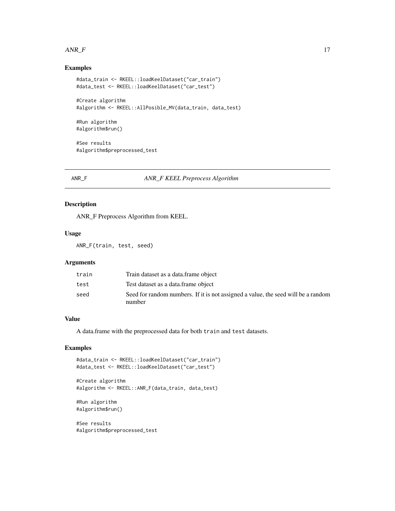#### <span id="page-16-0"></span> $\triangle R$ NR\_F 17

# Examples

```
#data_train <- RKEEL::loadKeelDataset("car_train")
#data_test <- RKEEL::loadKeelDataset("car_test")
#Create algorithm
```

```
#algorithm <- RKEEL::AllPosible_MV(data_train, data_test)
```
#Run algorithm #algorithm\$run()

#See results #algorithm\$preprocessed\_test

# ANR\_F *ANR\_F KEEL Preprocess Algorithm*

# Description

ANR\_F Preprocess Algorithm from KEEL.

# Usage

ANR\_F(train, test, seed)

# Arguments

| train | Train dataset as a data.frame object                                                        |
|-------|---------------------------------------------------------------------------------------------|
| test  | Test dataset as a data.frame object                                                         |
| seed  | Seed for random numbers. If it is not assigned a value, the seed will be a random<br>number |

# Value

A data.frame with the preprocessed data for both train and test datasets.

# Examples

```
#data_train <- RKEEL::loadKeelDataset("car_train")
#data_test <- RKEEL::loadKeelDataset("car_test")
```

```
#Create algorithm
#algorithm <- RKEEL::ANR_F(data_train, data_test)
```

```
#Run algorithm
#algorithm$run()
```
#See results #algorithm\$preprocessed\_test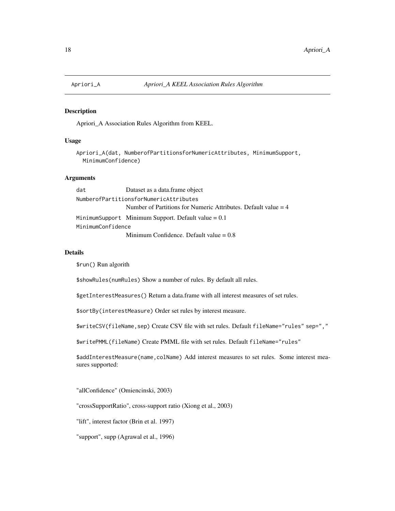<span id="page-17-0"></span>

Apriori\_A Association Rules Algorithm from KEEL.

#### Usage

```
Apriori_A(dat, NumberofPartitionsforNumericAttributes, MinimumSupport,
 MinimumConfidence)
```
# Arguments

| dat                                    | Dataset as a data.frame object                                   |  |
|----------------------------------------|------------------------------------------------------------------|--|
| NumberofPartitionsforNumericAttributes |                                                                  |  |
|                                        | Number of Partitions for Numeric Attributes. Default value $=$ 4 |  |
|                                        | MinimumSupport Minimum Support. Default value $= 0.1$            |  |
| MinimumConfidence                      |                                                                  |  |
|                                        | Minimum Confidence. Default value $= 0.8$                        |  |

#### Details

\$run() Run algorith

\$showRules(numRules) Show a number of rules. By default all rules.

\$getInterestMeasures() Return a data.frame with all interest measures of set rules.

\$sortBy(interestMeasure) Order set rules by interest measure.

\$writeCSV(fileName,sep) Create CSV file with set rules. Default fileName="rules" sep=","

\$writePMML(fileName) Create PMML file with set rules. Default fileName="rules"

\$addInterestMeasure(name,colName) Add interest measures to set rules. Some interest measures supported:

"allConfidence" (Omiencinski, 2003)

"crossSupportRatio", cross-support ratio (Xiong et al., 2003)

"lift", interest factor (Brin et al. 1997)

"support", supp (Agrawal et al., 1996)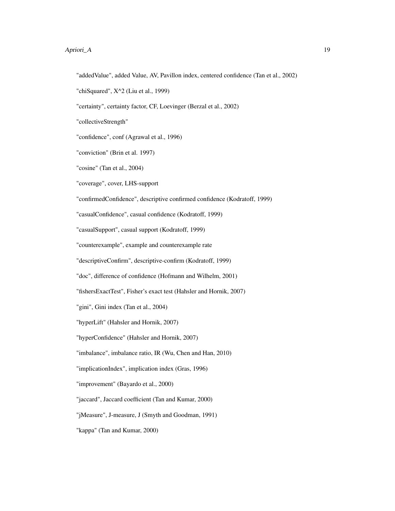#### Apriori\_A 19

"addedValue", added Value, AV, Pavillon index, centered confidence (Tan et al., 2002)

"chiSquared",  $X^2$  (Liu et al., 1999)

"certainty", certainty factor, CF, Loevinger (Berzal et al., 2002)

"collectiveStrength"

"confidence", conf (Agrawal et al., 1996)

"conviction" (Brin et al. 1997)

"cosine" (Tan et al., 2004)

"coverage", cover, LHS-support

"confirmedConfidence", descriptive confirmed confidence (Kodratoff, 1999)

"casualConfidence", casual confidence (Kodratoff, 1999)

"casualSupport", casual support (Kodratoff, 1999)

"counterexample", example and counterexample rate

"descriptiveConfirm", descriptive-confirm (Kodratoff, 1999)

"doc", difference of confidence (Hofmann and Wilhelm, 2001)

"fishersExactTest", Fisher's exact test (Hahsler and Hornik, 2007)

"gini", Gini index (Tan et al., 2004)

"hyperLift" (Hahsler and Hornik, 2007)

"hyperConfidence" (Hahsler and Hornik, 2007)

"imbalance", imbalance ratio, IR (Wu, Chen and Han, 2010)

"implicationIndex", implication index (Gras, 1996)

"improvement" (Bayardo et al., 2000)

"jaccard", Jaccard coefficient (Tan and Kumar, 2000)

"jMeasure", J-measure, J (Smyth and Goodman, 1991)

"kappa" (Tan and Kumar, 2000)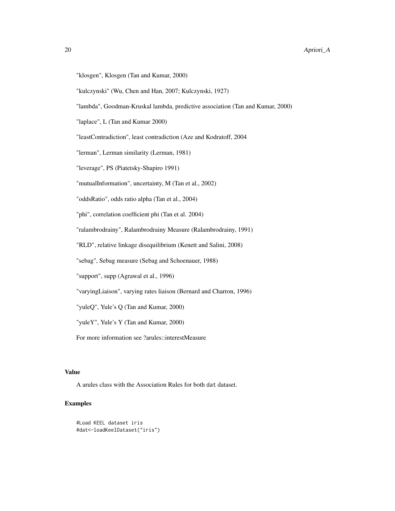# 20 Apriori\_A

- "klosgen", Klosgen (Tan and Kumar, 2000)
- "kulczynski" (Wu, Chen and Han, 2007; Kulczynski, 1927)

"lambda", Goodman-Kruskal lambda, predictive association (Tan and Kumar, 2000)

"laplace", L (Tan and Kumar 2000)

"leastContradiction", least contradiction (Aze and Kodratoff, 2004

"lerman", Lerman similarity (Lerman, 1981)

"leverage", PS (Piatetsky-Shapiro 1991)

"mutualInformation", uncertainty, M (Tan et al., 2002)

"oddsRatio", odds ratio alpha (Tan et al., 2004)

"phi", correlation coefficient phi (Tan et al. 2004)

"ralambrodrainy", Ralambrodrainy Measure (Ralambrodrainy, 1991)

"RLD", relative linkage disequilibrium (Kenett and Salini, 2008)

"sebag", Sebag measure (Sebag and Schoenauer, 1988)

"support", supp (Agrawal et al., 1996)

"varyingLiaison", varying rates liaison (Bernard and Charron, 1996)

"yuleQ", Yule's Q (Tan and Kumar, 2000)

"yuleY", Yule's Y (Tan and Kumar, 2000)

For more information see ?arules::interestMeasure

#### Value

A arules class with the Association Rules for both dat dataset.

# Examples

```
#Load KEEL dataset iris
#dat<-loadKeelDataset("iris")
```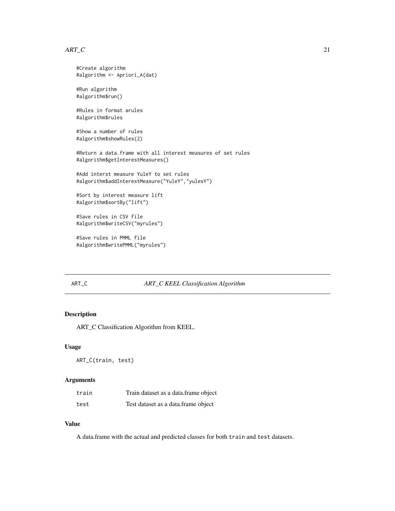#### <span id="page-20-0"></span> $ART\_C$  21

```
#Create algorithm
#algorithm <- Apriori_A(dat)
#Run algorithm
#algorithm$run()
#Rules in format arules
#algorithm$rules
#Show a number of rules
#algorithm$showRules(2)
#Return a data.frame with all interest measures of set rules
#algorithm$getInterestMeasures()
#Add interst measure YuleY to set rules
#algorithm$addInterestMeasure("YuleY","yulesY")
#Sort by interest measure lift
#algorithm$sortBy("lift")
#Save rules in CSV file
#algorithm$writeCSV("myrules")
```
#Save rules in PMML file #algorithm\$writePMML("myrules")

#### ART\_C *ART\_C KEEL Classification Algorithm*

# Description

ART\_C Classification Algorithm from KEEL.

# Usage

ART\_C(train, test)

# Arguments

| train | Train dataset as a data.frame object |
|-------|--------------------------------------|
| test  | Test dataset as a data.frame object  |

#### Value

A data.frame with the actual and predicted classes for both train and test datasets.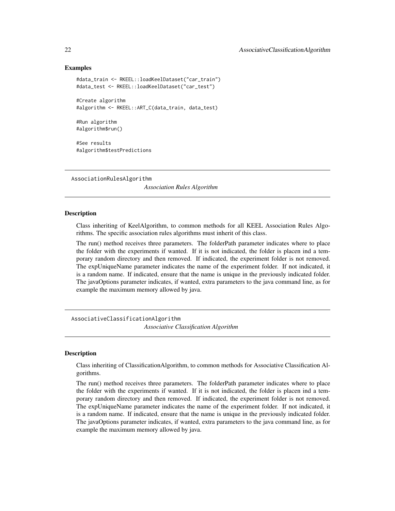#### Examples

```
#data_train <- RKEEL::loadKeelDataset("car_train")
#data_test <- RKEEL::loadKeelDataset("car_test")
#Create algorithm
#algorithm <- RKEEL::ART_C(data_train, data_test)
```
#Run algorithm #algorithm\$run()

#See results #algorithm\$testPredictions

AssociationRulesAlgorithm

*Association Rules Algorithm*

#### Description

Class inheriting of KeelAlgorithm, to common methods for all KEEL Association Rules Algorithms. The specific association rules algorithms must inherit of this class.

The run() method receives three parameters. The folderPath parameter indicates where to place the folder with the experiments if wanted. If it is not indicated, the folder is placen ind a temporary random directory and then removed. If indicated, the experiment folder is not removed. The expUniqueName parameter indicates the name of the experiment folder. If not indicated, it is a random name. If indicated, ensure that the name is unique in the previously indicated folder. The javaOptions parameter indicates, if wanted, extra parameters to the java command line, as for example the maximum memory allowed by java.

AssociativeClassificationAlgorithm *Associative Classification Algorithm*

#### Description

Class inheriting of ClassificationAlgorithm, to common methods for Associative Classification Algorithms.

The run() method receives three parameters. The folderPath parameter indicates where to place the folder with the experiments if wanted. If it is not indicated, the folder is placen ind a temporary random directory and then removed. If indicated, the experiment folder is not removed. The expUniqueName parameter indicates the name of the experiment folder. If not indicated, it is a random name. If indicated, ensure that the name is unique in the previously indicated folder. The javaOptions parameter indicates, if wanted, extra parameters to the java command line, as for example the maximum memory allowed by java.

<span id="page-21-0"></span>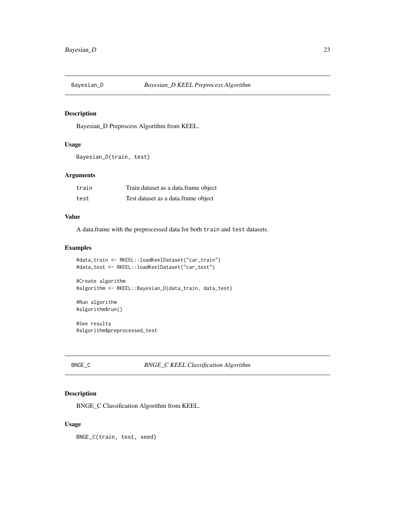<span id="page-22-0"></span>

Bayesian\_D Preprocess Algorithm from KEEL.

#### Usage

```
Bayesian_D(train, test)
```
#### Arguments

| train | Train dataset as a data.frame object |
|-------|--------------------------------------|
| test  | Test dataset as a data. frame object |

# Value

A data.frame with the preprocessed data for both train and test datasets.

#### Examples

```
#data_train <- RKEEL::loadKeelDataset("car_train")
#data_test <- RKEEL::loadKeelDataset("car_test")
```

```
#Create algorithm
#algorithm <- RKEEL::Bayesian_D(data_train, data_test)
```

```
#Run algorithm
#algorithm$run()
```
#See results #algorithm\$preprocessed\_test

#### BNGE\_C *BNGE\_C KEEL Classification Algorithm*

# Description

BNGE\_C Classification Algorithm from KEEL.

#### Usage

BNGE\_C(train, test, seed)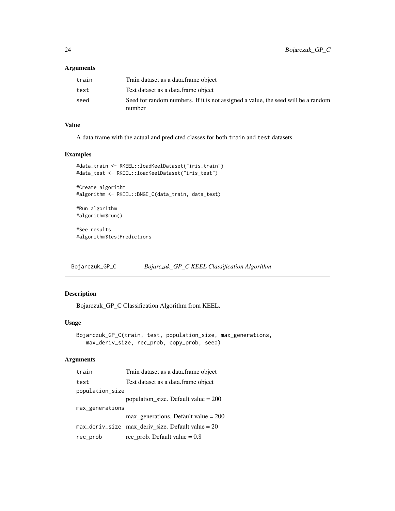#### <span id="page-23-0"></span>Arguments

| train | Train dataset as a data.frame object                                                        |
|-------|---------------------------------------------------------------------------------------------|
| test  | Test dataset as a data.frame object                                                         |
| seed  | Seed for random numbers. If it is not assigned a value, the seed will be a random<br>number |

# Value

A data.frame with the actual and predicted classes for both train and test datasets.

### Examples

```
#data_train <- RKEEL::loadKeelDataset("iris_train")
#data_test <- RKEEL::loadKeelDataset("iris_test")
#Create algorithm
#algorithm <- RKEEL::BNGE_C(data_train, data_test)
```

```
#Run algorithm
#algorithm$run()
```
#See results #algorithm\$testPredictions

Bojarczuk\_GP\_C *Bojarczuk\_GP\_C KEEL Classification Algorithm*

# Description

Bojarczuk\_GP\_C Classification Algorithm from KEEL.

# Usage

```
Bojarczuk_GP_C(train, test, population_size, max_generations,
   max_deriv_size, rec_prob, copy_prob, seed)
```
# Arguments

| train           | Train dataset as a data. frame object                         |
|-----------------|---------------------------------------------------------------|
| test            | Test dataset as a data. frame object                          |
| population_size |                                                               |
|                 | population_size. Default value = $200$                        |
| max_generations |                                                               |
|                 | $max$ generations. Default value = 200                        |
|                 | $max_{\text{}}$ deriv_size max deriv size. Default value = 20 |
| rec_prob        | rec_prob. Default value $= 0.8$                               |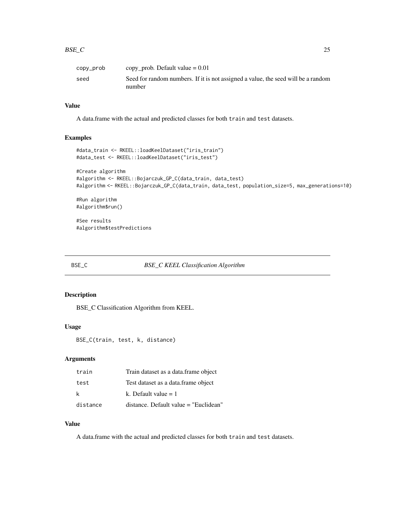<span id="page-24-0"></span>

| copy_prob | copy_prob. Default value $= 0.01$                                                           |
|-----------|---------------------------------------------------------------------------------------------|
| seed      | Seed for random numbers. If it is not assigned a value, the seed will be a random<br>number |

#### Value

A data.frame with the actual and predicted classes for both train and test datasets.

# Examples

```
#data_train <- RKEEL::loadKeelDataset("iris_train")
#data_test <- RKEEL::loadKeelDataset("iris_test")
#Create algorithm
#algorithm <- RKEEL::Bojarczuk_GP_C(data_train, data_test)
#algorithm <- RKEEL::Bojarczuk_GP_C(data_train, data_test, population_size=5, max_generations=10)
#Run algorithm
```
#See results

#algorithm\$run()

#algorithm\$testPredictions

#### BSE\_C *BSE\_C KEEL Classification Algorithm*

# Description

BSE\_C Classification Algorithm from KEEL.

#### Usage

BSE\_C(train, test, k, distance)

# Arguments

| train    | Train dataset as a data.frame object  |
|----------|---------------------------------------|
| test     | Test dataset as a data.frame object   |
| k        | k. Default value $= 1$                |
| distance | distance. Default value = "Euclidean" |

#### Value

A data.frame with the actual and predicted classes for both train and test datasets.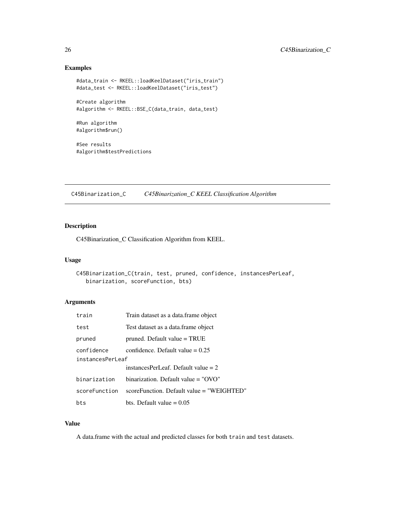# Examples

```
#data_train <- RKEEL::loadKeelDataset("iris_train")
#data_test <- RKEEL::loadKeelDataset("iris_test")
#Create algorithm
#algorithm <- RKEEL::BSE_C(data_train, data_test)
#Run algorithm
#algorithm$run()
#See results
#algorithm$testPredictions
```
C45Binarization\_C *C45Binarization\_C KEEL Classification Algorithm*

# Description

C45Binarization\_C Classification Algorithm from KEEL.

#### Usage

```
C45Binarization_C(train, test, pruned, confidence, instancesPerLeaf,
   binarization, scoreFunction, bts)
```
# Arguments

| train            | Train dataset as a data. frame object     |  |
|------------------|-------------------------------------------|--|
| test             | Test dataset as a data.frame object       |  |
| pruned           | pruned. Default value = TRUE              |  |
| confidence       | confidence. Default value $= 0.25$        |  |
| instancesPerleaf |                                           |  |
|                  | instances PerLeaf. Default value $= 2$    |  |
| binarization     | $binarization$ . Default value = "OVO"    |  |
| scoreFunction    | scoreFunction. Default value = "WEIGHTED" |  |
| bts              | bts. Default value $= 0.05$               |  |

#### Value

A data.frame with the actual and predicted classes for both train and test datasets.

<span id="page-25-0"></span>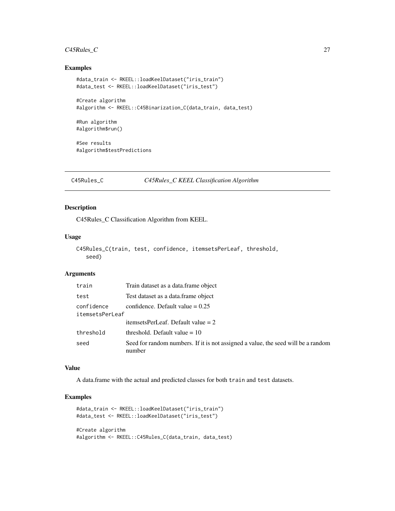# <span id="page-26-0"></span> $C45Rules_C$  27

#### Examples

```
#data_train <- RKEEL::loadKeelDataset("iris_train")
#data_test <- RKEEL::loadKeelDataset("iris_test")
#Create algorithm
#algorithm <- RKEEL::C45Binarization_C(data_train, data_test)
#Run algorithm
#algorithm$run()
#See results
#algorithm$testPredictions
```
#### C45Rules\_C *C45Rules\_C KEEL Classification Algorithm*

#### Description

C45Rules\_C Classification Algorithm from KEEL.

#### Usage

```
C45Rules_C(train, test, confidence, itemsetsPerLeaf, threshold,
   seed)
```
# Arguments

| train                         | Train dataset as a data. frame object                                                       |
|-------------------------------|---------------------------------------------------------------------------------------------|
| test                          | Test dataset as a data. frame object                                                        |
| confidence<br>itemsetsPerLeaf | confidence. Default value $= 0.25$                                                          |
|                               | itemsetsPerLeaf. Default value $= 2$                                                        |
| threshold                     | threshold. Default value $= 10$                                                             |
| seed                          | Seed for random numbers. If it is not assigned a value, the seed will be a random<br>number |

#### Value

A data.frame with the actual and predicted classes for both train and test datasets.

# Examples

#Create algorithm

```
#data_train <- RKEEL::loadKeelDataset("iris_train")
#data_test <- RKEEL::loadKeelDataset("iris_test")
```

```
#algorithm <- RKEEL::C45Rules_C(data_train, data_test)
```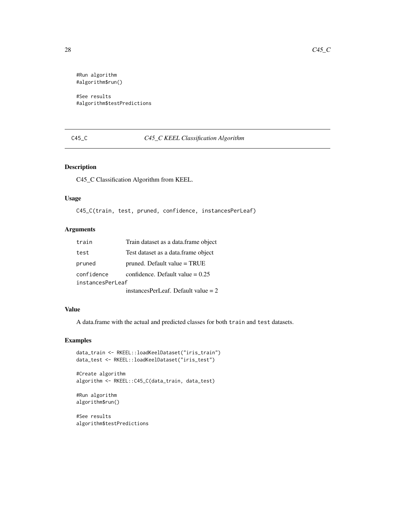```
#Run algorithm
#algorithm$run()
```
#See results #algorithm\$testPredictions

# C45\_C *C45\_C KEEL Classification Algorithm*

# Description

C45\_C Classification Algorithm from KEEL.

# Usage

C45\_C(train, test, pruned, confidence, instancesPerLeaf)

#### Arguments

| train            | Train dataset as a data. frame object  |  |
|------------------|----------------------------------------|--|
| test             | Test dataset as a data frame object    |  |
| pruned           | $pruned. Default value = TRUE$         |  |
| confidence       | confidence. Default value $= 0.25$     |  |
| instancesPerLeaf |                                        |  |
|                  | instances PerLeaf. Default value $= 2$ |  |

#### Value

A data.frame with the actual and predicted classes for both train and test datasets.

# Examples

```
data_train <- RKEEL::loadKeelDataset("iris_train")
data_test <- RKEEL::loadKeelDataset("iris_test")
```

```
#Create algorithm
algorithm <- RKEEL::C45_C(data_train, data_test)
```
#Run algorithm algorithm\$run()

#See results algorithm\$testPredictions

<span id="page-27-0"></span>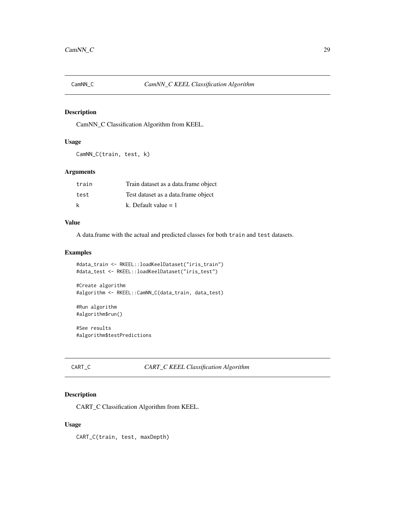<span id="page-28-0"></span>

CamNN\_C Classification Algorithm from KEEL.

# Usage

CamNN\_C(train, test, k)

# Arguments

| train | Train dataset as a data.frame object |
|-------|--------------------------------------|
| test  | Test dataset as a data.frame object  |
| k     | k. Default value $= 1$               |

#### Value

A data.frame with the actual and predicted classes for both train and test datasets.

#### Examples

```
#data_train <- RKEEL::loadKeelDataset("iris_train")
#data_test <- RKEEL::loadKeelDataset("iris_test")
```

```
#Create algorithm
#algorithm <- RKEEL::CamNN_C(data_train, data_test)
```

```
#Run algorithm
#algorithm$run()
```
#See results #algorithm\$testPredictions

CART\_C *CART\_C KEEL Classification Algorithm*

# Description

CART\_C Classification Algorithm from KEEL.

#### Usage

CART\_C(train, test, maxDepth)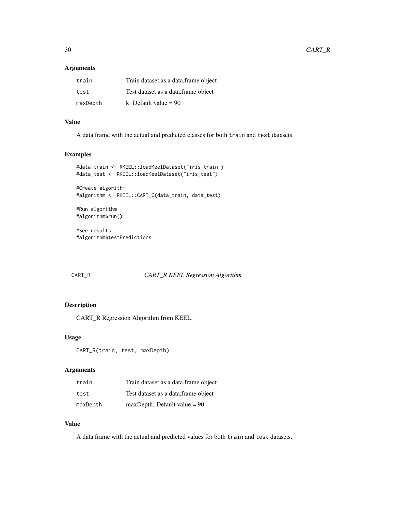#### <span id="page-29-0"></span>Arguments

| train    | Train dataset as a data.frame object |
|----------|--------------------------------------|
| test     | Test dataset as a data.frame object  |
| maxDepth | k. Default value $= 90$              |

# Value

A data.frame with the actual and predicted classes for both train and test datasets.

# Examples

```
#data_train <- RKEEL::loadKeelDataset("iris_train")
#data_test <- RKEEL::loadKeelDataset("iris_test")
#Create algorithm
#algorithm <- RKEEL::CART_C(data_train, data_test)
#Run algorithm
#algorithm$run()
```
#See results #algorithm\$testPredictions

#### CART\_R *CART\_R KEEL Regression Algorithm*

# Description

CART\_R Regression Algorithm from KEEL.

### Usage

CART\_R(train, test, maxDepth)

### Arguments

| train    | Train dataset as a data.frame object |
|----------|--------------------------------------|
| test     | Test dataset as a data. frame object |
| maxDepth | $maxDepth$ . Default value = 90      |

#### Value

A data.frame with the actual and predicted values for both train and test datasets.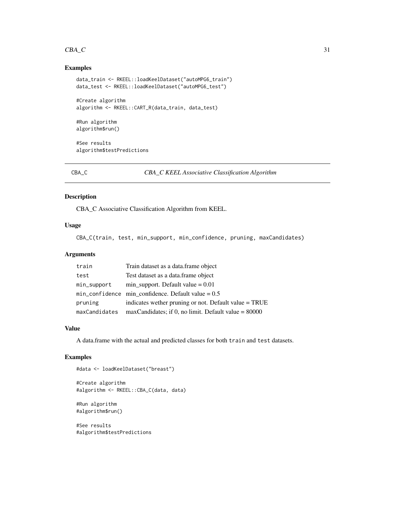#### <span id="page-30-0"></span> $CBA\_C$  31

# Examples

```
data_train <- RKEEL::loadKeelDataset("autoMPG6_train")
data_test <- RKEEL::loadKeelDataset("autoMPG6_test")
#Create algorithm
algorithm <- RKEEL::CART_R(data_train, data_test)
#Run algorithm
algorithm$run()
```
#See results algorithm\$testPredictions

CBA\_C *CBA\_C KEEL Associative Classification Algorithm*

# Description

CBA\_C Associative Classification Algorithm from KEEL.

### Usage

CBA\_C(train, test, min\_support, min\_confidence, pruning, maxCandidates)

#### Arguments

| train         | Train dataset as a data.frame object                           |
|---------------|----------------------------------------------------------------|
| test          | Test dataset as a data. frame object                           |
| min_support   | min_support. Default value $= 0.01$                            |
|               | $min_{\text{conf}}$ idence min confidence. Default value = 0.5 |
| pruning       | indicates wether pruning or not. Default value = TRUE          |
| maxCandidates | $maxC and iates$ ; if 0, no limit. Default value = 80000       |

#### Value

A data.frame with the actual and predicted classes for both train and test datasets.

# Examples

#data <- loadKeelDataset("breast")

#Create algorithm #algorithm <- RKEEL::CBA\_C(data, data)

```
#Run algorithm
#algorithm$run()
```
#See results #algorithm\$testPredictions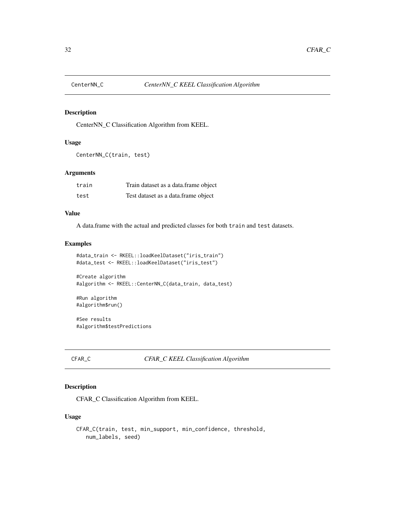<span id="page-31-0"></span>

CenterNN\_C Classification Algorithm from KEEL.

# Usage

```
CenterNN_C(train, test)
```
#### Arguments

| train | Train dataset as a data. frame object |
|-------|---------------------------------------|
| test  | Test dataset as a data. frame object  |

# Value

A data.frame with the actual and predicted classes for both train and test datasets.

#### Examples

```
#data_train <- RKEEL::loadKeelDataset("iris_train")
#data_test <- RKEEL::loadKeelDataset("iris_test")
```

```
#Create algorithm
#algorithm <- RKEEL::CenterNN_C(data_train, data_test)
```

```
#Run algorithm
#algorithm$run()
```
#See results #algorithm\$testPredictions

# Description

CFAR\_C Classification Algorithm from KEEL.

### Usage

```
CFAR_C(train, test, min_support, min_confidence, threshold,
   num_labels, seed)
```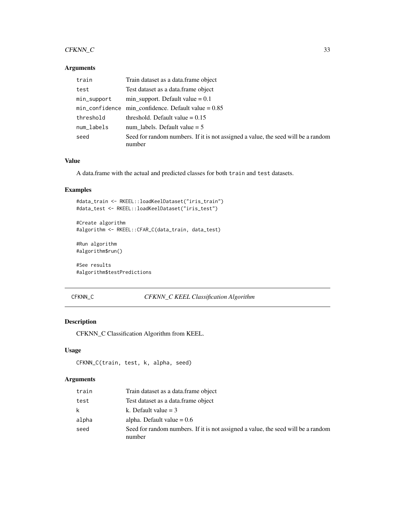# <span id="page-32-0"></span> $CFKNN\_C$  33

# Arguments

| train       | Train dataset as a data. frame object                                                       |
|-------------|---------------------------------------------------------------------------------------------|
| test        | Test dataset as a data. frame object                                                        |
| min_support | min_support. Default value $= 0.1$                                                          |
|             | $min_{\text{conf}}$ idence min confidence. Default value = 0.85                             |
| threshold   | threshold. Default value $= 0.15$                                                           |
| num_labels  | num labels. Default value $= 5$                                                             |
| seed        | Seed for random numbers. If it is not assigned a value, the seed will be a random<br>number |

# Value

A data.frame with the actual and predicted classes for both train and test datasets.

# Examples

```
#data_train <- RKEEL::loadKeelDataset("iris_train")
#data_test <- RKEEL::loadKeelDataset("iris_test")
```

```
#Create algorithm
#algorithm <- RKEEL::CFAR_C(data_train, data_test)
```

```
#Run algorithm
#algorithm$run()
```
#See results #algorithm\$testPredictions

# CFKNN\_C *CFKNN\_C KEEL Classification Algorithm*

## Description

CFKNN\_C Classification Algorithm from KEEL.

# Usage

```
CFKNN_C(train, test, k, alpha, seed)
```
# Arguments

| train | Train dataset as a data.frame object                                                        |
|-------|---------------------------------------------------------------------------------------------|
| test  | Test dataset as a data.frame object                                                         |
| k     | k. Default value $=$ 3                                                                      |
| alpha | alpha. Default value $= 0.6$                                                                |
| seed  | Seed for random numbers. If it is not assigned a value, the seed will be a random<br>number |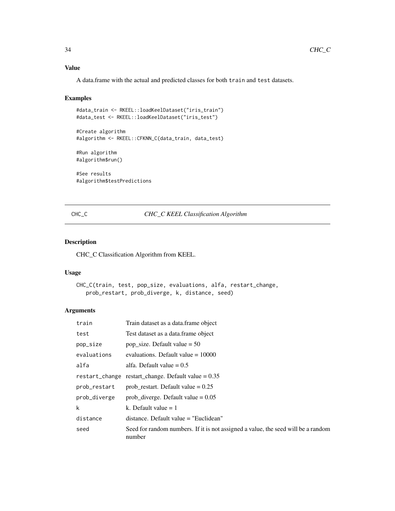# Value

A data.frame with the actual and predicted classes for both train and test datasets.

#### Examples

```
#data_train <- RKEEL::loadKeelDataset("iris_train")
#data_test <- RKEEL::loadKeelDataset("iris_test")
```
#Create algorithm #algorithm <- RKEEL::CFKNN\_C(data\_train, data\_test)

```
#Run algorithm
#algorithm$run()
```
#See results #algorithm\$testPredictions

CHC\_C *CHC\_C KEEL Classification Algorithm*

#### Description

CHC\_C Classification Algorithm from KEEL.

#### Usage

```
CHC_C(train, test, pop_size, evaluations, alfa, restart_change,
   prob_restart, prob_diverge, k, distance, seed)
```
# Arguments

| train        | Train dataset as a data. frame object                                                       |
|--------------|---------------------------------------------------------------------------------------------|
| test         | Test dataset as a data. frame object                                                        |
| pop_size     | pop size. Default value $= 50$                                                              |
| evaluations  | evaluations. Default value $= 10000$                                                        |
| alfa         | alfa. Default value $= 0.5$                                                                 |
|              | restart_change restart change. Default value $= 0.35$                                       |
| prob_restart | prob_restart. Default value = $0.25$                                                        |
| prob_diverge | prob diverge. Default value $= 0.05$                                                        |
| k            | k. Default value $= 1$                                                                      |
| distance     | $distance.$ Default value $=$ "Euclidean"                                                   |
| seed         | Seed for random numbers. If it is not assigned a value, the seed will be a random<br>number |

<span id="page-33-0"></span>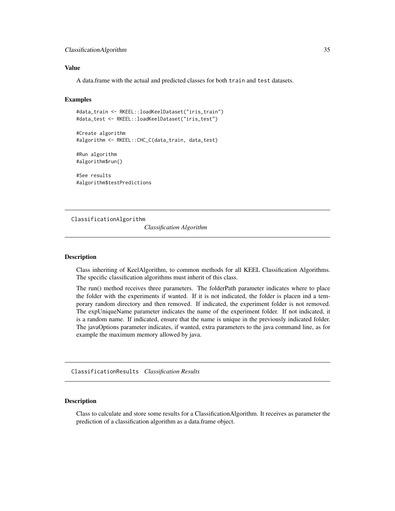#### <span id="page-34-0"></span>ClassificationAlgorithm 35

#### Value

A data.frame with the actual and predicted classes for both train and test datasets.

# Examples

```
#data_train <- RKEEL::loadKeelDataset("iris_train")
#data_test <- RKEEL::loadKeelDataset("iris_test")
```
#Create algorithm #algorithm <- RKEEL::CHC\_C(data\_train, data\_test)

#Run algorithm #algorithm\$run()

#See results #algorithm\$testPredictions

ClassificationAlgorithm

*Classification Algorithm*

#### Description

Class inheriting of KeelAlgorithm, to common methods for all KEEL Classification Algorithms. The specific classification algorithms must inherit of this class.

The run() method receives three parameters. The folderPath parameter indicates where to place the folder with the experiments if wanted. If it is not indicated, the folder is placen ind a temporary random directory and then removed. If indicated, the experiment folder is not removed. The expUniqueName parameter indicates the name of the experiment folder. If not indicated, it is a random name. If indicated, ensure that the name is unique in the previously indicated folder. The javaOptions parameter indicates, if wanted, extra parameters to the java command line, as for example the maximum memory allowed by java.

ClassificationResults *Classification Results*

# Description

Class to calculate and store some results for a ClassificationAlgorithm. It receives as parameter the prediction of a classification algorithm as a data.frame object.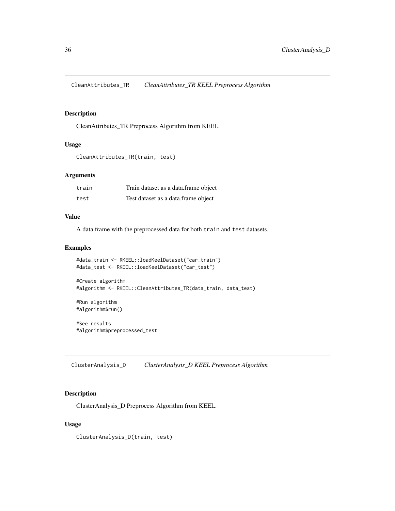<span id="page-35-0"></span>CleanAttributes\_TR *CleanAttributes\_TR KEEL Preprocess Algorithm*

# Description

CleanAttributes\_TR Preprocess Algorithm from KEEL.

#### Usage

```
CleanAttributes_TR(train, test)
```
# Arguments

| train | Train dataset as a data.frame object |
|-------|--------------------------------------|
| test  | Test dataset as a data. frame object |

# Value

A data.frame with the preprocessed data for both train and test datasets.

#### Examples

```
#data_train <- RKEEL::loadKeelDataset("car_train")
#data_test <- RKEEL::loadKeelDataset("car_test")
```

```
#Create algorithm
#algorithm <- RKEEL::CleanAttributes_TR(data_train, data_test)
```

```
#Run algorithm
#algorithm$run()
```
#See results #algorithm\$preprocessed\_test

ClusterAnalysis\_D *ClusterAnalysis\_D KEEL Preprocess Algorithm*

# Description

ClusterAnalysis\_D Preprocess Algorithm from KEEL.

#### Usage

ClusterAnalysis\_D(train, test)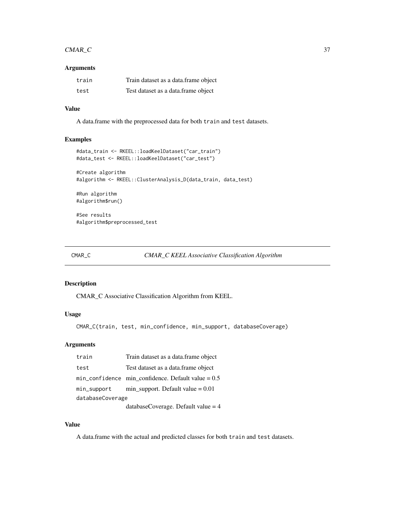## CMAR<sub>\_C</sub> 37

## Arguments

| train | Train dataset as a data.frame object |
|-------|--------------------------------------|
| test  | Test dataset as a data.frame object  |

#### Value

A data.frame with the preprocessed data for both train and test datasets.

### Examples

```
#data_train <- RKEEL::loadKeelDataset("car_train")
#data_test <- RKEEL::loadKeelDataset("car_test")
```
#Create algorithm #algorithm <- RKEEL::ClusterAnalysis\_D(data\_train, data\_test)

#Run algorithm #algorithm\$run()

#See results #algorithm\$preprocessed\_test

## CMAR\_C *CMAR\_C KEEL Associative Classification Algorithm*

## Description

CMAR\_C Associative Classification Algorithm from KEEL.

#### Usage

CMAR\_C(train, test, min\_confidence, min\_support, databaseCoverage)

### Arguments

| train            | Train dataset as a data.frame object                                           |
|------------------|--------------------------------------------------------------------------------|
| test             | Test dataset as a data. frame object                                           |
|                  | $min_{\text{conf}}$ idence $min_{\text{conf}}$ confidence. Default value = 0.5 |
|                  | $min$ _support min_support. Default value = 0.01                               |
| databaseCoverage |                                                                                |
|                  | $databaseCoverage. Default value = 4$                                          |

#### Value

A data.frame with the actual and predicted classes for both train and test datasets.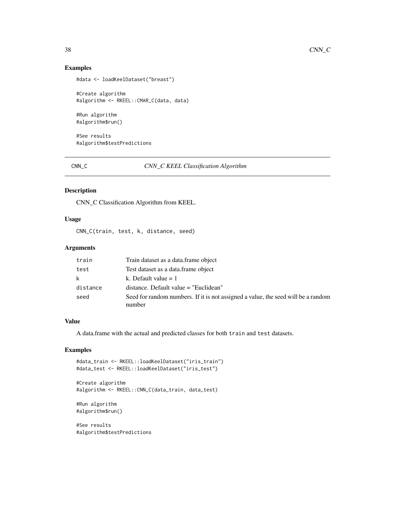### Examples

```
#data <- loadKeelDataset("breast")
```

```
#Create algorithm
#algorithm <- RKEEL::CMAR_C(data, data)
```
#Run algorithm #algorithm\$run()

#See results #algorithm\$testPredictions

## CNN\_C *CNN\_C KEEL Classification Algorithm*

#### Description

CNN\_C Classification Algorithm from KEEL.

#### Usage

CNN\_C(train, test, k, distance, seed)

## Arguments

| train        | Train dataset as a data. frame object                                                       |
|--------------|---------------------------------------------------------------------------------------------|
| test         | Test dataset as a data. frame object                                                        |
| $\mathsf{k}$ | k. Default value $= 1$                                                                      |
| distance     | distance. Default value = "Euclidean"                                                       |
| seed         | Seed for random numbers. If it is not assigned a value, the seed will be a random<br>number |

### Value

A data.frame with the actual and predicted classes for both train and test datasets.

#### Examples

```
#data_train <- RKEEL::loadKeelDataset("iris_train")
#data_test <- RKEEL::loadKeelDataset("iris_test")
```
#Create algorithm #algorithm <- RKEEL::CNN\_C(data\_train, data\_test)

```
#Run algorithm
#algorithm$run()
```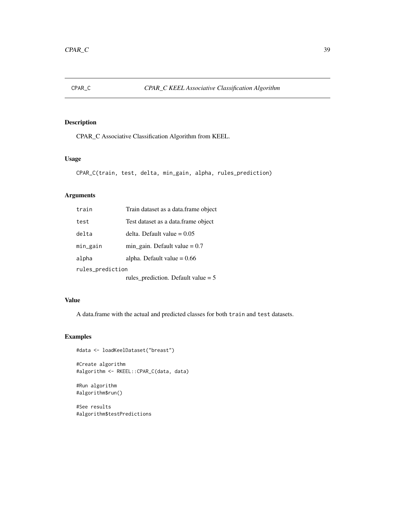CPAR\_C Associative Classification Algorithm from KEEL.

## Usage

```
CPAR_C(train, test, delta, min_gain, alpha, rules_prediction)
```
## Arguments

| train            | Train dataset as a data. frame object |
|------------------|---------------------------------------|
| test             | Test dataset as a data. frame object  |
| delta            | delta. Default value $= 0.05$         |
| min_gain         | min gain. Default value $= 0.7$       |
| alpha            | alpha. Default value $= 0.66$         |
| rules_prediction |                                       |
|                  | rules_prediction. Default value = $5$ |

## Value

A data.frame with the actual and predicted classes for both train and test datasets.

## Examples

```
#data <- loadKeelDataset("breast")
#Create algorithm
#algorithm <- RKEEL::CPAR_C(data, data)
```
#Run algorithm #algorithm\$run()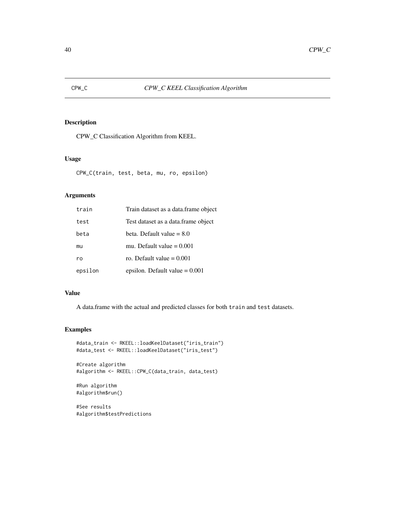CPW\_C Classification Algorithm from KEEL.

## Usage

CPW\_C(train, test, beta, mu, ro, epsilon)

## Arguments

| train   | Train dataset as a data.frame object |
|---------|--------------------------------------|
| test    | Test dataset as a data.frame object  |
| beta    | beta. Default value $= 8.0$          |
| mu      | mu. Default value $= 0.001$          |
| ro      | ro. Default value $= 0.001$          |
| epsilon | epsilon. Default value $= 0.001$     |

### Value

A data.frame with the actual and predicted classes for both train and test datasets.

# Examples

```
#data_train <- RKEEL::loadKeelDataset("iris_train")
#data_test <- RKEEL::loadKeelDataset("iris_test")
```

```
#Create algorithm
#algorithm <- RKEEL::CPW_C(data_train, data_test)
```

```
#Run algorithm
#algorithm$run()
```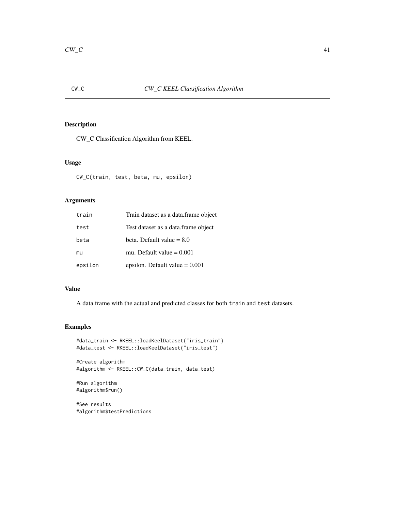CW\_C Classification Algorithm from KEEL.

## Usage

CW\_C(train, test, beta, mu, epsilon)

### Arguments

| train   | Train dataset as a data.frame object |
|---------|--------------------------------------|
| test    | Test dataset as a data.frame object  |
| beta    | beta. Default value $= 8.0$          |
| mu      | mu. Default value $= 0.001$          |
| epsilon | epsilon. Default value $= 0.001$     |

## Value

A data.frame with the actual and predicted classes for both train and test datasets.

## Examples

```
#data_train <- RKEEL::loadKeelDataset("iris_train")
#data_test <- RKEEL::loadKeelDataset("iris_test")
```

```
#Create algorithm
#algorithm <- RKEEL::CW_C(data_train, data_test)
```

```
#Run algorithm
#algorithm$run()
```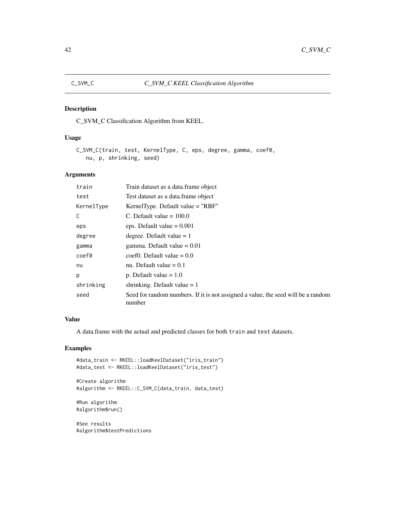C\_SVM\_C Classification Algorithm from KEEL.

## Usage

```
C_SVM_C(train, test, KernelType, C, eps, degree, gamma, coef0,
   nu, p, shrinking, seed)
```
## Arguments

| train      | Train dataset as a data.frame object                                                        |
|------------|---------------------------------------------------------------------------------------------|
| test       | Test dataset as a data frame object                                                         |
| KernelType | KernelType. Default value = "RBF"                                                           |
| C          | C. Default value $= 100.0$                                                                  |
| eps        | eps. Default value $= 0.001$                                                                |
| degree     | degree. Default value $= 1$                                                                 |
| gamma      | gamma. Default value $= 0.01$                                                               |
| coef0      | $\text{coeff}0$ . Default value = 0.0                                                       |
| nu         | nu. Default value $= 0.1$                                                                   |
| p          | p. Default value $= 1.0$                                                                    |
| shrinking  | shrinking. Default value $= 1$                                                              |
| seed       | Seed for random numbers. If it is not assigned a value, the seed will be a random<br>number |
|            |                                                                                             |

# Value

A data.frame with the actual and predicted classes for both train and test datasets.

## Examples

```
#data_train <- RKEEL::loadKeelDataset("iris_train")
#data_test <- RKEEL::loadKeelDataset("iris_test")
```
#Create algorithm #algorithm <- RKEEL::C\_SVM\_C(data\_train, data\_test)

```
#Run algorithm
#algorithm$run()
```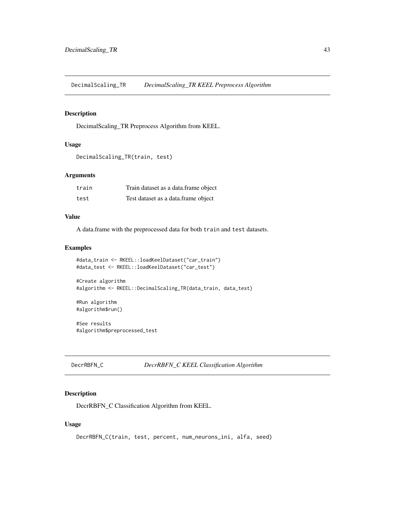DecimalScaling\_TR *DecimalScaling\_TR KEEL Preprocess Algorithm*

## Description

DecimalScaling\_TR Preprocess Algorithm from KEEL.

#### Usage

```
DecimalScaling_TR(train, test)
```
### Arguments

| train | Train dataset as a data.frame object |
|-------|--------------------------------------|
| test  | Test dataset as a data. frame object |

### Value

A data.frame with the preprocessed data for both train and test datasets.

#### Examples

```
#data_train <- RKEEL::loadKeelDataset("car_train")
#data_test <- RKEEL::loadKeelDataset("car_test")
```

```
#Create algorithm
#algorithm <- RKEEL::DecimalScaling_TR(data_train, data_test)
```

```
#Run algorithm
#algorithm$run()
```
#See results #algorithm\$preprocessed\_test

## Description

DecrRBFN\_C Classification Algorithm from KEEL.

### Usage

```
DecrRBFN_C(train, test, percent, num_neurons_ini, alfa, seed)
```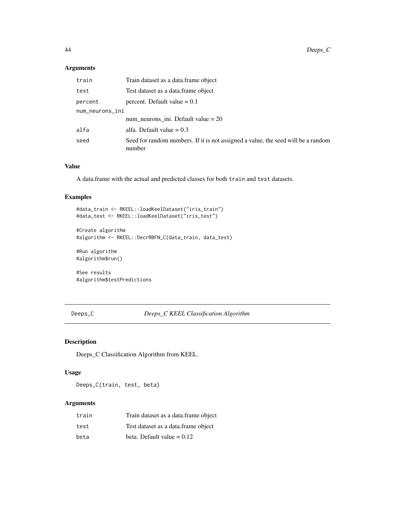### Arguments

| train           | Train dataset as a data. frame object                                                       |
|-----------------|---------------------------------------------------------------------------------------------|
| test            | Test dataset as a data. frame object                                                        |
| percent         | percent. Default value $= 0.1$                                                              |
| num_neurons_ini |                                                                                             |
|                 | num_neurons_ini. Default value = $20$                                                       |
| alfa            | alfa. Default value $= 0.3$                                                                 |
| seed            | Seed for random numbers. If it is not assigned a value, the seed will be a random<br>number |

### Value

A data.frame with the actual and predicted classes for both train and test datasets.

# Examples

```
#data_train <- RKEEL::loadKeelDataset("iris_train")
#data_test <- RKEEL::loadKeelDataset("iris_test")
```

```
#Create algorithm
#algorithm <- RKEEL::DecrRBFN_C(data_train, data_test)
```

```
#Run algorithm
#algorithm$run()
```
#See results #algorithm\$testPredictions

## Deeps\_C *Deeps\_C KEEL Classification Algorithm*

## Description

Deeps\_C Classification Algorithm from KEEL.

# Usage

Deeps\_C(train, test, beta)

### Arguments

| train | Train dataset as a data.frame object |
|-------|--------------------------------------|
| test  | Test dataset as a data.frame object  |
| beta  | beta. Default value $= 0.12$         |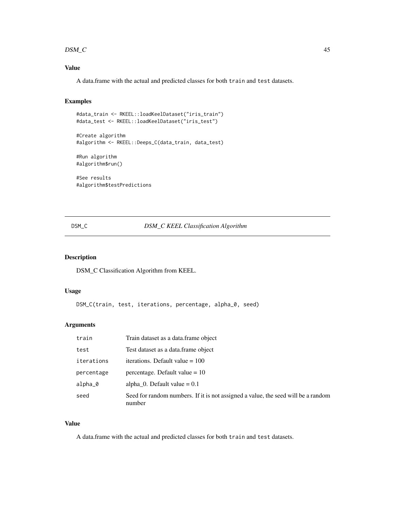#### $DSM\_C$  45

# Value

A data.frame with the actual and predicted classes for both train and test datasets.

## Examples

```
#data_train <- RKEEL::loadKeelDataset("iris_train")
#data_test <- RKEEL::loadKeelDataset("iris_test")
```
#Create algorithm #algorithm <- RKEEL::Deeps\_C(data\_train, data\_test)

#Run algorithm #algorithm\$run()

#See results #algorithm\$testPredictions

# DSM\_C *DSM\_C KEEL Classification Algorithm*

#### Description

DSM\_C Classification Algorithm from KEEL.

### Usage

```
DSM_C(train, test, iterations, percentage, alpha_0, seed)
```
#### Arguments

| train      | Train dataset as a data. frame object                                                       |
|------------|---------------------------------------------------------------------------------------------|
| test       | Test dataset as a data.frame object                                                         |
| iterations | iterations. Default value $= 100$                                                           |
| percentage | percentage. Default value $= 10$                                                            |
| alpha_0    | alpha 0. Default value $= 0.1$                                                              |
| seed       | Seed for random numbers. If it is not assigned a value, the seed will be a random<br>number |

#### Value

A data.frame with the actual and predicted classes for both train and test datasets.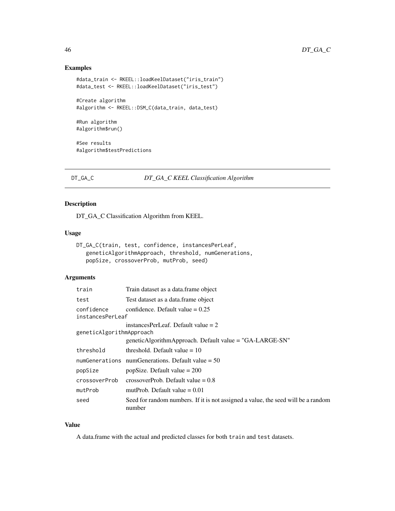## Examples

```
#data_train <- RKEEL::loadKeelDataset("iris_train")
#data_test <- RKEEL::loadKeelDataset("iris_test")
#Create algorithm
#algorithm <- RKEEL::DSM_C(data_train, data_test)
#Run algorithm
#algorithm$run()
```
#See results #algorithm\$testPredictions

### DT\_GA\_C *DT\_GA\_C KEEL Classification Algorithm*

### Description

DT\_GA\_C Classification Algorithm from KEEL.

#### Usage

```
DT_GA_C(train, test, confidence, instancesPerLeaf,
  geneticAlgorithmApproach, threshold, numGenerations,
  popSize, crossoverProb, mutProb, seed)
```
## Arguments

| train                          | Train dataset as a data.frame object                                                              |
|--------------------------------|---------------------------------------------------------------------------------------------------|
| test                           | Test dataset as a data frame object                                                               |
| confidence<br>instancesPerLeaf | confidence. Default value $= 0.25$                                                                |
| geneticAlgorithmApproach       | instances PerLeaf. Default value $= 2$<br>geneticAlgorithmApproach. Default value = "GA-LARGE-SN" |
| threshold                      | threshold. Default value $= 10$                                                                   |
|                                | numGenerations numGenerations. Default value $= 50$                                               |
| popSize                        | popSize. Default value $= 200$                                                                    |
| crossoverProb                  | crossoverProb. Default value $= 0.8$                                                              |
| mutProb                        | mutProb. Default value $= 0.01$                                                                   |
| seed                           | Seed for random numbers. If it is not assigned a value, the seed will be a random<br>number       |

### Value

A data.frame with the actual and predicted classes for both train and test datasets.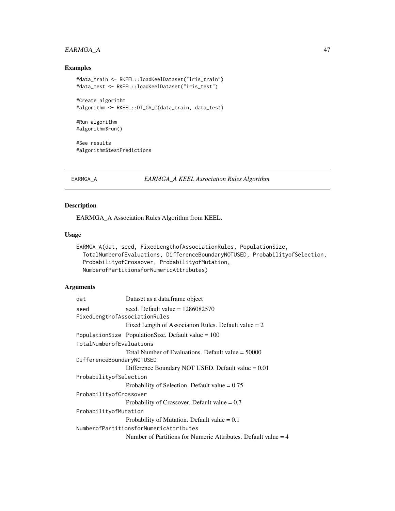## EARMGA\_A 47

## Examples

```
#data_train <- RKEEL::loadKeelDataset("iris_train")
#data_test <- RKEEL::loadKeelDataset("iris_test")
#Create algorithm
```

```
#algorithm <- RKEEL::DT_GA_C(data_train, data_test)
```

```
#Run algorithm
#algorithm$run()
```
#See results #algorithm\$testPredictions

#### EARMGA\_A *EARMGA\_A KEEL Association Rules Algorithm*

## Description

EARMGA\_A Association Rules Algorithm from KEEL.

## Usage

```
EARMGA_A(dat, seed, FixedLengthofAssociationRules, PopulationSize,
  TotalNumberofEvaluations, DifferenceBoundaryNOTUSED, ProbabilityofSelection,
 ProbabilityofCrossover, ProbabilityofMutation,
 NumberofPartitionsforNumericAttributes)
```
## Arguments

| Dataset as a data.frame object                                   |  |  |
|------------------------------------------------------------------|--|--|
| seed. Default value = $1286082570$                               |  |  |
| FixedLengthofAssociationRules                                    |  |  |
| Fixed Length of Association Rules. Default value $= 2$           |  |  |
| PopulationSize PopulationSize. Default value = $100$             |  |  |
| TotalNumberofEvaluations                                         |  |  |
| Total Number of Evaluations. Default value $=$ 50000             |  |  |
| DifferenceBoundaryNOTUSED                                        |  |  |
| Difference Boundary NOT USED. Default value = 0.01               |  |  |
| ProbabilityofSelection                                           |  |  |
| Probability of Selection. Default value $= 0.75$                 |  |  |
| ProbabilityofCrossover                                           |  |  |
| Probability of Crossover. Default value $= 0.7$                  |  |  |
| ProbabilityofMutation                                            |  |  |
| Probability of Mutation. Default value $= 0.1$                   |  |  |
| NumberofPartitionsforNumericAttributes                           |  |  |
| Number of Partitions for Numeric Attributes. Default value $=$ 4 |  |  |
|                                                                  |  |  |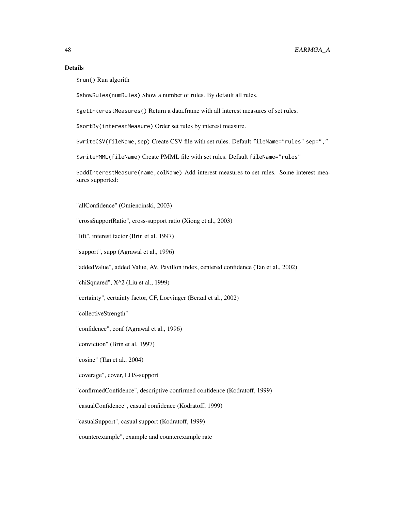### Details

\$run() Run algorith

\$showRules(numRules) Show a number of rules. By default all rules.

\$getInterestMeasures() Return a data.frame with all interest measures of set rules.

\$sortBy(interestMeasure) Order set rules by interest measure.

\$writeCSV(fileName,sep) Create CSV file with set rules. Default fileName="rules" sep=","

\$writePMML(fileName) Create PMML file with set rules. Default fileName="rules"

\$addInterestMeasure(name,colName) Add interest measures to set rules. Some interest measures supported:

"allConfidence" (Omiencinski, 2003)

"crossSupportRatio", cross-support ratio (Xiong et al., 2003)

"lift", interest factor (Brin et al. 1997)

"support", supp (Agrawal et al., 1996)

"addedValue", added Value, AV, Pavillon index, centered confidence (Tan et al., 2002)

"chiSquared",  $X^2$  (Liu et al., 1999)

"certainty", certainty factor, CF, Loevinger (Berzal et al., 2002)

"collectiveStrength"

"confidence", conf (Agrawal et al., 1996)

"conviction" (Brin et al. 1997)

"cosine" (Tan et al., 2004)

"coverage", cover, LHS-support

"confirmedConfidence", descriptive confirmed confidence (Kodratoff, 1999)

"casualConfidence", casual confidence (Kodratoff, 1999)

"casualSupport", casual support (Kodratoff, 1999)

"counterexample", example and counterexample rate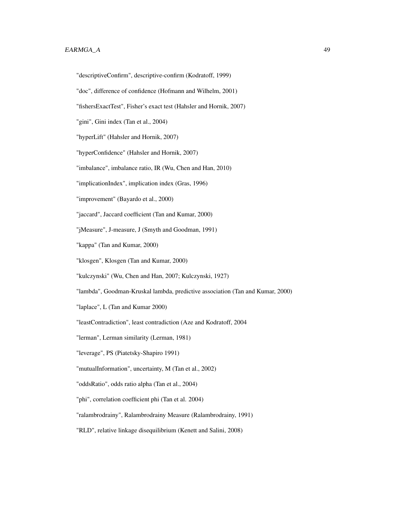- "descriptiveConfirm", descriptive-confirm (Kodratoff, 1999)
- "doc", difference of confidence (Hofmann and Wilhelm, 2001)
- "fishersExactTest", Fisher's exact test (Hahsler and Hornik, 2007)
- "gini", Gini index (Tan et al., 2004)
- "hyperLift" (Hahsler and Hornik, 2007)
- "hyperConfidence" (Hahsler and Hornik, 2007)
- "imbalance", imbalance ratio, IR (Wu, Chen and Han, 2010)
- "implicationIndex", implication index (Gras, 1996)
- "improvement" (Bayardo et al., 2000)
- "jaccard", Jaccard coefficient (Tan and Kumar, 2000)
- "jMeasure", J-measure, J (Smyth and Goodman, 1991)
- "kappa" (Tan and Kumar, 2000)
- "klosgen", Klosgen (Tan and Kumar, 2000)
- "kulczynski" (Wu, Chen and Han, 2007; Kulczynski, 1927)
- "lambda", Goodman-Kruskal lambda, predictive association (Tan and Kumar, 2000)
- "laplace", L (Tan and Kumar 2000)
- "leastContradiction", least contradiction (Aze and Kodratoff, 2004
- "lerman", Lerman similarity (Lerman, 1981)
- "leverage", PS (Piatetsky-Shapiro 1991)
- "mutualInformation", uncertainty, M (Tan et al., 2002)
- "oddsRatio", odds ratio alpha (Tan et al., 2004)
- "phi", correlation coefficient phi (Tan et al. 2004)
- "ralambrodrainy", Ralambrodrainy Measure (Ralambrodrainy, 1991)
- "RLD", relative linkage disequilibrium (Kenett and Salini, 2008)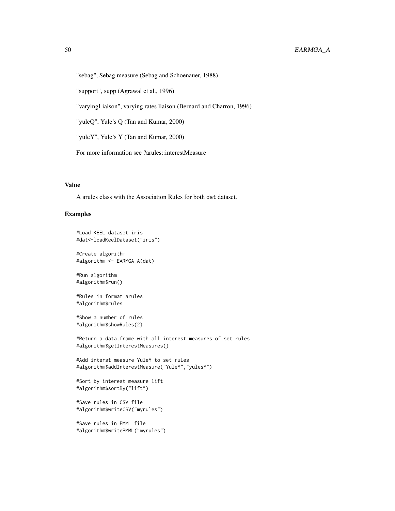## 50 EARMGA\_A

"sebag", Sebag measure (Sebag and Schoenauer, 1988)

"support", supp (Agrawal et al., 1996)

"varyingLiaison", varying rates liaison (Bernard and Charron, 1996)

"yuleQ", Yule's Q (Tan and Kumar, 2000)

"yuleY", Yule's Y (Tan and Kumar, 2000)

For more information see ?arules::interestMeasure

### Value

A arules class with the Association Rules for both dat dataset.

#### Examples

```
#Load KEEL dataset iris
#dat<-loadKeelDataset("iris")
#Create algorithm
#algorithm <- EARMGA_A(dat)
#Run algorithm
#algorithm$run()
#Rules in format arules
#algorithm$rules
#Show a number of rules
#algorithm$showRules(2)
#Return a data.frame with all interest measures of set rules
#algorithm$getInterestMeasures()
#Add interst measure YuleY to set rules
#algorithm$addInterestMeasure("YuleY","yulesY")
#Sort by interest measure lift
#algorithm$sortBy("lift")
#Save rules in CSV file
#algorithm$writeCSV("myrules")
#Save rules in PMML file
```
#algorithm\$writePMML("myrules")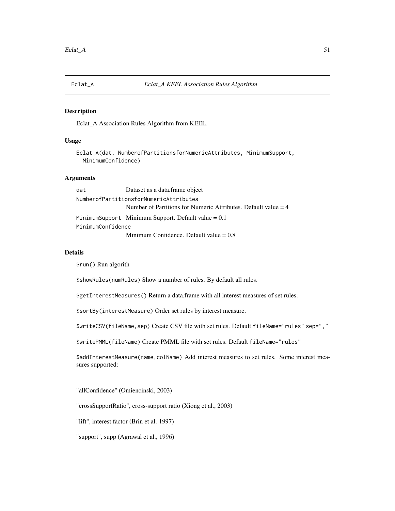Eclat\_A Association Rules Algorithm from KEEL.

### Usage

```
Eclat_A(dat, NumberofPartitionsforNumericAttributes, MinimumSupport,
 MinimumConfidence)
```
## Arguments

| dat                                    | Dataset as a data.frame object                                   |  |
|----------------------------------------|------------------------------------------------------------------|--|
| NumberofPartitionsforNumericAttributes |                                                                  |  |
|                                        | Number of Partitions for Numeric Attributes. Default value $=$ 4 |  |
|                                        | MinimumSupport Minimum Support. Default value $= 0.1$            |  |
| MinimumConfidence                      |                                                                  |  |
|                                        | Minimum Confidence. Default value $= 0.8$                        |  |

#### Details

\$run() Run algorith

\$showRules(numRules) Show a number of rules. By default all rules.

\$getInterestMeasures() Return a data.frame with all interest measures of set rules.

\$sortBy(interestMeasure) Order set rules by interest measure.

\$writeCSV(fileName,sep) Create CSV file with set rules. Default fileName="rules" sep=","

\$writePMML(fileName) Create PMML file with set rules. Default fileName="rules"

\$addInterestMeasure(name,colName) Add interest measures to set rules. Some interest measures supported:

"allConfidence" (Omiencinski, 2003)

"crossSupportRatio", cross-support ratio (Xiong et al., 2003)

"lift", interest factor (Brin et al. 1997)

"support", supp (Agrawal et al., 1996)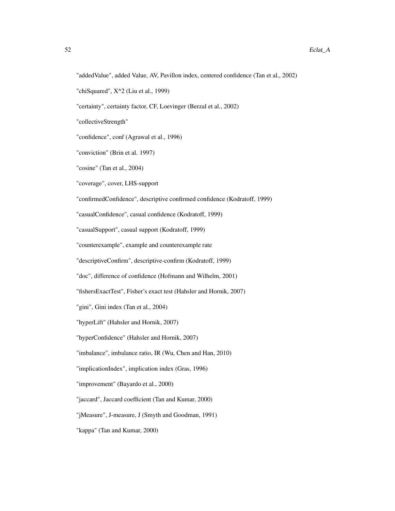"chiSquared",  $X^2$  (Liu et al., 1999)

"certainty", certainty factor, CF, Loevinger (Berzal et al., 2002)

"collectiveStrength"

"confidence", conf (Agrawal et al., 1996)

"conviction" (Brin et al. 1997)

"cosine" (Tan et al., 2004)

"coverage", cover, LHS-support

"confirmedConfidence", descriptive confirmed confidence (Kodratoff, 1999)

"casualConfidence", casual confidence (Kodratoff, 1999)

"casualSupport", casual support (Kodratoff, 1999)

"counterexample", example and counterexample rate

"descriptiveConfirm", descriptive-confirm (Kodratoff, 1999)

"doc", difference of confidence (Hofmann and Wilhelm, 2001)

"fishersExactTest", Fisher's exact test (Hahsler and Hornik, 2007)

"gini", Gini index (Tan et al., 2004)

"hyperLift" (Hahsler and Hornik, 2007)

"hyperConfidence" (Hahsler and Hornik, 2007)

"imbalance", imbalance ratio, IR (Wu, Chen and Han, 2010)

"implicationIndex", implication index (Gras, 1996)

"improvement" (Bayardo et al., 2000)

"jaccard", Jaccard coefficient (Tan and Kumar, 2000)

"jMeasure", J-measure, J (Smyth and Goodman, 1991)

"kappa" (Tan and Kumar, 2000)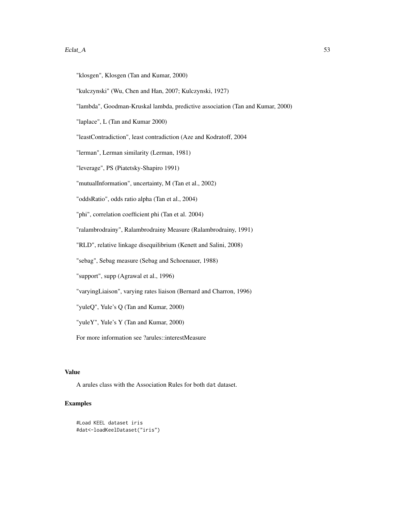- "klosgen", Klosgen (Tan and Kumar, 2000)
- "kulczynski" (Wu, Chen and Han, 2007; Kulczynski, 1927)

"lambda", Goodman-Kruskal lambda, predictive association (Tan and Kumar, 2000)

"laplace", L (Tan and Kumar 2000)

"leastContradiction", least contradiction (Aze and Kodratoff, 2004

"lerman", Lerman similarity (Lerman, 1981)

"leverage", PS (Piatetsky-Shapiro 1991)

"mutualInformation", uncertainty, M (Tan et al., 2002)

"oddsRatio", odds ratio alpha (Tan et al., 2004)

"phi", correlation coefficient phi (Tan et al. 2004)

"ralambrodrainy", Ralambrodrainy Measure (Ralambrodrainy, 1991)

"RLD", relative linkage disequilibrium (Kenett and Salini, 2008)

"sebag", Sebag measure (Sebag and Schoenauer, 1988)

"support", supp (Agrawal et al., 1996)

"varyingLiaison", varying rates liaison (Bernard and Charron, 1996)

"yuleQ", Yule's Q (Tan and Kumar, 2000)

"yuleY", Yule's Y (Tan and Kumar, 2000)

For more information see ?arules::interestMeasure

### Value

A arules class with the Association Rules for both dat dataset.

### Examples

```
#Load KEEL dataset iris
#dat<-loadKeelDataset("iris")
```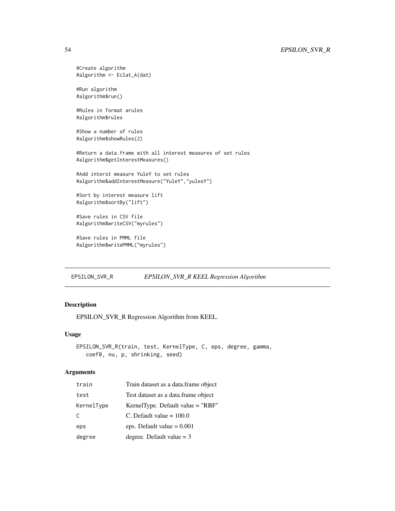```
#Create algorithm
#algorithm <- Eclat_A(dat)
#Run algorithm
#algorithm$run()
#Rules in format arules
#algorithm$rules
#Show a number of rules
#algorithm$showRules(2)
#Return a data.frame with all interest measures of set rules
#algorithm$getInterestMeasures()
#Add interst measure YuleY to set rules
#algorithm$addInterestMeasure("YuleY","yulesY")
#Sort by interest measure lift
#algorithm$sortBy("lift")
#Save rules in CSV file
#algorithm$writeCSV("myrules")
#Save rules in PMML file
```

```
#algorithm$writePMML("myrules")
```
EPSILON\_SVR\_R *EPSILON\_SVR\_R KEEL Regression Algorithm*

# Description

EPSILON\_SVR\_R Regression Algorithm from KEEL.

## Usage

```
EPSILON_SVR_R(train, test, KernelType, C, eps, degree, gamma,
  coef0, nu, p, shrinking, seed)
```
## Arguments

| train      | Train dataset as a data.frame object |
|------------|--------------------------------------|
| test       | Test dataset as a data.frame object  |
| KernelType | KernelType. Default value $=$ "RBF"  |
| C          | C. Default value $= 100.0$           |
| eps        | eps. Default value $= 0.001$         |
| degree     | degree. Default value $=$ 3          |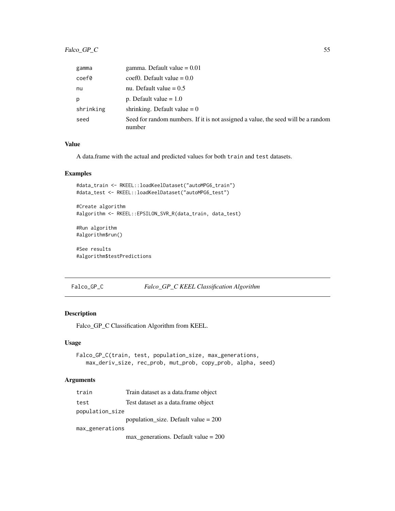## Falco\_GP\_C 55

| gamma     | gamma. Default value $= 0.01$                                                               |
|-----------|---------------------------------------------------------------------------------------------|
| coef0     | $\text{coeff}0.$ Default value = 0.0                                                        |
| nu        | nu. Default value $= 0.5$                                                                   |
| p         | p. Default value $= 1.0$                                                                    |
| shrinking | shrinking. Default value $= 0$                                                              |
| seed      | Seed for random numbers. If it is not assigned a value, the seed will be a random<br>number |

#### Value

A data.frame with the actual and predicted values for both train and test datasets.

### Examples

```
#data_train <- RKEEL::loadKeelDataset("autoMPG6_train")
#data_test <- RKEEL::loadKeelDataset("autoMPG6_test")
#Create algorithm
#algorithm <- RKEEL::EPSILON_SVR_R(data_train, data_test)
#Run algorithm
#algorithm$run()
#See results
#algorithm$testPredictions
```
Falco\_GP\_C *Falco\_GP\_C KEEL Classification Algorithm*

### Description

Falco\_GP\_C Classification Algorithm from KEEL.

#### Usage

```
Falco_GP_C(train, test, population_size, max_generations,
   max_deriv_size, rec_prob, mut_prob, copy_prob, alpha, seed)
```
## Arguments

| train           | Train dataset as a data.frame object   |
|-----------------|----------------------------------------|
| test            | Test dataset as a data. frame object   |
| population_size |                                        |
|                 | population_size. Default value = $200$ |

max\_generations

max\_generations. Default value = 200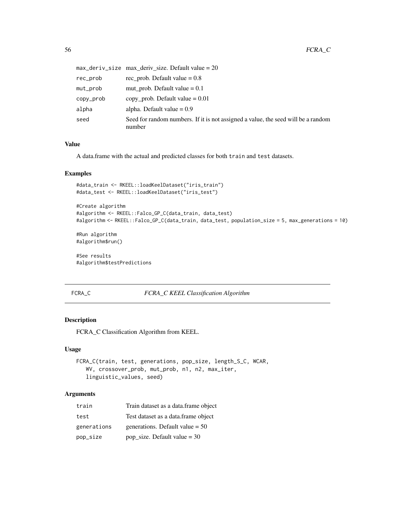|           | max_deriv_size max deriv size.Default value=20                                              |
|-----------|---------------------------------------------------------------------------------------------|
| rec_prob  | rec prob. Default value $= 0.8$                                                             |
| mut_prob  | mut_prob. Default value $= 0.1$                                                             |
| copy_prob | copy prob. Default value $= 0.01$                                                           |
| alpha     | alpha. Default value $= 0.9$                                                                |
| seed      | Seed for random numbers. If it is not assigned a value, the seed will be a random<br>number |

#### Value

A data.frame with the actual and predicted classes for both train and test datasets.

### Examples

```
#data_train <- RKEEL::loadKeelDataset("iris_train")
#data_test <- RKEEL::loadKeelDataset("iris_test")
```

```
#Create algorithm
#algorithm <- RKEEL::Falco_GP_C(data_train, data_test)
#algorithm <- RKEEL::Falco_GP_C(data_train, data_test, population_size = 5, max_generations = 10)
```

```
#Run algorithm
#algorithm$run()
```
#See results #algorithm\$testPredictions

### FCRA\_C *FCRA\_C KEEL Classification Algorithm*

### Description

FCRA\_C Classification Algorithm from KEEL.

#### Usage

```
FCRA_C(train, test, generations, pop_size, length_S_C, WCAR,
   WV, crossover_prob, mut_prob, n1, n2, max_iter,
   linguistic_values, seed)
```
## Arguments

| train       | Train dataset as a data.frame object |
|-------------|--------------------------------------|
| test        | Test dataset as a data.frame object  |
| generations | generations. Default value $= 50$    |
| pop_size    | pop_size. Default value = $30$       |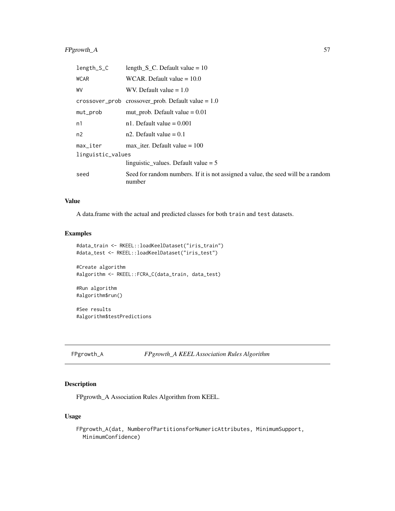## FPgrowth\_A 57

| length_S_C        | length $S_C$ . Default value = 10                                                           |  |
|-------------------|---------------------------------------------------------------------------------------------|--|
| <b>WCAR</b>       | WCAR. Default value $= 10.0$                                                                |  |
| WV                | WV. Default value $= 1.0$                                                                   |  |
|                   | crossover_prob crossover prob. Default value = $1.0$                                        |  |
| mut_prob          | mut prob. Default value $= 0.01$                                                            |  |
| n1                | n1. Default value $= 0.001$                                                                 |  |
| n2                | $n2$ . Default value = 0.1                                                                  |  |
| max_iter          | max iter. Default value $= 100$                                                             |  |
| linguistic_values |                                                                                             |  |
|                   | linguistic values. Default value $= 5$                                                      |  |
| seed              | Seed for random numbers. If it is not assigned a value, the seed will be a random<br>number |  |

#### Value

A data.frame with the actual and predicted classes for both train and test datasets.

## Examples

```
#data_train <- RKEEL::loadKeelDataset("iris_train")
#data_test <- RKEEL::loadKeelDataset("iris_test")
```

```
#Create algorithm
#algorithm <- RKEEL::FCRA_C(data_train, data_test)
```

```
#Run algorithm
#algorithm$run()
```
#See results #algorithm\$testPredictions

```
FPgrowth_A FPgrowth_A KEEL Association Rules Algorithm
```
### Description

FPgrowth\_A Association Rules Algorithm from KEEL.

### Usage

```
FPgrowth_A(dat, NumberofPartitionsforNumericAttributes, MinimumSupport,
 MinimumConfidence)
```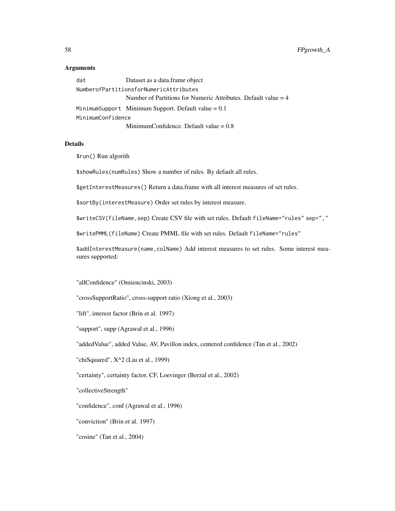#### **Arguments**

dat Dataset as a data.frame object NumberofPartitionsforNumericAttributes Number of Partitions for Numeric Attributes. Default value  $= 4$ MinimumSupport Minimum Support. Default value  $= 0.1$ MinimumConfidence MinimumConfidence. Default value = 0.8

### Details

\$run() Run algorith

\$showRules(numRules) Show a number of rules. By default all rules.

\$getInterestMeasures() Return a data.frame with all interest measures of set rules.

\$sortBy(interestMeasure) Order set rules by interest measure.

\$writeCSV(fileName,sep) Create CSV file with set rules. Default fileName="rules" sep=","

\$writePMML(fileName) Create PMML file with set rules. Default fileName="rules"

\$addInterestMeasure(name,colName) Add interest measures to set rules. Some interest measures supported:

"allConfidence" (Omiencinski, 2003)

"crossSupportRatio", cross-support ratio (Xiong et al., 2003)

"lift", interest factor (Brin et al. 1997)

"support", supp (Agrawal et al., 1996)

"addedValue", added Value, AV, Pavillon index, centered confidence (Tan et al., 2002)

"chiSquared", X^2 (Liu et al., 1999)

"certainty", certainty factor, CF, Loevinger (Berzal et al., 2002)

"collectiveStrength"

"confidence", conf (Agrawal et al., 1996)

"conviction" (Brin et al. 1997)

"cosine" (Tan et al., 2004)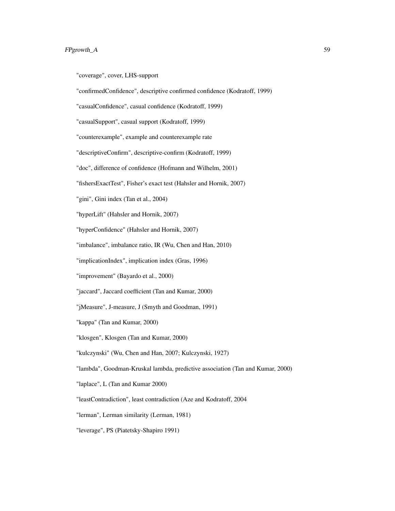## FPgrowth\_A 59

"coverage", cover, LHS-support

"confirmedConfidence", descriptive confirmed confidence (Kodratoff, 1999)

"casualConfidence", casual confidence (Kodratoff, 1999)

"casualSupport", casual support (Kodratoff, 1999)

"counterexample", example and counterexample rate

"descriptiveConfirm", descriptive-confirm (Kodratoff, 1999)

"doc", difference of confidence (Hofmann and Wilhelm, 2001)

"fishersExactTest", Fisher's exact test (Hahsler and Hornik, 2007)

"gini", Gini index (Tan et al., 2004)

"hyperLift" (Hahsler and Hornik, 2007)

"hyperConfidence" (Hahsler and Hornik, 2007)

"imbalance", imbalance ratio, IR (Wu, Chen and Han, 2010)

"implicationIndex", implication index (Gras, 1996)

"improvement" (Bayardo et al., 2000)

"jaccard", Jaccard coefficient (Tan and Kumar, 2000)

"jMeasure", J-measure, J (Smyth and Goodman, 1991)

"kappa" (Tan and Kumar, 2000)

"klosgen", Klosgen (Tan and Kumar, 2000)

"kulczynski" (Wu, Chen and Han, 2007; Kulczynski, 1927)

"lambda", Goodman-Kruskal lambda, predictive association (Tan and Kumar, 2000)

"laplace", L (Tan and Kumar 2000)

"leastContradiction", least contradiction (Aze and Kodratoff, 2004

"lerman", Lerman similarity (Lerman, 1981)

"leverage", PS (Piatetsky-Shapiro 1991)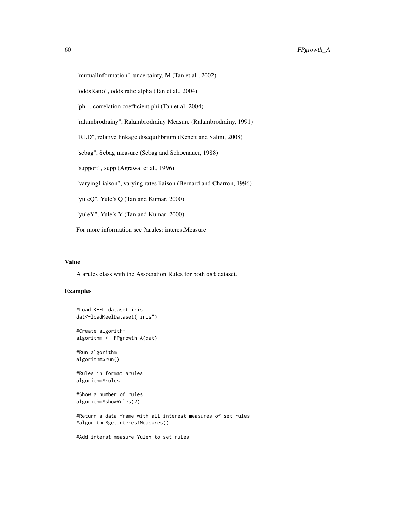"mutualInformation", uncertainty, M (Tan et al., 2002)

"oddsRatio", odds ratio alpha (Tan et al., 2004)

"phi", correlation coefficient phi (Tan et al. 2004)

"ralambrodrainy", Ralambrodrainy Measure (Ralambrodrainy, 1991)

"RLD", relative linkage disequilibrium (Kenett and Salini, 2008)

"sebag", Sebag measure (Sebag and Schoenauer, 1988)

"support", supp (Agrawal et al., 1996)

"varyingLiaison", varying rates liaison (Bernard and Charron, 1996)

"yuleQ", Yule's Q (Tan and Kumar, 2000)

"yuleY", Yule's Y (Tan and Kumar, 2000)

For more information see ?arules::interestMeasure

#### Value

A arules class with the Association Rules for both dat dataset.

### Examples

```
#Load KEEL dataset iris
dat<-loadKeelDataset("iris")
```
#Create algorithm algorithm <- FPgrowth\_A(dat)

#Run algorithm algorithm\$run()

#Rules in format arules algorithm\$rules

```
#Show a number of rules
algorithm$showRules(2)
```
#Return a data.frame with all interest measures of set rules #algorithm\$getInterestMeasures()

#Add interst measure YuleY to set rules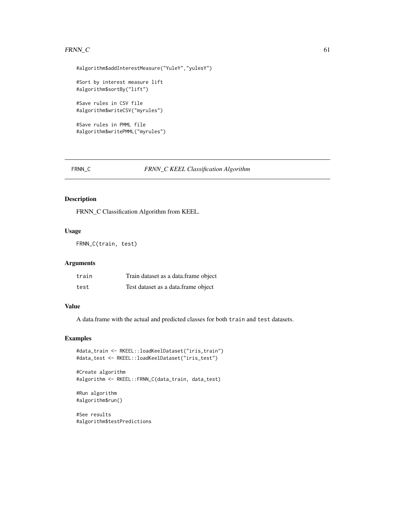#### $\text{FRNN\_C}$  61

```
#algorithm$addInterestMeasure("YuleY","yulesY")
```
#Sort by interest measure lift #algorithm\$sortBy("lift")

#Save rules in CSV file #algorithm\$writeCSV("myrules")

#Save rules in PMML file #algorithm\$writePMML("myrules")

#### FRNN\_C *FRNN\_C KEEL Classification Algorithm*

## Description

FRNN\_C Classification Algorithm from KEEL.

#### Usage

FRNN\_C(train, test)

### Arguments

| train | Train dataset as a data.frame object |
|-------|--------------------------------------|
| test  | Test dataset as a data.frame object  |

## Value

A data.frame with the actual and predicted classes for both train and test datasets.

#### Examples

```
#data_train <- RKEEL::loadKeelDataset("iris_train")
#data_test <- RKEEL::loadKeelDataset("iris_test")
```

```
#Create algorithm
#algorithm <- RKEEL::FRNN_C(data_train, data_test)
```

```
#Run algorithm
#algorithm$run()
```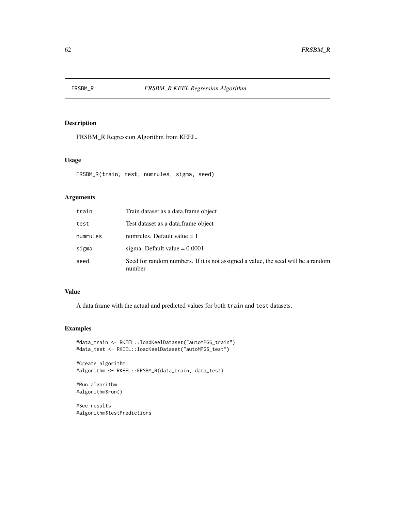FRSBM\_R Regression Algorithm from KEEL.

### Usage

```
FRSBM_R(train, test, numrules, sigma, seed)
```
## Arguments

| train    | Train dataset as a data.frame object                                                        |
|----------|---------------------------------------------------------------------------------------------|
| test     | Test dataset as a data. frame object                                                        |
| numrules | numrules. Default value $= 1$                                                               |
| sigma    | sigma. Default value $= 0.0001$                                                             |
| seed     | Seed for random numbers. If it is not assigned a value, the seed will be a random<br>number |

## Value

A data.frame with the actual and predicted values for both train and test datasets.

# Examples

```
#data_train <- RKEEL::loadKeelDataset("autoMPG6_train")
#data_test <- RKEEL::loadKeelDataset("autoMPG6_test")
#Create algorithm
```

```
#algorithm <- RKEEL::FRSBM_R(data_train, data_test)
```

```
#Run algorithm
#algorithm$run()
```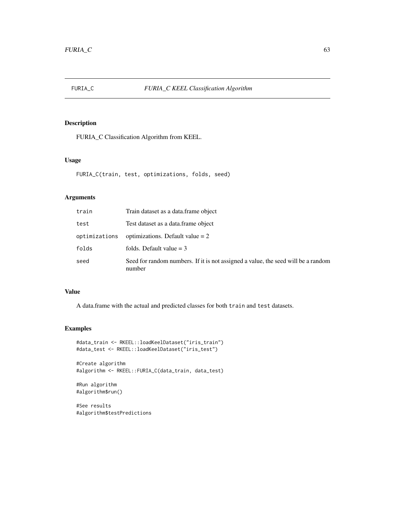FURIA\_C Classification Algorithm from KEEL.

### Usage

FURIA\_C(train, test, optimizations, folds, seed)

## Arguments

| train         | Train dataset as a data. frame object                                                       |
|---------------|---------------------------------------------------------------------------------------------|
| test          | Test dataset as a data. frame object                                                        |
| optimizations | optimizations. Default value $= 2$                                                          |
| folds         | folds. Default value $=$ 3                                                                  |
| seed          | Seed for random numbers. If it is not assigned a value, the seed will be a random<br>number |

# Value

A data.frame with the actual and predicted classes for both train and test datasets.

#### Examples

```
#data_train <- RKEEL::loadKeelDataset("iris_train")
#data_test <- RKEEL::loadKeelDataset("iris_test")
```

```
#Create algorithm
#algorithm <- RKEEL::FURIA_C(data_train, data_test)
```

```
#Run algorithm
#algorithm$run()
```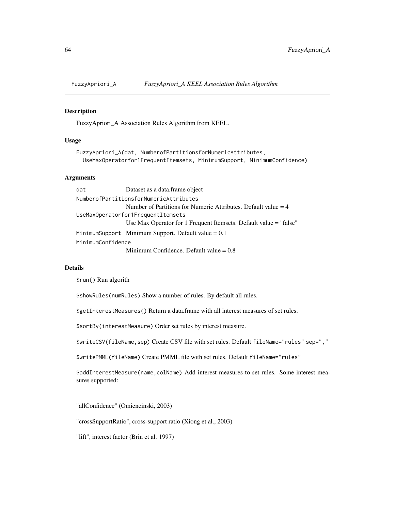FuzzyApriori\_A Association Rules Algorithm from KEEL.

#### Usage

```
FuzzyApriori_A(dat, NumberofPartitionsforNumericAttributes,
  UseMaxOperatorfor1FrequentItemsets, MinimumSupport, MinimumConfidence)
```
### Arguments

dat Dataset as a data.frame object NumberofPartitionsforNumericAttributes Number of Partitions for Numeric Attributes. Default value = 4 UseMaxOperatorfor1FrequentItemsets Use Max Operator for 1 Frequent Itemsets. Default value = "false" MinimumSupport Minimum Support. Default value  $= 0.1$ MinimumConfidence Minimum Confidence. Default value  $= 0.8$ 

#### **Details**

\$run() Run algorith

\$showRules(numRules) Show a number of rules. By default all rules.

\$getInterestMeasures() Return a data.frame with all interest measures of set rules.

\$sortBy(interestMeasure) Order set rules by interest measure.

\$writeCSV(fileName,sep) Create CSV file with set rules. Default fileName="rules" sep=","

\$writePMML(fileName) Create PMML file with set rules. Default fileName="rules"

\$addInterestMeasure(name,colName) Add interest measures to set rules. Some interest measures supported:

"allConfidence" (Omiencinski, 2003)

"crossSupportRatio", cross-support ratio (Xiong et al., 2003)

"lift", interest factor (Brin et al. 1997)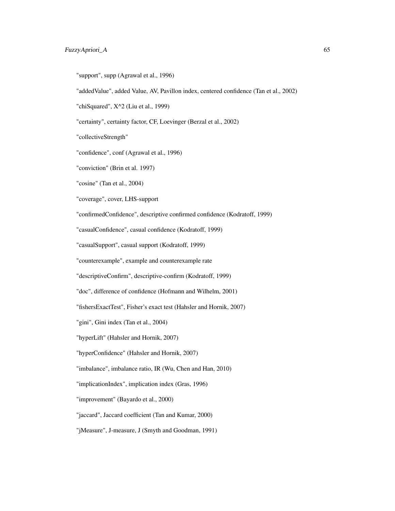"support", supp (Agrawal et al., 1996)

"addedValue", added Value, AV, Pavillon index, centered confidence (Tan et al., 2002)

"chiSquared", X^2 (Liu et al., 1999)

"certainty", certainty factor, CF, Loevinger (Berzal et al., 2002)

"collectiveStrength"

"confidence", conf (Agrawal et al., 1996)

"conviction" (Brin et al. 1997)

"cosine" (Tan et al., 2004)

"coverage", cover, LHS-support

"confirmedConfidence", descriptive confirmed confidence (Kodratoff, 1999)

"casualConfidence", casual confidence (Kodratoff, 1999)

"casualSupport", casual support (Kodratoff, 1999)

"counterexample", example and counterexample rate

"descriptiveConfirm", descriptive-confirm (Kodratoff, 1999)

"doc", difference of confidence (Hofmann and Wilhelm, 2001)

"fishersExactTest", Fisher's exact test (Hahsler and Hornik, 2007)

"gini", Gini index (Tan et al., 2004)

"hyperLift" (Hahsler and Hornik, 2007)

"hyperConfidence" (Hahsler and Hornik, 2007)

"imbalance", imbalance ratio, IR (Wu, Chen and Han, 2010)

"implicationIndex", implication index (Gras, 1996)

"improvement" (Bayardo et al., 2000)

"jaccard", Jaccard coefficient (Tan and Kumar, 2000)

"jMeasure", J-measure, J (Smyth and Goodman, 1991)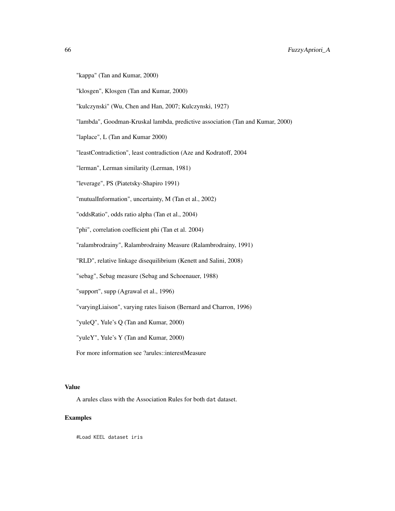- "kappa" (Tan and Kumar, 2000)
- "klosgen", Klosgen (Tan and Kumar, 2000)
- "kulczynski" (Wu, Chen and Han, 2007; Kulczynski, 1927)
- "lambda", Goodman-Kruskal lambda, predictive association (Tan and Kumar, 2000)
- "laplace", L (Tan and Kumar 2000)
- "leastContradiction", least contradiction (Aze and Kodratoff, 2004
- "lerman", Lerman similarity (Lerman, 1981)
- "leverage", PS (Piatetsky-Shapiro 1991)
- "mutualInformation", uncertainty, M (Tan et al., 2002)
- "oddsRatio", odds ratio alpha (Tan et al., 2004)
- "phi", correlation coefficient phi (Tan et al. 2004)
- "ralambrodrainy", Ralambrodrainy Measure (Ralambrodrainy, 1991)
- "RLD", relative linkage disequilibrium (Kenett and Salini, 2008)
- "sebag", Sebag measure (Sebag and Schoenauer, 1988)
- "support", supp (Agrawal et al., 1996)
- "varyingLiaison", varying rates liaison (Bernard and Charron, 1996)
- "yuleQ", Yule's Q (Tan and Kumar, 2000)
- "yuleY", Yule's Y (Tan and Kumar, 2000)
- For more information see ?arules::interestMeasure

#### Value

A arules class with the Association Rules for both dat dataset.

### Examples

#Load KEEL dataset iris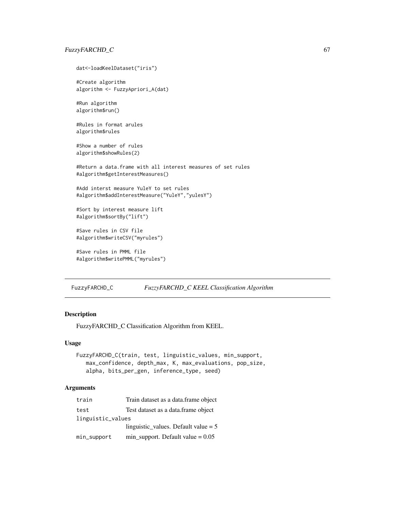## FuzzyFARCHD\_C 67

```
dat<-loadKeelDataset("iris")
#Create algorithm
algorithm <- FuzzyApriori_A(dat)
#Run algorithm
algorithm$run()
#Rules in format arules
algorithm$rules
#Show a number of rules
algorithm$showRules(2)
#Return a data.frame with all interest measures of set rules
#algorithm$getInterestMeasures()
#Add interst measure YuleY to set rules
#algorithm$addInterestMeasure("YuleY","yulesY")
#Sort by interest measure lift
#algorithm$sortBy("lift")
#Save rules in CSV file
#algorithm$writeCSV("myrules")
#Save rules in PMML file
```
#algorithm\$writePMML("myrules")

FuzzyFARCHD\_C *FuzzyFARCHD\_C KEEL Classification Algorithm*

## Description

FuzzyFARCHD\_C Classification Algorithm from KEEL.

#### Usage

```
FuzzyFARCHD_C(train, test, linguistic_values, min_support,
   max_confidence, depth_max, K, max_evaluations, pop_size,
   alpha, bits_per_gen, inference_type, seed)
```
### Arguments

| train             | Train dataset as a data. frame object  |  |
|-------------------|----------------------------------------|--|
| test              | Test dataset as a data. frame object   |  |
| linguistic_values |                                        |  |
|                   | linguistic_values. Default value $= 5$ |  |
| min_support       | $min$ _support. Default value = 0.05   |  |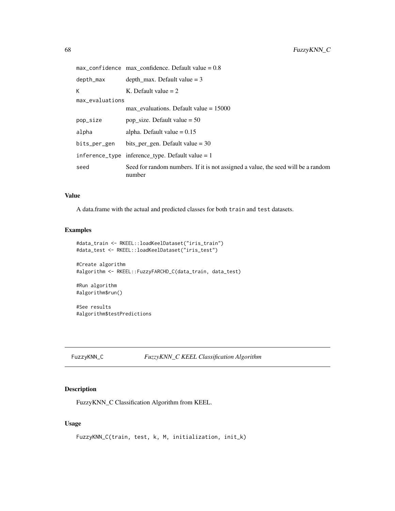|                 | $max_{\text{conf}}$ idence max confidence. Default value = 0.8                              |  |
|-----------------|---------------------------------------------------------------------------------------------|--|
| depth_max       | depth max. Default value $=$ 3                                                              |  |
| К               | K. Default value $= 2$                                                                      |  |
| max_evaluations |                                                                                             |  |
|                 | max evaluations. Default value $= 15000$                                                    |  |
| pop_size        | pop_size. Default value = $50$                                                              |  |
| alpha           | alpha. Default value $= 0.15$                                                               |  |
| bits_per_gen    | bits per gen. Default value $=$ 30                                                          |  |
|                 | inference_type inference_type. Default value = 1                                            |  |
| seed            | Seed for random numbers. If it is not assigned a value, the seed will be a random<br>number |  |

### Value

A data.frame with the actual and predicted classes for both train and test datasets.

## Examples

```
#data_train <- RKEEL::loadKeelDataset("iris_train")
#data_test <- RKEEL::loadKeelDataset("iris_test")
```
#Create algorithm #algorithm <- RKEEL::FuzzyFARCHD\_C(data\_train, data\_test)

#Run algorithm #algorithm\$run()

#See results #algorithm\$testPredictions

FuzzyKNN\_C *FuzzyKNN\_C KEEL Classification Algorithm*

## Description

FuzzyKNN\_C Classification Algorithm from KEEL.

### Usage

```
FuzzyKNN_C(train, test, k, M, initialization, init_k)
```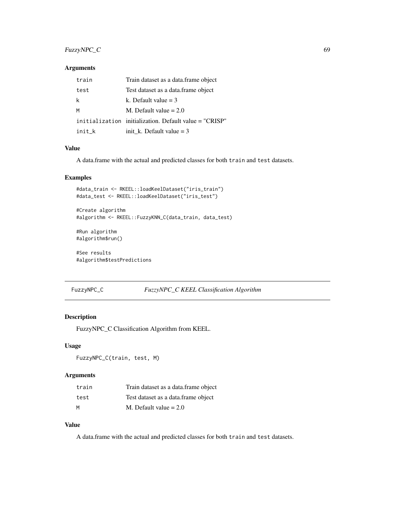# FuzzyNPC\_C 69

### Arguments

| train  | Train dataset as a data. frame object                  |
|--------|--------------------------------------------------------|
| test   | Test dataset as a data.frame object                    |
| k      | k. Default value $=$ 3                                 |
| M      | M. Default value $= 2.0$                               |
|        | initialization initialization. Default value = "CRISP" |
| init_k | init_k. Default value = $3$                            |

### Value

A data.frame with the actual and predicted classes for both train and test datasets.

## Examples

```
#data_train <- RKEEL::loadKeelDataset("iris_train")
#data_test <- RKEEL::loadKeelDataset("iris_test")
```

```
#Create algorithm
#algorithm <- RKEEL::FuzzyKNN_C(data_train, data_test)
```

```
#Run algorithm
#algorithm$run()
```

```
#See results
#algorithm$testPredictions
```
#### FuzzyNPC\_C *FuzzyNPC\_C KEEL Classification Algorithm*

### Description

FuzzyNPC\_C Classification Algorithm from KEEL.

#### Usage

```
FuzzyNPC_C(train, test, M)
```
#### Arguments

| train | Train dataset as a data frame object |
|-------|--------------------------------------|
| test  | Test dataset as a data. frame object |
| м     | M. Default value $= 2.0$             |

## Value

A data.frame with the actual and predicted classes for both train and test datasets.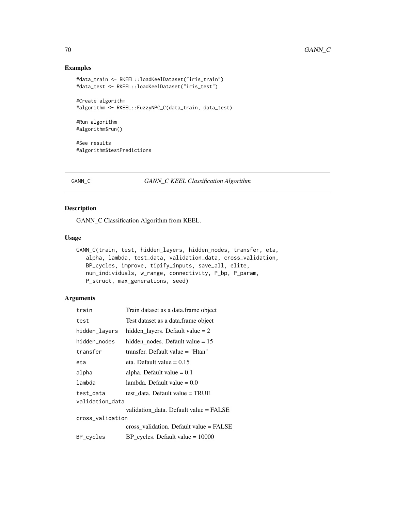## Examples

```
#data_train <- RKEEL::loadKeelDataset("iris_train")
#data_test <- RKEEL::loadKeelDataset("iris_test")
#Create algorithm
#algorithm <- RKEEL::FuzzyNPC_C(data_train, data_test)
```
#Run algorithm #algorithm\$run()

#See results #algorithm\$testPredictions

## GANN\_C *GANN\_C KEEL Classification Algorithm*

## Description

GANN\_C Classification Algorithm from KEEL.

### Usage

```
GANN_C(train, test, hidden_layers, hidden_nodes, transfer, eta,
   alpha, lambda, test_data, validation_data, cross_validation,
   BP_cycles, improve, tipify_inputs, save_all, elite,
   num_individuals, w_range, connectivity, P_bp, P_param,
   P_struct, max_generations, seed)
```
## Arguments

| train            | Train dataset as a data.frame object    |  |  |  |
|------------------|-----------------------------------------|--|--|--|
| test             | Test dataset as a data. frame object    |  |  |  |
| hidden_layers    | hidden_layers. Default value $= 2$      |  |  |  |
| hidden_nodes     | hidden nodes. Default value $= 15$      |  |  |  |
| transfer         | transfer. Default value = "Htan"        |  |  |  |
| eta              | eta. Default value $= 0.15$             |  |  |  |
| alpha            | alpha. Default value $= 0.1$            |  |  |  |
| lambda           | lambda. Default value $= 0.0$           |  |  |  |
| test_data        | test data. Default value = TRUE         |  |  |  |
| validation_data  |                                         |  |  |  |
|                  | validation data. Default value = FALSE  |  |  |  |
| cross_validation |                                         |  |  |  |
|                  | cross validation. Default value = FALSE |  |  |  |
| BP_cycles        | BP cycles. Default value $= 10000$      |  |  |  |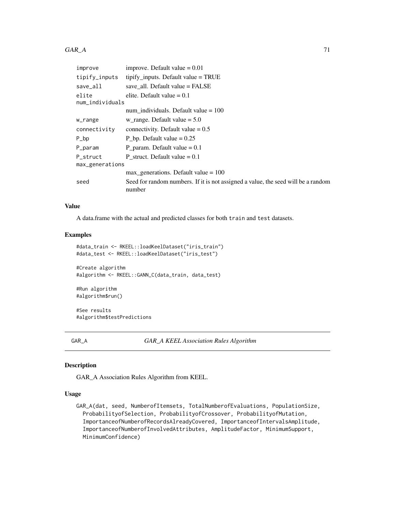| improve                  | improve. Default value $= 0.01$                                                             |  |  |
|--------------------------|---------------------------------------------------------------------------------------------|--|--|
| tipify_inputs            | tipify_inputs. Default value $=$ TRUE                                                       |  |  |
| save_all                 | save all. Default value $=$ FALSE                                                           |  |  |
| elite<br>num_individuals | elite. Default value $= 0.1$                                                                |  |  |
|                          | num individuals. Default value $= 100$                                                      |  |  |
| w_range                  | w_range. Default value $= 5.0$                                                              |  |  |
| connectivity             | connectivity. Default value $= 0.5$                                                         |  |  |
| $P_{\perp}$ bp           | P bp. Default value $= 0.25$                                                                |  |  |
| P_param                  | P_param. Default value $= 0.1$                                                              |  |  |
| P_struct                 | P struct. Default value $= 0.1$                                                             |  |  |
| max_generations          |                                                                                             |  |  |
|                          | $max\_generations$ . Default value = 100                                                    |  |  |
| seed                     | Seed for random numbers. If it is not assigned a value, the seed will be a random<br>number |  |  |

## Value

A data.frame with the actual and predicted classes for both train and test datasets.

#### Examples

```
#data_train <- RKEEL::loadKeelDataset("iris_train")
#data_test <- RKEEL::loadKeelDataset("iris_test")
```

```
#Create algorithm
#algorithm <- RKEEL::GANN_C(data_train, data_test)
```
#Run algorithm #algorithm\$run()

#See results #algorithm\$testPredictions

GAR\_A *GAR\_A KEEL Association Rules Algorithm*

### Description

GAR\_A Association Rules Algorithm from KEEL.

## Usage

GAR\_A(dat, seed, NumberofItemsets, TotalNumberofEvaluations, PopulationSize, ProbabilityofSelection, ProbabilityofCrossover, ProbabilityofMutation, ImportanceofNumberofRecordsAlreadyCovered, ImportanceofIntervalsAmplitude, ImportanceofNumberofInvolvedAttributes, AmplitudeFactor, MinimumSupport, MinimumConfidence)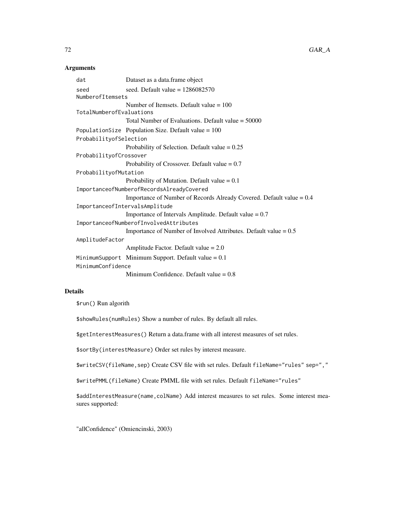#### Arguments

```
dat Dataset as a data.frame object
seed seed. Default value = 1286082570NumberofItemsets
                 Number of Itemsets. Default value = 100
TotalNumberofEvaluations
                 Total Number of Evaluations. Default value = 50000
PopulationSize Population Size. Default value = 100ProbabilityofSelection
                 Probability of Selection. Default value = 0.25
ProbabilityofCrossover
                Probability of Crossover. Default value = 0.7
ProbabilityofMutation
                 Probability of Mutation. Default value = 0.1
ImportanceofNumberofRecordsAlreadyCovered
                 Importance of Number of Records Already Covered. Default value = 0.4
ImportanceofIntervalsAmplitude
                 Importance of Intervals Amplitude. Default value = 0.7ImportanceofNumberofInvolvedAttributes
                 Importance of Number of Involved Attributes. Default value = 0.5AmplitudeFactor
                 Amplitude Factor. Default value = 2.0
MinimumSupport Minimum Support. Default value = 0.1MinimumConfidence
                 Minimum Confidence. Default value = 0.8
```
### Details

\$run() Run algorith

\$showRules(numRules) Show a number of rules. By default all rules.

\$getInterestMeasures() Return a data.frame with all interest measures of set rules.

\$sortBy(interestMeasure) Order set rules by interest measure.

\$writeCSV(fileName,sep) Create CSV file with set rules. Default fileName="rules" sep=","

\$writePMML(fileName) Create PMML file with set rules. Default fileName="rules"

\$addInterestMeasure(name,colName) Add interest measures to set rules. Some interest measures supported:

"allConfidence" (Omiencinski, 2003)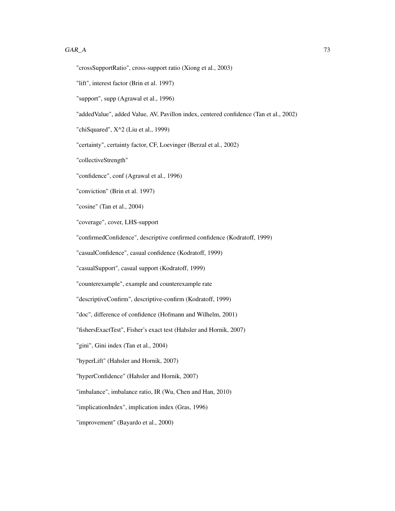#### $GAR\_A$  73

"crossSupportRatio", cross-support ratio (Xiong et al., 2003)

"lift", interest factor (Brin et al. 1997)

"support", supp (Agrawal et al., 1996)

"addedValue", added Value, AV, Pavillon index, centered confidence (Tan et al., 2002)

"chiSquared",  $X^2$  (Liu et al., 1999)

"certainty", certainty factor, CF, Loevinger (Berzal et al., 2002)

"collectiveStrength"

"confidence", conf (Agrawal et al., 1996)

"conviction" (Brin et al. 1997)

"cosine" (Tan et al., 2004)

"coverage", cover, LHS-support

"confirmedConfidence", descriptive confirmed confidence (Kodratoff, 1999)

"casualConfidence", casual confidence (Kodratoff, 1999)

"casualSupport", casual support (Kodratoff, 1999)

"counterexample", example and counterexample rate

"descriptiveConfirm", descriptive-confirm (Kodratoff, 1999)

"doc", difference of confidence (Hofmann and Wilhelm, 2001)

"fishersExactTest", Fisher's exact test (Hahsler and Hornik, 2007)

"gini", Gini index (Tan et al., 2004)

"hyperLift" (Hahsler and Hornik, 2007)

"hyperConfidence" (Hahsler and Hornik, 2007)

"imbalance", imbalance ratio, IR (Wu, Chen and Han, 2010)

"implicationIndex", implication index (Gras, 1996)

"improvement" (Bayardo et al., 2000)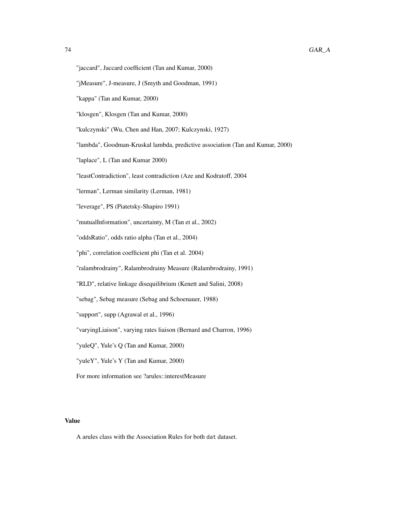- "jaccard", Jaccard coefficient (Tan and Kumar, 2000)
- "jMeasure", J-measure, J (Smyth and Goodman, 1991)
- "kappa" (Tan and Kumar, 2000)
- "klosgen", Klosgen (Tan and Kumar, 2000)
- "kulczynski" (Wu, Chen and Han, 2007; Kulczynski, 1927)
- "lambda", Goodman-Kruskal lambda, predictive association (Tan and Kumar, 2000)
- "laplace", L (Tan and Kumar 2000)
- "leastContradiction", least contradiction (Aze and Kodratoff, 2004
- "lerman", Lerman similarity (Lerman, 1981)
- "leverage", PS (Piatetsky-Shapiro 1991)
- "mutualInformation", uncertainty, M (Tan et al., 2002)
- "oddsRatio", odds ratio alpha (Tan et al., 2004)
- "phi", correlation coefficient phi (Tan et al. 2004)
- "ralambrodrainy", Ralambrodrainy Measure (Ralambrodrainy, 1991)
- "RLD", relative linkage disequilibrium (Kenett and Salini, 2008)
- "sebag", Sebag measure (Sebag and Schoenauer, 1988)
- "support", supp (Agrawal et al., 1996)
- "varyingLiaison", varying rates liaison (Bernard and Charron, 1996)
- "yuleQ", Yule's Q (Tan and Kumar, 2000)
- "yuleY", Yule's Y (Tan and Kumar, 2000)
- For more information see ?arules::interestMeasure

## Value

A arules class with the Association Rules for both dat dataset.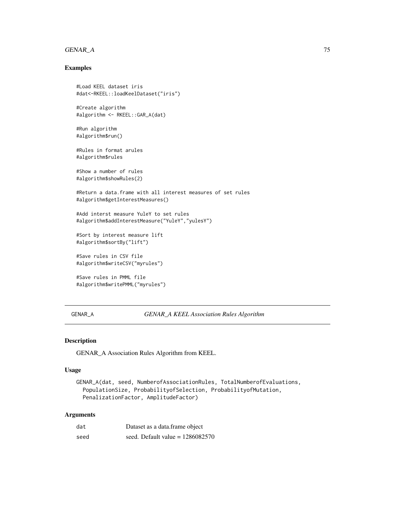# GENAR\_A 75

### Examples

```
#Load KEEL dataset iris
#dat<-RKEEL::loadKeelDataset("iris")
```
#Create algorithm #algorithm <- RKEEL::GAR\_A(dat)

#Run algorithm #algorithm\$run()

#Rules in format arules #algorithm\$rules

#Show a number of rules #algorithm\$showRules(2)

#Return a data.frame with all interest measures of set rules #algorithm\$getInterestMeasures()

#Add interst measure YuleY to set rules #algorithm\$addInterestMeasure("YuleY","yulesY")

#Sort by interest measure lift #algorithm\$sortBy("lift")

#Save rules in CSV file #algorithm\$writeCSV("myrules")

```
#Save rules in PMML file
#algorithm$writePMML("myrules")
```
# GENAR\_A *GENAR\_A KEEL Association Rules Algorithm*

# Description

GENAR\_A Association Rules Algorithm from KEEL.

### Usage

```
GENAR_A(dat, seed, NumberofAssociationRules, TotalNumberofEvaluations,
 PopulationSize, ProbabilityofSelection, ProbabilityofMutation,
 PenalizationFactor, AmplitudeFactor)
```
# Arguments

| dat  | Dataset as a data.frame object     |
|------|------------------------------------|
| seed | seed. Default value = $1286082570$ |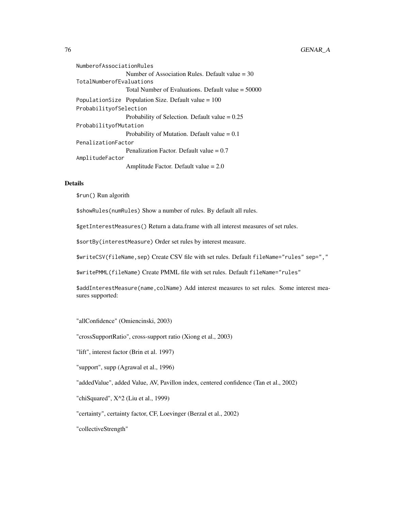```
NumberofAssociationRules
                 Number of Association Rules. Default value = 30TotalNumberofEvaluations
                 Total Number of Evaluations. Default value = 50000
PopulationSize Population Size. Default value = 100ProbabilityofSelection
                 Probability of Selection. Default value = 0.25
ProbabilityofMutation
                 Probability of Mutation. Default value = 0.1PenalizationFactor
                 Penalization Factor. Default value = 0.7
AmplitudeFactor
                 Amplitude Factor. Default value = 2.0
```
# Details

\$run() Run algorith

\$showRules(numRules) Show a number of rules. By default all rules.

\$getInterestMeasures() Return a data.frame with all interest measures of set rules.

\$sortBy(interestMeasure) Order set rules by interest measure.

\$writeCSV(fileName,sep) Create CSV file with set rules. Default fileName="rules" sep=","

\$writePMML(fileName) Create PMML file with set rules. Default fileName="rules"

\$addInterestMeasure(name,colName) Add interest measures to set rules. Some interest measures supported:

"allConfidence" (Omiencinski, 2003)

"crossSupportRatio", cross-support ratio (Xiong et al., 2003)

"lift", interest factor (Brin et al. 1997)

"support", supp (Agrawal et al., 1996)

"addedValue", added Value, AV, Pavillon index, centered confidence (Tan et al., 2002)

"chiSquared",  $X^2$  (Liu et al., 1999)

"certainty", certainty factor, CF, Loevinger (Berzal et al., 2002)

"collectiveStrength"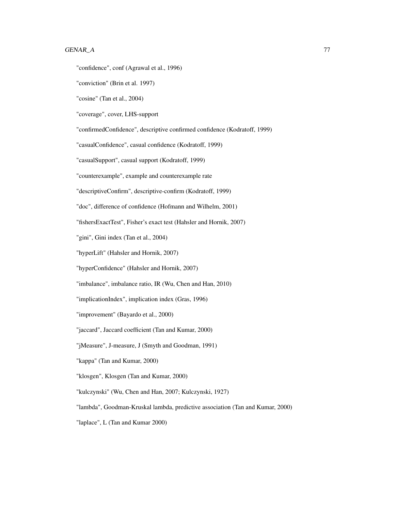# GENAR\_A 77

"confidence", conf (Agrawal et al., 1996)

"conviction" (Brin et al. 1997)

"cosine" (Tan et al., 2004)

"coverage", cover, LHS-support

"confirmedConfidence", descriptive confirmed confidence (Kodratoff, 1999)

"casualConfidence", casual confidence (Kodratoff, 1999)

"casualSupport", casual support (Kodratoff, 1999)

"counterexample", example and counterexample rate

"descriptiveConfirm", descriptive-confirm (Kodratoff, 1999)

"doc", difference of confidence (Hofmann and Wilhelm, 2001)

"fishersExactTest", Fisher's exact test (Hahsler and Hornik, 2007)

"gini", Gini index (Tan et al., 2004)

"hyperLift" (Hahsler and Hornik, 2007)

"hyperConfidence" (Hahsler and Hornik, 2007)

"imbalance", imbalance ratio, IR (Wu, Chen and Han, 2010)

"implicationIndex", implication index (Gras, 1996)

"improvement" (Bayardo et al., 2000)

"jaccard", Jaccard coefficient (Tan and Kumar, 2000)

"jMeasure", J-measure, J (Smyth and Goodman, 1991)

"kappa" (Tan and Kumar, 2000)

"klosgen", Klosgen (Tan and Kumar, 2000)

"kulczynski" (Wu, Chen and Han, 2007; Kulczynski, 1927)

"lambda", Goodman-Kruskal lambda, predictive association (Tan and Kumar, 2000)

"laplace", L (Tan and Kumar 2000)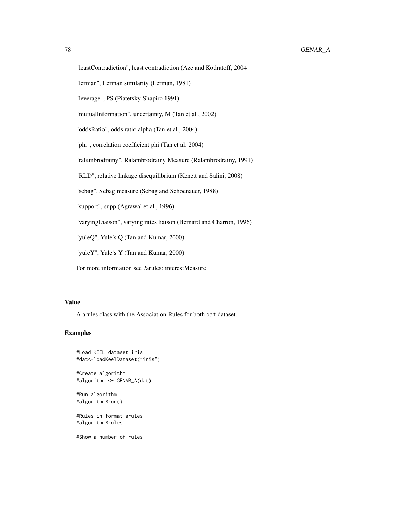"lerman", Lerman similarity (Lerman, 1981)

"leverage", PS (Piatetsky-Shapiro 1991)

"mutualInformation", uncertainty, M (Tan et al., 2002)

"oddsRatio", odds ratio alpha (Tan et al., 2004)

"phi", correlation coefficient phi (Tan et al. 2004)

"ralambrodrainy", Ralambrodrainy Measure (Ralambrodrainy, 1991)

"RLD", relative linkage disequilibrium (Kenett and Salini, 2008)

"sebag", Sebag measure (Sebag and Schoenauer, 1988)

"support", supp (Agrawal et al., 1996)

"varyingLiaison", varying rates liaison (Bernard and Charron, 1996)

"yuleQ", Yule's Q (Tan and Kumar, 2000)

"yuleY", Yule's Y (Tan and Kumar, 2000)

For more information see ?arules::interestMeasure

## Value

A arules class with the Association Rules for both dat dataset.

### Examples

```
#Load KEEL dataset iris
#dat<-loadKeelDataset("iris")
#Create algorithm
#algorithm <- GENAR_A(dat)
#Run algorithm
#algorithm$run()
```
#Rules in format arules #algorithm\$rules

#Show a number of rules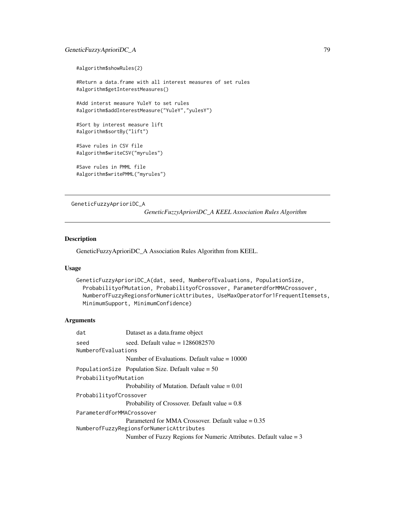# GeneticFuzzyAprioriDC\_A 79

#algorithm\$showRules(2)

#Return a data.frame with all interest measures of set rules #algorithm\$getInterestMeasures()

#Add interst measure YuleY to set rules #algorithm\$addInterestMeasure("YuleY","yulesY")

#Sort by interest measure lift #algorithm\$sortBy("lift")

#Save rules in CSV file #algorithm\$writeCSV("myrules")

#Save rules in PMML file #algorithm\$writePMML("myrules")

GeneticFuzzyAprioriDC\_A

*GeneticFuzzyAprioriDC\_A KEEL Association Rules Algorithm*

# Description

GeneticFuzzyAprioriDC\_A Association Rules Algorithm from KEEL.

### Usage

```
GeneticFuzzyAprioriDC_A(dat, seed, NumberofEvaluations, PopulationSize,
 ProbabilityofMutation, ProbabilityofCrossover, ParameterdforMMACrossover,
 NumberofFuzzyRegionsforNumericAttributes, UseMaxOperatorfor1FrequentItemsets,
 MinimumSupport, MinimumConfidence)
```
# Arguments

| dat                       | Dataset as a data.frame object                                      |  |
|---------------------------|---------------------------------------------------------------------|--|
| seed                      | seed. Default value $= 1286082570$                                  |  |
| NumberofEvaluations       |                                                                     |  |
|                           | Number of Evaluations. Default value $= 10000$                      |  |
|                           | Population Size Population Size. Default value $= 50$               |  |
| ProbabilityofMutation     |                                                                     |  |
|                           | Probability of Mutation. Default value $= 0.01$                     |  |
| ProbabilityofCrossover    |                                                                     |  |
|                           | Probability of Crossover. Default value $= 0.8$                     |  |
| ParameterdforMMACrossover |                                                                     |  |
|                           | Parameterd for MMA Crossover. Default value $= 0.35$                |  |
|                           | NumberofFuzzyRegionsforNumericAttributes                            |  |
|                           | Number of Fuzzy Regions for Numeric Attributes. Default value $=$ 3 |  |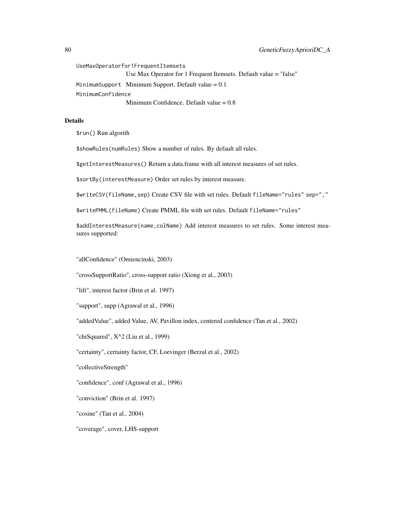```
UseMaxOperatorfor1FrequentItemsets
                 Use Max Operator for 1 Frequent Itemsets. Default value = "false"
MinimumSupport Minimum Support. Default value = 0.1
MinimumConfidence
                 Minimum Confidence. Default value = 0.8
```
# Details

\$run() Run algorith

\$showRules(numRules) Show a number of rules. By default all rules.

\$getInterestMeasures() Return a data.frame with all interest measures of set rules.

\$sortBy(interestMeasure) Order set rules by interest measure.

\$writeCSV(fileName,sep) Create CSV file with set rules. Default fileName="rules" sep=","

\$writePMML(fileName) Create PMML file with set rules. Default fileName="rules"

\$addInterestMeasure(name,colName) Add interest measures to set rules. Some interest measures supported:

"allConfidence" (Omiencinski, 2003)

"crossSupportRatio", cross-support ratio (Xiong et al., 2003)

"lift", interest factor (Brin et al. 1997)

"support", supp (Agrawal et al., 1996)

"addedValue", added Value, AV, Pavillon index, centered confidence (Tan et al., 2002)

"chiSquared", X^2 (Liu et al., 1999)

"certainty", certainty factor, CF, Loevinger (Berzal et al., 2002)

"collectiveStrength"

"confidence", conf (Agrawal et al., 1996)

"conviction" (Brin et al. 1997)

"cosine" (Tan et al., 2004)

"coverage", cover, LHS-support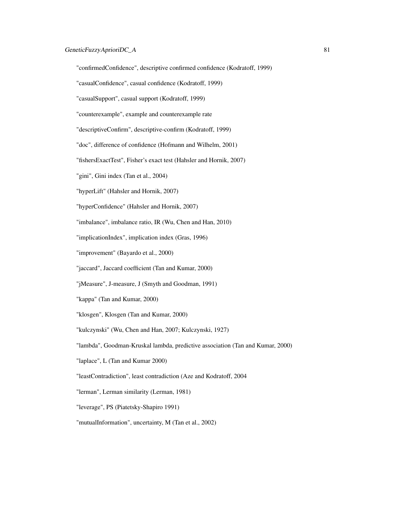"confirmedConfidence", descriptive confirmed confidence (Kodratoff, 1999)

"casualConfidence", casual confidence (Kodratoff, 1999)

"casualSupport", casual support (Kodratoff, 1999)

"counterexample", example and counterexample rate

"descriptiveConfirm", descriptive-confirm (Kodratoff, 1999)

"doc", difference of confidence (Hofmann and Wilhelm, 2001)

"fishersExactTest", Fisher's exact test (Hahsler and Hornik, 2007)

"gini", Gini index (Tan et al., 2004)

"hyperLift" (Hahsler and Hornik, 2007)

"hyperConfidence" (Hahsler and Hornik, 2007)

"imbalance", imbalance ratio, IR (Wu, Chen and Han, 2010)

"implicationIndex", implication index (Gras, 1996)

"improvement" (Bayardo et al., 2000)

"jaccard", Jaccard coefficient (Tan and Kumar, 2000)

"jMeasure", J-measure, J (Smyth and Goodman, 1991)

"kappa" (Tan and Kumar, 2000)

"klosgen", Klosgen (Tan and Kumar, 2000)

"kulczynski" (Wu, Chen and Han, 2007; Kulczynski, 1927)

"lambda", Goodman-Kruskal lambda, predictive association (Tan and Kumar, 2000)

"laplace", L (Tan and Kumar 2000)

"leastContradiction", least contradiction (Aze and Kodratoff, 2004

"lerman", Lerman similarity (Lerman, 1981)

"leverage", PS (Piatetsky-Shapiro 1991)

"mutualInformation", uncertainty, M (Tan et al., 2002)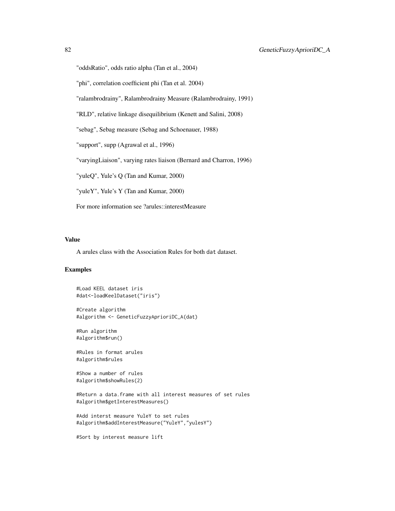```
"oddsRatio", odds ratio alpha (Tan et al., 2004)
```
"phi", correlation coefficient phi (Tan et al. 2004)

"ralambrodrainy", Ralambrodrainy Measure (Ralambrodrainy, 1991)

"RLD", relative linkage disequilibrium (Kenett and Salini, 2008)

"sebag", Sebag measure (Sebag and Schoenauer, 1988)

"support", supp (Agrawal et al., 1996)

"varyingLiaison", varying rates liaison (Bernard and Charron, 1996)

"yuleQ", Yule's Q (Tan and Kumar, 2000)

"yuleY", Yule's Y (Tan and Kumar, 2000)

For more information see ?arules::interestMeasure

#### Value

A arules class with the Association Rules for both dat dataset.

# Examples

```
#Load KEEL dataset iris
#dat<-loadKeelDataset("iris")
```

```
#Create algorithm
#algorithm <- GeneticFuzzyAprioriDC_A(dat)
```
#Run algorithm #algorithm\$run()

#Rules in format arules #algorithm\$rules

```
#Show a number of rules
#algorithm$showRules(2)
```
#Return a data.frame with all interest measures of set rules #algorithm\$getInterestMeasures()

```
#Add interst measure YuleY to set rules
#algorithm$addInterestMeasure("YuleY","yulesY")
```
#Sort by interest measure lift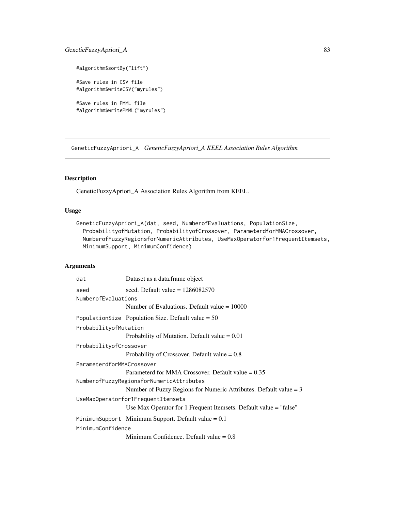# GeneticFuzzyApriori\_A 83

```
#algorithm$sortBy("lift")
#Save rules in CSV file
#algorithm$writeCSV("myrules")
#Save rules in PMML file
```
#algorithm\$writePMML("myrules")

GeneticFuzzyApriori\_A *GeneticFuzzyApriori\_A KEEL Association Rules Algorithm*

# Description

GeneticFuzzyApriori\_A Association Rules Algorithm from KEEL.

# Usage

```
GeneticFuzzyApriori_A(dat, seed, NumberofEvaluations, PopulationSize,
 ProbabilityofMutation, ProbabilityofCrossover, ParameterdforMMACrossover,
 NumberofFuzzyRegionsforNumericAttributes, UseMaxOperatorfor1FrequentItemsets,
 MinimumSupport, MinimumConfidence)
```
# Arguments

| dat                       | Dataset as a data.frame object                                      |
|---------------------------|---------------------------------------------------------------------|
| seed                      | seed. Default value = $1286082570$                                  |
| NumberofEvaluations       |                                                                     |
|                           | Number of Evaluations. Default value $= 10000$                      |
|                           | PopulationSize Population Size. Default value = $50$                |
| ProbabilityofMutation     |                                                                     |
|                           | Probability of Mutation. Default value $= 0.01$                     |
| ProbabilityofCrossover    |                                                                     |
|                           | Probability of Crossover. Default value $= 0.8$                     |
| ParameterdforMMACrossover |                                                                     |
|                           | Parameterd for MMA Crossover. Default value $= 0.35$                |
|                           | NumberofFuzzyRegionsforNumericAttributes                            |
|                           | Number of Fuzzy Regions for Numeric Attributes. Default value $= 3$ |
|                           | UseMaxOperatorfor1FrequentItemsets                                  |
|                           | Use Max Operator for 1 Frequent Itemsets. Default value = "false"   |
|                           | MinimumSupport Minimum Support. Default value = $0.1$               |
| MinimumConfidence         |                                                                     |
|                           | Minimum Confidence. Default value $= 0.8$                           |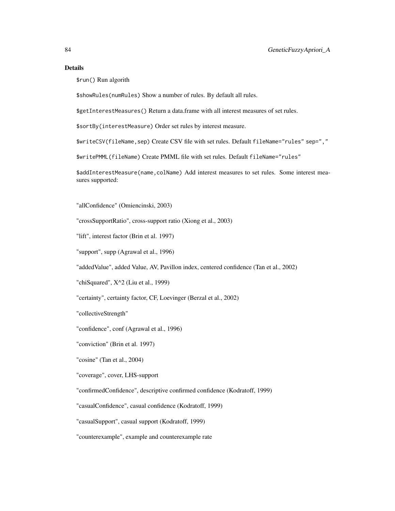### Details

\$run() Run algorith

\$showRules(numRules) Show a number of rules. By default all rules.

\$getInterestMeasures() Return a data.frame with all interest measures of set rules.

\$sortBy(interestMeasure) Order set rules by interest measure.

\$writeCSV(fileName,sep) Create CSV file with set rules. Default fileName="rules" sep=","

\$writePMML(fileName) Create PMML file with set rules. Default fileName="rules"

\$addInterestMeasure(name,colName) Add interest measures to set rules. Some interest measures supported:

"allConfidence" (Omiencinski, 2003)

"crossSupportRatio", cross-support ratio (Xiong et al., 2003)

"lift", interest factor (Brin et al. 1997)

"support", supp (Agrawal et al., 1996)

"addedValue", added Value, AV, Pavillon index, centered confidence (Tan et al., 2002)

"chiSquared",  $X^2$  (Liu et al., 1999)

"certainty", certainty factor, CF, Loevinger (Berzal et al., 2002)

"collectiveStrength"

"confidence", conf (Agrawal et al., 1996)

"conviction" (Brin et al. 1997)

"cosine" (Tan et al., 2004)

"coverage", cover, LHS-support

"confirmedConfidence", descriptive confirmed confidence (Kodratoff, 1999)

"casualConfidence", casual confidence (Kodratoff, 1999)

"casualSupport", casual support (Kodratoff, 1999)

"counterexample", example and counterexample rate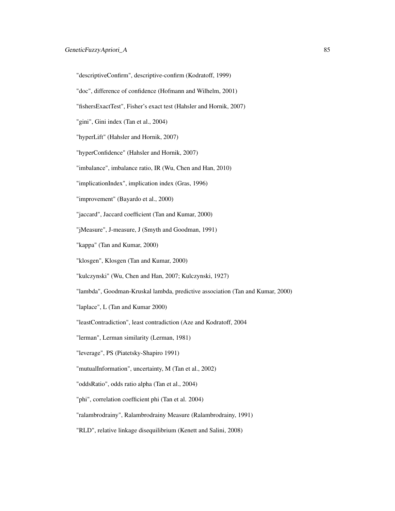"descriptiveConfirm", descriptive-confirm (Kodratoff, 1999)

"doc", difference of confidence (Hofmann and Wilhelm, 2001)

"fishersExactTest", Fisher's exact test (Hahsler and Hornik, 2007)

"gini", Gini index (Tan et al., 2004)

"hyperLift" (Hahsler and Hornik, 2007)

"hyperConfidence" (Hahsler and Hornik, 2007)

"imbalance", imbalance ratio, IR (Wu, Chen and Han, 2010)

"implicationIndex", implication index (Gras, 1996)

"improvement" (Bayardo et al., 2000)

"jaccard", Jaccard coefficient (Tan and Kumar, 2000)

"jMeasure", J-measure, J (Smyth and Goodman, 1991)

"kappa" (Tan and Kumar, 2000)

"klosgen", Klosgen (Tan and Kumar, 2000)

"kulczynski" (Wu, Chen and Han, 2007; Kulczynski, 1927)

"lambda", Goodman-Kruskal lambda, predictive association (Tan and Kumar, 2000)

"laplace", L (Tan and Kumar 2000)

"leastContradiction", least contradiction (Aze and Kodratoff, 2004

"lerman", Lerman similarity (Lerman, 1981)

"leverage", PS (Piatetsky-Shapiro 1991)

"mutualInformation", uncertainty, M (Tan et al., 2002)

"oddsRatio", odds ratio alpha (Tan et al., 2004)

"phi", correlation coefficient phi (Tan et al. 2004)

"ralambrodrainy", Ralambrodrainy Measure (Ralambrodrainy, 1991)

#### "RLD", relative linkage disequilibrium (Kenett and Salini, 2008)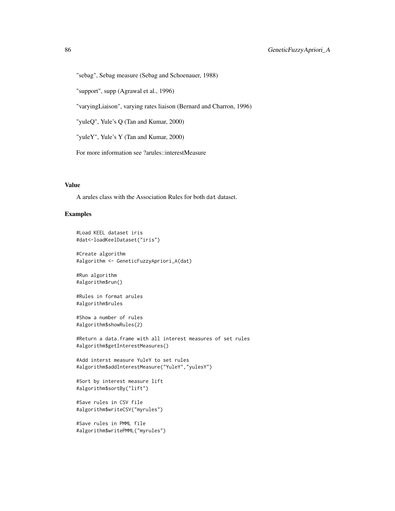"sebag", Sebag measure (Sebag and Schoenauer, 1988)

"support", supp (Agrawal et al., 1996)

"varyingLiaison", varying rates liaison (Bernard and Charron, 1996)

"yuleQ", Yule's Q (Tan and Kumar, 2000)

"yuleY", Yule's Y (Tan and Kumar, 2000)

For more information see ?arules::interestMeasure

### Value

A arules class with the Association Rules for both dat dataset.

#### Examples

```
#Load KEEL dataset iris
#dat<-loadKeelDataset("iris")
#Create algorithm
#algorithm <- GeneticFuzzyApriori_A(dat)
#Run algorithm
#algorithm$run()
```

```
#Rules in format arules
#algorithm$rules
```

```
#Show a number of rules
#algorithm$showRules(2)
```

```
#Return a data.frame with all interest measures of set rules
#algorithm$getInterestMeasures()
```

```
#Add interst measure YuleY to set rules
#algorithm$addInterestMeasure("YuleY","yulesY")
```

```
#Sort by interest measure lift
#algorithm$sortBy("lift")
```
#Save rules in CSV file #algorithm\$writeCSV("myrules")

```
#Save rules in PMML file
#algorithm$writePMML("myrules")
```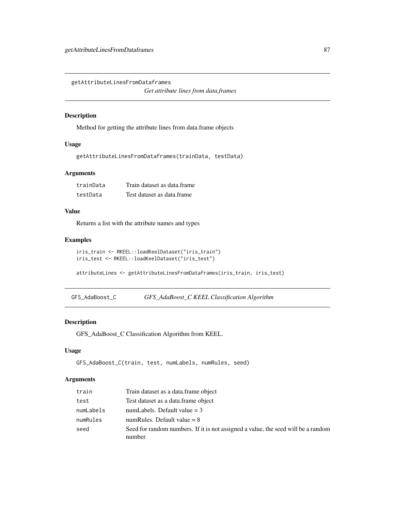getAttributeLinesFromDataframes

*Get attribute lines from data.frames*

# Description

Method for getting the attribute lines from data.frame objects

# Usage

```
getAttributeLinesFromDataframes(trainData, testData)
```
#### Arguments

| trainData | Train dataset as data.frame |
|-----------|-----------------------------|
| testData  | Test dataset as data.frame  |

# Value

Returns a list with the attribute names and types

#### Examples

```
iris_train <- RKEEL::loadKeelDataset("iris_train")
iris_test <- RKEEL::loadKeelDataset("iris_test")
```
attributeLines <- getAttributeLinesFromDataframes(iris\_train, iris\_test)

GFS\_AdaBoost\_C *GFS\_AdaBoost\_C KEEL Classification Algorithm*

### Description

GFS\_AdaBoost\_C Classification Algorithm from KEEL.

#### Usage

```
GFS_AdaBoost_C(train, test, numLabels, numRules, seed)
```
# Arguments

| train     | Train dataset as a data.frame object                                                        |
|-----------|---------------------------------------------------------------------------------------------|
| test      | Test dataset as a data.frame object                                                         |
| numLabels | numLabels. Default value $=$ 3                                                              |
| numRules  | numRules. Default value $= 8$                                                               |
| seed      | Seed for random numbers. If it is not assigned a value, the seed will be a random<br>number |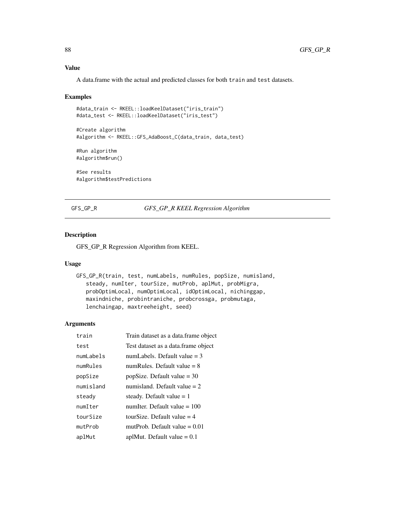### Value

A data.frame with the actual and predicted classes for both train and test datasets.

#### Examples

```
#data_train <- RKEEL::loadKeelDataset("iris_train")
#data_test <- RKEEL::loadKeelDataset("iris_test")
#Create algorithm
#algorithm <- RKEEL::GFS_AdaBoost_C(data_train, data_test)
#Run algorithm
#algorithm$run()
```
#See results #algorithm\$testPredictions

GFS\_GP\_R *GFS\_GP\_R KEEL Regression Algorithm*

# Description

GFS\_GP\_R Regression Algorithm from KEEL.

#### Usage

```
GFS_GP_R(train, test, numLabels, numRules, popSize, numisland,
   steady, numIter, tourSize, mutProb, aplMut, probMigra,
   probOptimLocal, numOptimLocal, idOptimLocal, nichinggap,
   maxindniche, probintraniche, probcrossga, probmutaga,
   lenchaingap, maxtreeheight, seed)
```
#### Arguments

| train     | Train dataset as a data.frame object |
|-----------|--------------------------------------|
| test      | Test dataset as a data frame object  |
| numLabels | numLabels. Default value $=$ 3       |
| numRules  | numRules. Default value $= 8$        |
| popSize   | popSize. Default value $=$ 30        |
| numisland | numisland. Default value $= 2$       |
| steady    | steady. Default value $= 1$          |
| numIter   | numIter. Default value $= 100$       |
| tourSize  | tourSize. Default value $=$ 4        |
| mutProb   | mutProb. Default value $= 0.01$      |
| aplMut    | aplMut. Default value $= 0.1$        |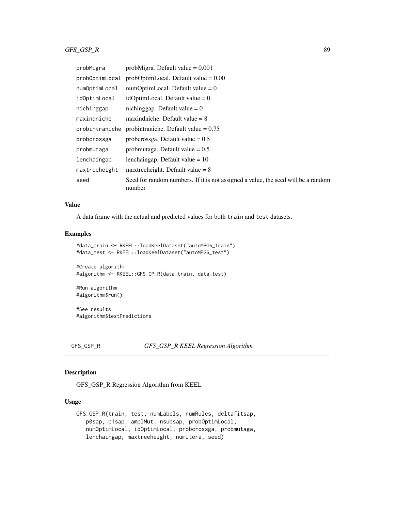| probMigra      | prob $Migra$ . Default value = 0.001                                                        |
|----------------|---------------------------------------------------------------------------------------------|
| probOptimLocal | prob $\Omega$ prob $\Omega$ . Default value = 0.00                                          |
| numOptimLocal  | $numOptimLocal$ . Default value = 0                                                         |
| idOptimLocal   | idOptimLocal. Default value $= 0$                                                           |
| nichinggap     | nichinggap. Default value $= 0$                                                             |
| maxindniche    | maxindniche. Default value = $8$                                                            |
| probintraniche | probintraniche. Default value = $0.75$                                                      |
| probcrossga    | probcrossga. Default value $= 0.5$                                                          |
| probmutaga     | probintaga. Default value $= 0.5$                                                           |
| lenchaingap    | lenchaingap. Default value $= 10$                                                           |
| maxtreeheight  | maxtreeheight. Default value $= 8$                                                          |
| seed           | Seed for random numbers. If it is not assigned a value, the seed will be a random<br>number |

### Value

A data.frame with the actual and predicted values for both train and test datasets.

# Examples

```
#data_train <- RKEEL::loadKeelDataset("autoMPG6_train")
#data_test <- RKEEL::loadKeelDataset("autoMPG6_test")
```

```
#Create algorithm
#algorithm <- RKEEL::GFS_GP_R(data_train, data_test)
```

```
#Run algorithm
#algorithm$run()
```
#See results #algorithm\$testPredictions

### GFS\_GSP\_R *GFS\_GSP\_R KEEL Regression Algorithm*

# Description

GFS\_GSP\_R Regression Algorithm from KEEL.

#### Usage

```
GFS_GSP_R(train, test, numLabels, numRules, deltafitsap,
  p0sap, p1sap, amplMut, nsubsap, probOptimLocal,
  numOptimLocal, idOptimLocal, probcrossga, probmutaga,
  lenchaingap, maxtreeheight, numItera, seed)
```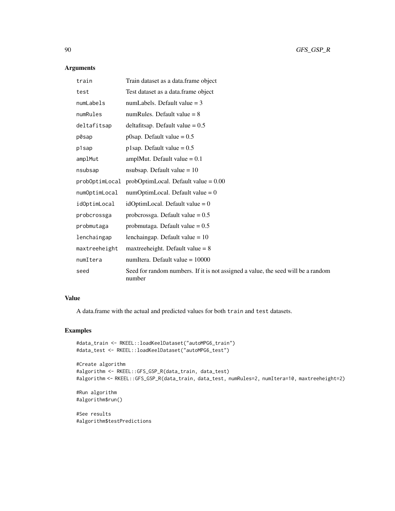### Arguments

| train          | Train dataset as a data.frame object                                                        |
|----------------|---------------------------------------------------------------------------------------------|
| test           | Test dataset as a data.frame object                                                         |
| numLabels      | numLabels. Default value $=$ 3                                                              |
| numRules       | numRules. Default value $= 8$                                                               |
| deltafitsap    | deltafitsap. Default value = $0.5$                                                          |
| p0sap          | p0sap. Default value $= 0.5$                                                                |
| p1sap          | p1sap. Default value = $0.5$                                                                |
| amplMut        | amplMut. Default value $= 0.1$                                                              |
| nsubsap        | nsubsap. Default value $= 10$                                                               |
| probOptimLocal | probOptimLocal. Default value = $0.00$                                                      |
| numOptimLocal  | $numOptimLocal$ . Default value = 0                                                         |
| idOptimLocal   | idOptimLocal. Default value = $0$                                                           |
| probcrossga    | probcrossga. Default value $= 0.5$                                                          |
| probmutaga     | probmutaga. Default value $= 0.5$                                                           |
| lenchaingap    | lenchaingap. Default value $= 10$                                                           |
| maxtreeheight  | maxtreeheight. Default value $= 8$                                                          |
| numItera       | numItera. Default value $= 10000$                                                           |
| seed           | Seed for random numbers. If it is not assigned a value, the seed will be a random<br>number |

### Value

A data.frame with the actual and predicted values for both train and test datasets.

### Examples

```
#data_train <- RKEEL::loadKeelDataset("autoMPG6_train")
#data_test <- RKEEL::loadKeelDataset("autoMPG6_test")
#Create algorithm
#algorithm <- RKEEL::GFS_GSP_R(data_train, data_test)
#algorithm <- RKEEL::GFS_GSP_R(data_train, data_test, numRules=2, numItera=10, maxtreeheight=2)
#Run algorithm
#algorithm$run()
```
#See results #algorithm\$testPredictions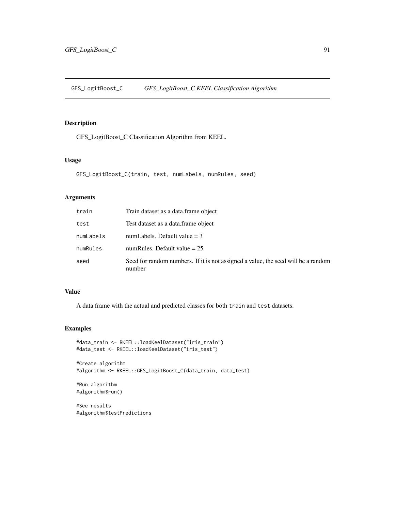GFS\_LogitBoost\_C *GFS\_LogitBoost\_C KEEL Classification Algorithm*

# Description

GFS\_LogitBoost\_C Classification Algorithm from KEEL.

## Usage

```
GFS_LogitBoost_C(train, test, numLabels, numRules, seed)
```
### Arguments

| train     | Train dataset as a data.frame object                                                        |
|-----------|---------------------------------------------------------------------------------------------|
| test      | Test dataset as a data. frame object                                                        |
| numLabels | numLabels. Default value $=$ 3                                                              |
| numRules  | numRules. Default value $= 25$                                                              |
| seed      | Seed for random numbers. If it is not assigned a value, the seed will be a random<br>number |

# Value

A data.frame with the actual and predicted classes for both train and test datasets.

#### Examples

```
#data_train <- RKEEL::loadKeelDataset("iris_train")
#data_test <- RKEEL::loadKeelDataset("iris_test")
#Create algorithm
#algorithm <- RKEEL::GFS_LogitBoost_C(data_train, data_test)
#Run algorithm
```

```
#algorithm$run()
```
#See results #algorithm\$testPredictions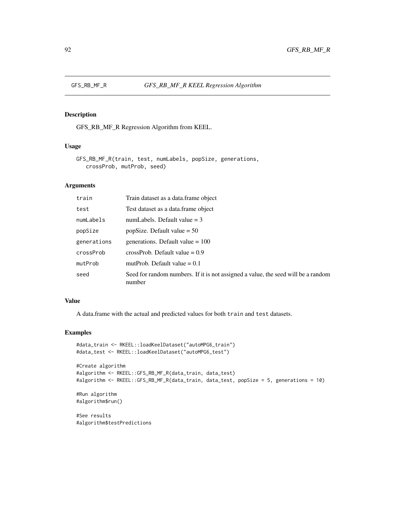### Description

GFS\_RB\_MF\_R Regression Algorithm from KEEL.

#### Usage

```
GFS_RB_MF_R(train, test, numLabels, popSize, generations,
   crossProb, mutProb, seed)
```
# Arguments

| train       | Train dataset as a data. frame object                                                       |
|-------------|---------------------------------------------------------------------------------------------|
| test        | Test dataset as a data.frame object                                                         |
| numLabels   | numLabels. Default value $=$ 3                                                              |
| popSize     | popSize. Default value $= 50$                                                               |
| generations | generations. Default value $= 100$                                                          |
| crossProb   | crossProb. Default value $= 0.9$                                                            |
| mutProb     | mutProb. Default value $= 0.1$                                                              |
| seed        | Seed for random numbers. If it is not assigned a value, the seed will be a random<br>number |

## Value

A data.frame with the actual and predicted values for both train and test datasets.

# Examples

```
#data_train <- RKEEL::loadKeelDataset("autoMPG6_train")
#data_test <- RKEEL::loadKeelDataset("autoMPG6_test")
#Create algorithm
#algorithm <- RKEEL::GFS_RB_MF_R(data_train, data_test)
#algorithm <- RKEEL::GFS_RB_MF_R(data_train, data_test, popSize = 5, generations = 10)
#Run algorithm
#algorithm$run()
#See results
#algorithm$testPredictions
```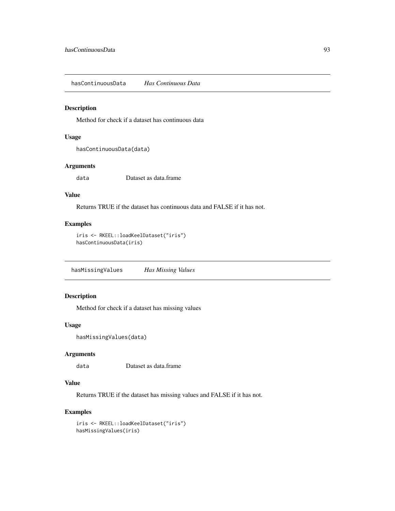hasContinuousData *Has Continuous Data*

### Description

Method for check if a dataset has continuous data

#### Usage

hasContinuousData(data)

# Arguments

data Dataset as data.frame

### Value

Returns TRUE if the dataset has continuous data and FALSE if it has not.

# Examples

```
iris <- RKEEL::loadKeelDataset("iris")
hasContinuousData(iris)
```
hasMissingValues *Has Missing Values*

# Description

Method for check if a dataset has missing values

#### Usage

```
hasMissingValues(data)
```
#### Arguments

data Dataset as data.frame

# Value

Returns TRUE if the dataset has missing values and FALSE if it has not.

# Examples

```
iris <- RKEEL::loadKeelDataset("iris")
hasMissingValues(iris)
```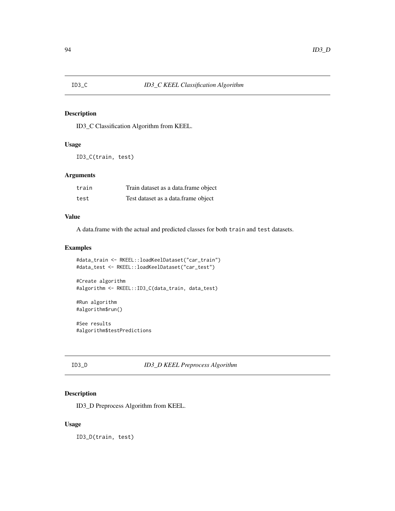# Description

ID3\_C Classification Algorithm from KEEL.

#### Usage

ID3\_C(train, test)

## Arguments

| train | Train dataset as a data.frame object |
|-------|--------------------------------------|
| test  | Test dataset as a data. frame object |

# Value

A data.frame with the actual and predicted classes for both train and test datasets.

# Examples

```
#data_train <- RKEEL::loadKeelDataset("car_train")
#data_test <- RKEEL::loadKeelDataset("car_test")
```

```
#Create algorithm
#algorithm <- RKEEL::ID3_C(data_train, data_test)
```

```
#Run algorithm
#algorithm$run()
```
#See results #algorithm\$testPredictions

# ID3\_D *ID3\_D KEEL Preprocess Algorithm*

# Description

ID3\_D Preprocess Algorithm from KEEL.

### Usage

ID3\_D(train, test)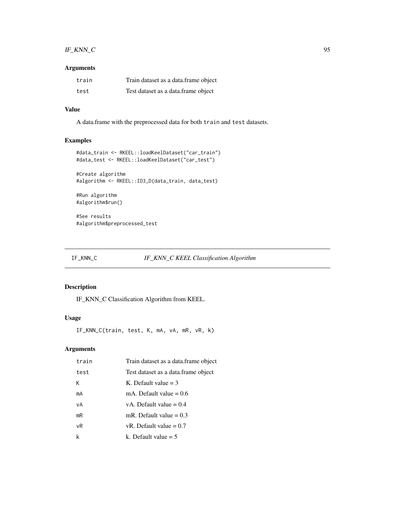# IF\_KNN\_C 95

# Arguments

| train | Train dataset as a data.frame object |
|-------|--------------------------------------|
| test  | Test dataset as a data.frame object  |

# Value

A data.frame with the preprocessed data for both train and test datasets.

# Examples

```
#data_train <- RKEEL::loadKeelDataset("car_train")
#data_test <- RKEEL::loadKeelDataset("car_test")
```

```
#Create algorithm
#algorithm <- RKEEL::ID3_D(data_train, data_test)
```
#Run algorithm #algorithm\$run()

#See results #algorithm\$preprocessed\_test

# IF\_KNN\_C *IF\_KNN\_C KEEL Classification Algorithm*

# Description

IF\_KNN\_C Classification Algorithm from KEEL.

## Usage

IF\_KNN\_C(train, test, K, mA, vA, mR, vR, k)

# Arguments

| train | Train dataset as a data.frame object |
|-------|--------------------------------------|
| test  | Test dataset as a data.frame object  |
| К     | K. Default value $=$ 3               |
| mA    | mA. Default value $= 0.6$            |
| νA    | vA. Default value $= 0.4$            |
| mR    | mR. Default value $= 0.3$            |
| vR    | vR. Default value $= 0.7$            |
| k     | k. Default value $= 5$               |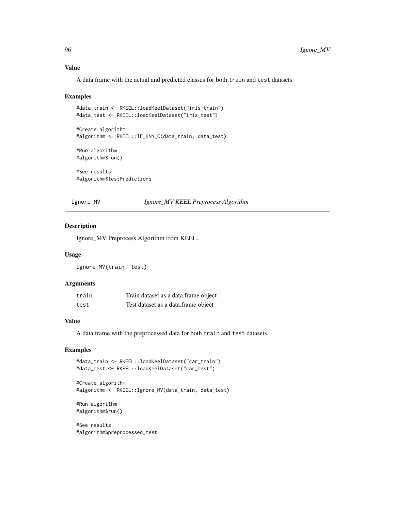### Value

A data.frame with the actual and predicted classes for both train and test datasets.

#### Examples

```
#data_train <- RKEEL::loadKeelDataset("iris_train")
#data_test <- RKEEL::loadKeelDataset("iris_test")
#Create algorithm
#algorithm <- RKEEL::IF_KNN_C(data_train, data_test)
#Run algorithm
#algorithm$run()
#See results
#algorithm$testPredictions
```
Ignore\_MV *Ignore\_MV KEEL Preprocess Algorithm*

### Description

Ignore\_MV Preprocess Algorithm from KEEL.

#### Usage

Ignore\_MV(train, test)

# Arguments

| train | Train dataset as a data.frame object |
|-------|--------------------------------------|
| test  | Test dataset as a data.frame object  |

# Value

A data.frame with the preprocessed data for both train and test datasets.

### Examples

```
#data_train <- RKEEL::loadKeelDataset("car_train")
#data_test <- RKEEL::loadKeelDataset("car_test")
```
#Create algorithm #algorithm <- RKEEL::Ignore\_MV(data\_train, data\_test)

```
#Run algorithm
#algorithm$run()
```
#See results #algorithm\$preprocessed\_test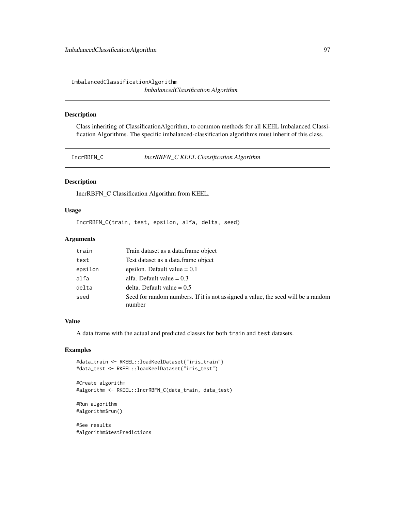ImbalancedClassificationAlgorithm *ImbalancedClassification Algorithm*

### Description

Class inheriting of ClassificationAlgorithm, to common methods for all KEEL Imbalanced Classification Algorithms. The specific imbalanced-classification algorithms must inherit of this class.

IncrRBFN\_C *IncrRBFN\_C KEEL Classification Algorithm*

# Description

IncrRBFN\_C Classification Algorithm from KEEL.

## Usage

IncrRBFN\_C(train, test, epsilon, alfa, delta, seed)

# Arguments

| train   | Train dataset as a data. frame object                                                       |
|---------|---------------------------------------------------------------------------------------------|
| test    | Test dataset as a data.frame object                                                         |
| epsilon | epsilon. Default value $= 0.1$                                                              |
| alfa    | alfa. Default value $= 0.3$                                                                 |
| delta   | delta. Default value $= 0.5$                                                                |
| seed    | Seed for random numbers. If it is not assigned a value, the seed will be a random<br>number |

# Value

A data.frame with the actual and predicted classes for both train and test datasets.

# Examples

```
#data_train <- RKEEL::loadKeelDataset("iris_train")
#data_test <- RKEEL::loadKeelDataset("iris_test")
```
#Create algorithm #algorithm <- RKEEL::IncrRBFN\_C(data\_train, data\_test)

```
#Run algorithm
#algorithm$run()
```
#See results #algorithm\$testPredictions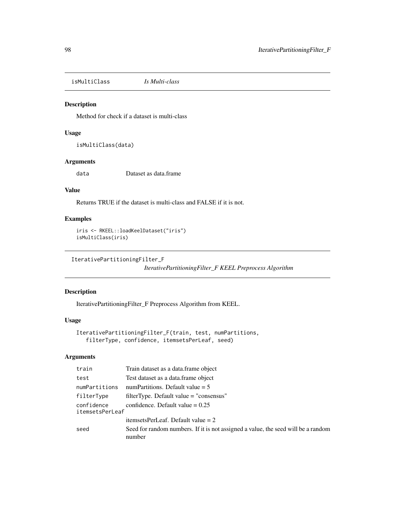isMultiClass *Is Multi-class*

## Description

Method for check if a dataset is multi-class

### Usage

```
isMultiClass(data)
```
### Arguments

data Dataset as data.frame

#### Value

Returns TRUE if the dataset is multi-class and FALSE if it is not.

### Examples

```
iris <- RKEEL::loadKeelDataset("iris")
isMultiClass(iris)
```

```
IterativePartitioningFilter_F
```
*IterativePartitioningFilter\_F KEEL Preprocess Algorithm*

# Description

IterativePartitioningFilter\_F Preprocess Algorithm from KEEL.

# Usage

```
IterativePartitioningFilter_F(train, test, numPartitions,
  filterType, confidence, itemsetsPerLeaf, seed)
```
# Arguments

| train                         | Train dataset as a data. frame object                                                       |
|-------------------------------|---------------------------------------------------------------------------------------------|
| test                          | Test dataset as a data.frame object                                                         |
| numPartitions                 | num Partitions. Default value $= 5$                                                         |
| filterType                    | $filterType$ . Default value = "consensus"                                                  |
| confidence<br>itemsetsPerLeaf | confidence. Default value $= 0.25$                                                          |
|                               | itemsetsPerLeaf. Default value $= 2$                                                        |
| seed                          | Seed for random numbers. If it is not assigned a value, the seed will be a random<br>number |
|                               |                                                                                             |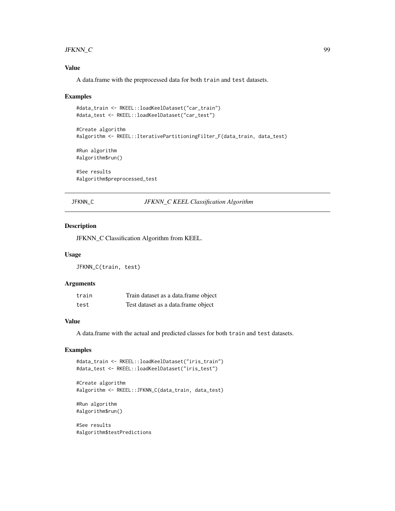#### $JFKNN\_C$  99

# Value

A data.frame with the preprocessed data for both train and test datasets.

#### Examples

```
#data_train <- RKEEL::loadKeelDataset("car_train")
#data_test <- RKEEL::loadKeelDataset("car_test")
#Create algorithm
#algorithm <- RKEEL::IterativePartitioningFilter_F(data_train, data_test)
#Run algorithm
#algorithm$run()
#See results
```

```
JFKNN_C JFKNN_C KEEL Classification Algorithm
```
### Description

JFKNN\_C Classification Algorithm from KEEL.

#### Usage

JFKNN\_C(train, test)

#algorithm\$preprocessed\_test

# Arguments

| train | Train dataset as a data.frame object |
|-------|--------------------------------------|
| test  | Test dataset as a data.frame object  |

# Value

A data.frame with the actual and predicted classes for both train and test datasets.

### Examples

```
#data_train <- RKEEL::loadKeelDataset("iris_train")
#data_test <- RKEEL::loadKeelDataset("iris_test")
```
#Create algorithm #algorithm <- RKEEL::JFKNN\_C(data\_train, data\_test)

```
#Run algorithm
#algorithm$run()
```
#See results #algorithm\$testPredictions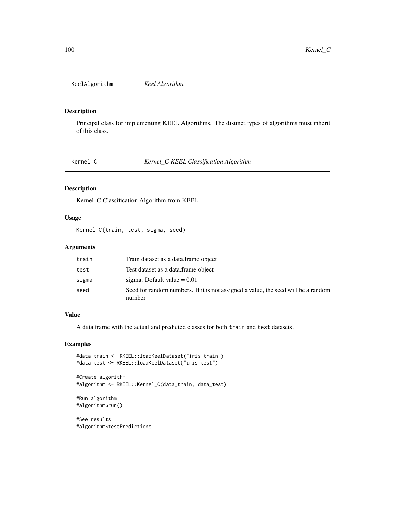KeelAlgorithm *Keel Algorithm*

# Description

Principal class for implementing KEEL Algorithms. The distinct types of algorithms must inherit of this class.

Kernel\_C *Kernel\_C KEEL Classification Algorithm*

# Description

Kernel\_C Classification Algorithm from KEEL.

### Usage

Kernel\_C(train, test, sigma, seed)

### Arguments

| train | Train dataset as a data.frame object                                                        |
|-------|---------------------------------------------------------------------------------------------|
| test  | Test dataset as a data.frame object                                                         |
| sigma | sigma. Default value $= 0.01$                                                               |
| seed  | Seed for random numbers. If it is not assigned a value, the seed will be a random<br>number |

#### Value

A data.frame with the actual and predicted classes for both train and test datasets.

# Examples

```
#data_train <- RKEEL::loadKeelDataset("iris_train")
#data_test <- RKEEL::loadKeelDataset("iris_test")
```

```
#Create algorithm
#algorithm <- RKEEL::Kernel_C(data_train, data_test)
```
#Run algorithm #algorithm\$run()

#See results #algorithm\$testPredictions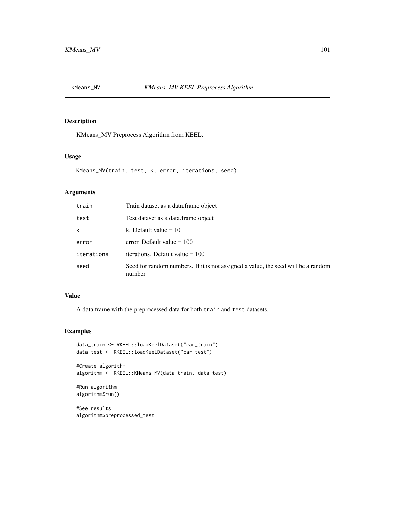## Description

KMeans\_MV Preprocess Algorithm from KEEL.

# Usage

```
KMeans_MV(train, test, k, error, iterations, seed)
```
# Arguments

| train      | Train dataset as a data. frame object                                                       |
|------------|---------------------------------------------------------------------------------------------|
| test       | Test dataset as a data. frame object                                                        |
| k          | k. Default value $= 10$                                                                     |
| error      | error. Default value $= 100$                                                                |
| iterations | iterations. Default value $= 100$                                                           |
| seed       | Seed for random numbers. If it is not assigned a value, the seed will be a random<br>number |

### Value

A data.frame with the preprocessed data for both train and test datasets.

# Examples

```
data_train <- RKEEL::loadKeelDataset("car_train")
data_test <- RKEEL::loadKeelDataset("car_test")
```

```
#Create algorithm
algorithm <- RKEEL::KMeans_MV(data_train, data_test)
```

```
#Run algorithm
algorithm$run()
```
#See results algorithm\$preprocessed\_test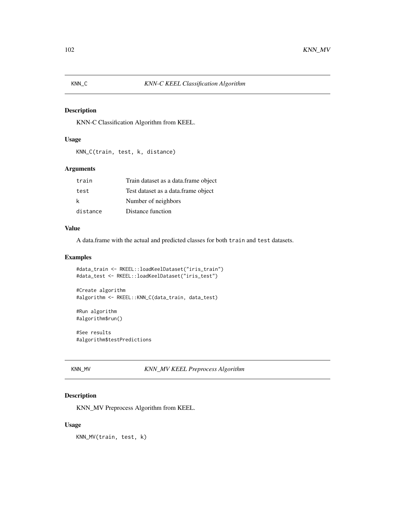# Description

KNN-C Classification Algorithm from KEEL.

### Usage

```
KNN_C(train, test, k, distance)
```
# Arguments

| train    | Train dataset as a data frame object |
|----------|--------------------------------------|
| test     | Test dataset as a data.frame object  |
| k        | Number of neighbors                  |
| distance | Distance function                    |

### Value

A data.frame with the actual and predicted classes for both train and test datasets.

### Examples

```
#data_train <- RKEEL::loadKeelDataset("iris_train")
#data_test <- RKEEL::loadKeelDataset("iris_test")
```
#Create algorithm #algorithm <- RKEEL::KNN\_C(data\_train, data\_test)

#Run algorithm #algorithm\$run()

#See results #algorithm\$testPredictions

# KNN\_MV *KNN\_MV KEEL Preprocess Algorithm*

# Description

KNN\_MV Preprocess Algorithm from KEEL.

#### Usage

KNN\_MV(train, test, k)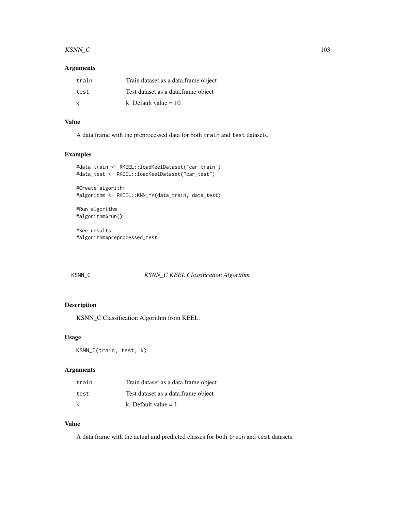#### $KSNN\_C$  103

# Arguments

| train | Train dataset as a data.frame object |
|-------|--------------------------------------|
| test  | Test dataset as a data.frame object  |
| k     | k. Default value $= 10$              |

# Value

A data.frame with the preprocessed data for both train and test datasets.

# Examples

```
#data_train <- RKEEL::loadKeelDataset("car_train")
#data_test <- RKEEL::loadKeelDataset("car_test")
#Create algorithm
#algorithm <- RKEEL::KNN_MV(data_train, data_test)
#Run algorithm
#algorithm$run()
```
#See results #algorithm\$preprocessed\_test

### KSNN\_C *KSNN\_C KEEL Classification Algorithm*

# Description

KSNN\_C Classification Algorithm from KEEL.

### Usage

```
KSNN_C(train, test, k)
```
#### Arguments

| train | Train dataset as a data.frame object |
|-------|--------------------------------------|
| test  | Test dataset as a data.frame object  |
| k     | k. Default value $= 1$               |

#### Value

A data.frame with the actual and predicted classes for both train and test datasets.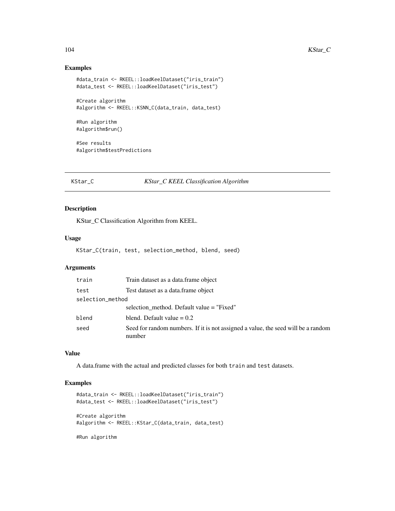### Examples

```
#data_train <- RKEEL::loadKeelDataset("iris_train")
#data_test <- RKEEL::loadKeelDataset("iris_test")
#Create algorithm
#algorithm <- RKEEL::KSNN_C(data_train, data_test)
#Run algorithm
#algorithm$run()
#See results
#algorithm$testPredictions
```
KStar\_C *KStar\_C KEEL Classification Algorithm*

### Description

KStar\_C Classification Algorithm from KEEL.

# Usage

KStar\_C(train, test, selection\_method, blend, seed)

## Arguments

| train            | Train dataset as a data.frame object                                                        |
|------------------|---------------------------------------------------------------------------------------------|
| test             | Test dataset as a data.frame object                                                         |
| selection_method |                                                                                             |
|                  | selection method. Default value = "Fixed"                                                   |
| blend            | blend. Default value $= 0.2$                                                                |
| seed             | Seed for random numbers. If it is not assigned a value, the seed will be a random<br>number |

# Value

A data.frame with the actual and predicted classes for both train and test datasets.

# Examples

```
#data_train <- RKEEL::loadKeelDataset("iris_train")
#data_test <- RKEEL::loadKeelDataset("iris_test")
#Create algorithm
#algorithm <- RKEEL::KStar_C(data_train, data_test)
```
#Run algorithm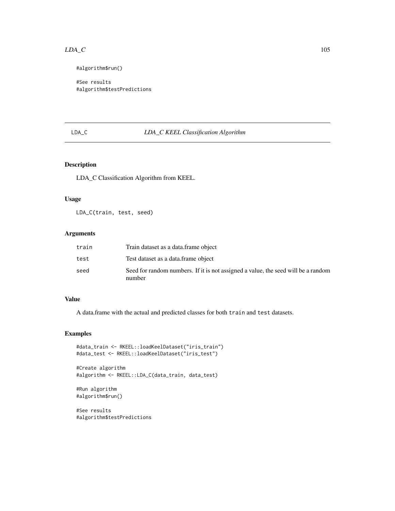#### $LDA_C$  and  $105$

#algorithm\$run()

#See results #algorithm\$testPredictions

# LDA\_C *LDA\_C KEEL Classification Algorithm*

# Description

LDA\_C Classification Algorithm from KEEL.

# Usage

LDA\_C(train, test, seed)

# Arguments

| train | Train dataset as a data.frame object                                                        |
|-------|---------------------------------------------------------------------------------------------|
| test  | Test dataset as a data.frame object                                                         |
| seed  | Seed for random numbers. If it is not assigned a value, the seed will be a random<br>number |

## Value

A data.frame with the actual and predicted classes for both train and test datasets.

## Examples

```
#data_train <- RKEEL::loadKeelDataset("iris_train")
#data_test <- RKEEL::loadKeelDataset("iris_test")
```

```
#Create algorithm
#algorithm <- RKEEL::LDA_C(data_train, data_test)
```

```
#Run algorithm
#algorithm$run()
```
#See results #algorithm\$testPredictions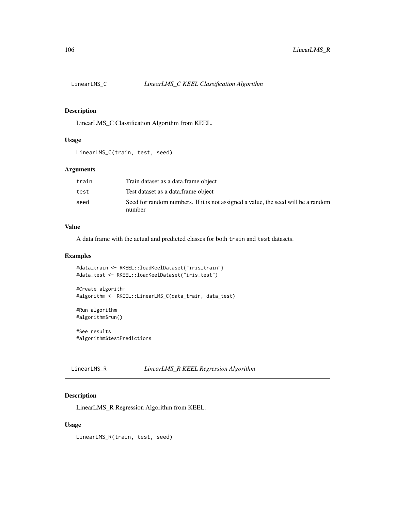# Description

LinearLMS\_C Classification Algorithm from KEEL.

#### Usage

```
LinearLMS_C(train, test, seed)
```
# Arguments

| train | Train dataset as a data.frame object                                                        |
|-------|---------------------------------------------------------------------------------------------|
| test  | Test dataset as a data.frame object                                                         |
| seed  | Seed for random numbers. If it is not assigned a value, the seed will be a random<br>number |

### Value

A data.frame with the actual and predicted classes for both train and test datasets.

### Examples

```
#data_train <- RKEEL::loadKeelDataset("iris_train")
#data_test <- RKEEL::loadKeelDataset("iris_test")
```

```
#Create algorithm
#algorithm <- RKEEL::LinearLMS_C(data_train, data_test)
```

```
#Run algorithm
#algorithm$run()
```
#See results #algorithm\$testPredictions

LinearLMS\_R *LinearLMS\_R KEEL Regression Algorithm*

# Description

LinearLMS\_R Regression Algorithm from KEEL.

# Usage

LinearLMS\_R(train, test, seed)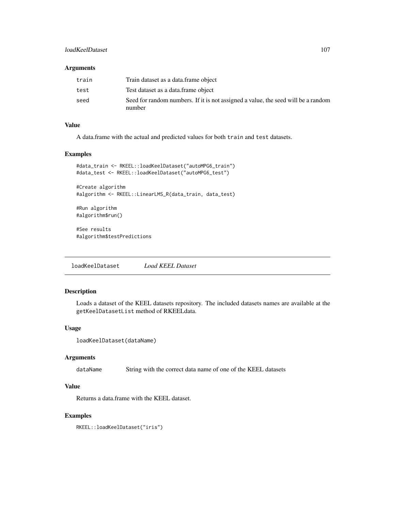## loadKeelDataset 107

### Arguments

| train | Train dataset as a data.frame object                                                        |
|-------|---------------------------------------------------------------------------------------------|
| test  | Test dataset as a data. frame object                                                        |
| seed  | Seed for random numbers. If it is not assigned a value, the seed will be a random<br>number |

# Value

A data.frame with the actual and predicted values for both train and test datasets.

### Examples

```
#data_train <- RKEEL::loadKeelDataset("autoMPG6_train")
#data_test <- RKEEL::loadKeelDataset("autoMPG6_test")
#Create algorithm
```
#algorithm <- RKEEL::LinearLMS\_R(data\_train, data\_test)

```
#Run algorithm
#algorithm$run()
```
#See results #algorithm\$testPredictions

loadKeelDataset *Load KEEL Dataset*

# Description

Loads a dataset of the KEEL datasets repository. The included datasets names are available at the getKeelDatasetList method of RKEELdata.

#### Usage

```
loadKeelDataset(dataName)
```
#### Arguments

dataName String with the correct data name of one of the KEEL datasets

# Value

Returns a data.frame with the KEEL dataset.

# Examples

RKEEL::loadKeelDataset("iris")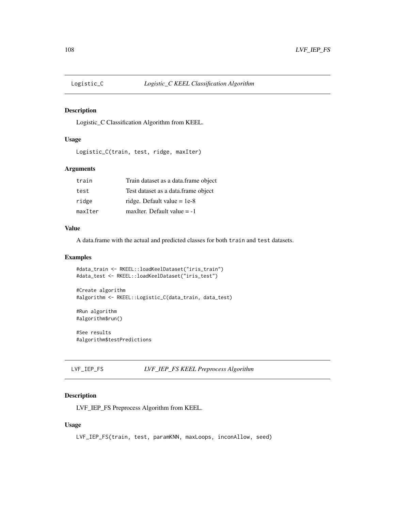#### Description

Logistic\_C Classification Algorithm from KEEL.

#### Usage

```
Logistic_C(train, test, ridge, maxIter)
```
### Arguments

| train   | Train dataset as a data.frame object |
|---------|--------------------------------------|
| test    | Test dataset as a data. frame object |
| ridge   | ridge. Default value $= 1e-8$        |
| maxIter | maxIter. Default value $= -1$        |

#### Value

A data.frame with the actual and predicted classes for both train and test datasets.

### Examples

```
#data_train <- RKEEL::loadKeelDataset("iris_train")
#data_test <- RKEEL::loadKeelDataset("iris_test")
```
#Create algorithm #algorithm <- RKEEL::Logistic\_C(data\_train, data\_test)

#Run algorithm #algorithm\$run()

#See results #algorithm\$testPredictions

# LVF\_IEP\_FS *LVF\_IEP\_FS KEEL Preprocess Algorithm*

# Description

LVF\_IEP\_FS Preprocess Algorithm from KEEL.

#### Usage

LVF\_IEP\_FS(train, test, paramKNN, maxLoops, inconAllow, seed)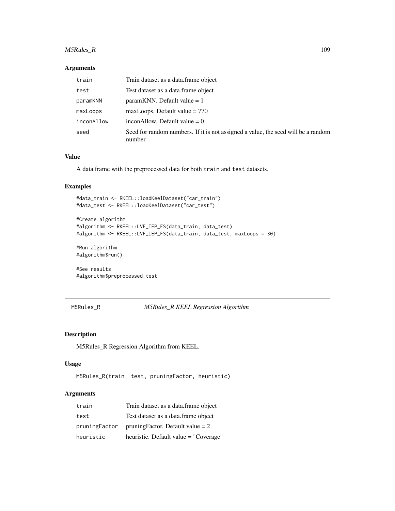## M5Rules\_R 109

## Arguments

| train      | Train dataset as a data. frame object                                                       |
|------------|---------------------------------------------------------------------------------------------|
| test       | Test dataset as a data. frame object                                                        |
| paramKNN   | $paramKNN$ . Default value = 1                                                              |
| maxLoops   | maxLoops. Default value $= 770$                                                             |
| inconAllow | inconAllow. Default value $= 0$                                                             |
| seed       | Seed for random numbers. If it is not assigned a value, the seed will be a random<br>number |

## Value

A data.frame with the preprocessed data for both train and test datasets.

## Examples

```
#data_train <- RKEEL::loadKeelDataset("car_train")
#data_test <- RKEEL::loadKeelDataset("car_test")
#Create algorithm
#algorithm <- RKEEL::LVF_IEP_FS(data_train, data_test)
```

```
#algorithm <- RKEEL::LVF_IEP_FS(data_train, data_test, maxLoops = 30)
```

```
#Run algorithm
#algorithm$run()
```
#See results #algorithm\$preprocessed\_test

```
M5Rules_R M5Rules_R KEEL Regression Algorithm
```
#### Description

M5Rules\_R Regression Algorithm from KEEL.

#### Usage

```
M5Rules_R(train, test, pruningFactor, heuristic)
```
## Arguments

| train         | Train dataset as a data.frame object  |
|---------------|---------------------------------------|
| test          | Test dataset as a data frame object   |
| pruningFactor | pruning Factor. Default value $= 2$   |
| heuristic     | heuristic. Default value = "Coverage" |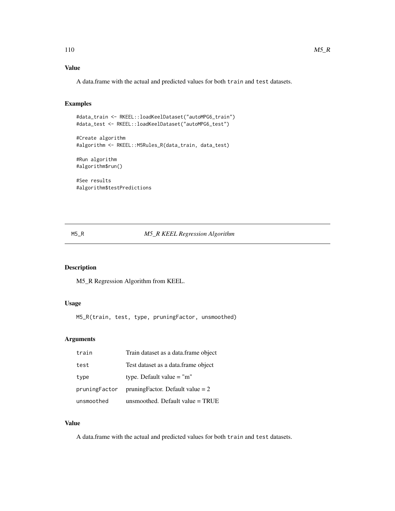A data.frame with the actual and predicted values for both train and test datasets.

## Examples

```
#data_train <- RKEEL::loadKeelDataset("autoMPG6_train")
#data_test <- RKEEL::loadKeelDataset("autoMPG6_test")
#Create algorithm
#algorithm <- RKEEL::M5Rules_R(data_train, data_test)
#Run algorithm
#algorithm$run()
```
#See results #algorithm\$testPredictions

## M5\_R *M5\_R KEEL Regression Algorithm*

## Description

M5\_R Regression Algorithm from KEEL.

#### Usage

M5\_R(train, test, type, pruningFactor, unsmoothed)

# Arguments

| train         | Train dataset as a data.frame object |
|---------------|--------------------------------------|
| test          | Test dataset as a data. frame object |
| type          | type. Default value $=$ "m"          |
| pruningFactor | pruning Factor. Default value $= 2$  |
| unsmoothed    | unsmoothed. Default value $=$ TRUE   |

# Value

A data.frame with the actual and predicted values for both train and test datasets.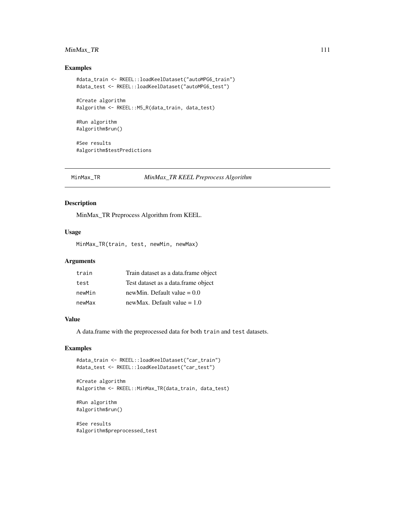## MinMax\_TR 111

#### Examples

```
#data_train <- RKEEL::loadKeelDataset("autoMPG6_train")
#data_test <- RKEEL::loadKeelDataset("autoMPG6_test")
#Create algorithm
```

```
#algorithm <- RKEEL::M5_R(data_train, data_test)
```
#Run algorithm #algorithm\$run()

#See results #algorithm\$testPredictions

## MinMax\_TR *MinMax\_TR KEEL Preprocess Algorithm*

## Description

MinMax\_TR Preprocess Algorithm from KEEL.

#### Usage

MinMax\_TR(train, test, newMin, newMax)

## Arguments

| train  | Train dataset as a data.frame object |
|--------|--------------------------------------|
| test   | Test dataset as a data.frame object  |
| newMin | newMin. Default value $= 0.0$        |
| newMax | newMax. Default value $= 1.0$        |

## Value

A data.frame with the preprocessed data for both train and test datasets.

## Examples

```
#data_train <- RKEEL::loadKeelDataset("car_train")
#data_test <- RKEEL::loadKeelDataset("car_test")
```

```
#Create algorithm
#algorithm <- RKEEL::MinMax_TR(data_train, data_test)
```

```
#Run algorithm
#algorithm$run()
```
#See results #algorithm\$preprocessed\_test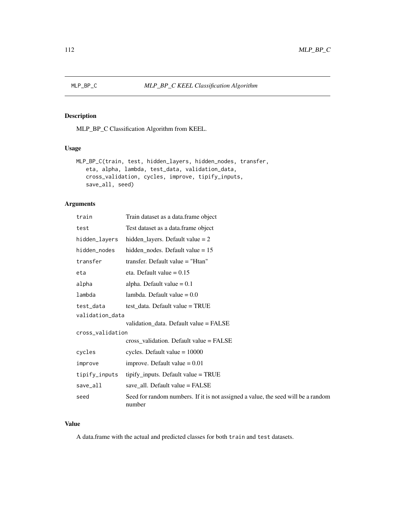MLP\_BP\_C Classification Algorithm from KEEL.

## Usage

```
MLP_BP_C(train, test, hidden_layers, hidden_nodes, transfer,
   eta, alpha, lambda, test_data, validation_data,
   cross_validation, cycles, improve, tipify_inputs,
   save_all, seed)
```
### Arguments

| train            | Train dataset as a data.frame object                                                        |  |
|------------------|---------------------------------------------------------------------------------------------|--|
| test             | Test dataset as a data.frame object                                                         |  |
| hidden_layers    | hidden_layers. Default value $= 2$                                                          |  |
| hidden nodes     | hidden_nodes. Default value = $15$                                                          |  |
| transfer         | transfer. Default value = "Htan"                                                            |  |
| eta              | eta. Default value $= 0.15$                                                                 |  |
| alpha            | alpha. Default value $= 0.1$                                                                |  |
| lambda           | lambda. Default value $= 0.0$                                                               |  |
| test_data        | test_data. Default value = TRUE                                                             |  |
| validation_data  |                                                                                             |  |
|                  | validation_data. Default value = FALSE                                                      |  |
| cross_validation |                                                                                             |  |
|                  | $cross\_validation$ . Default value = FALSE                                                 |  |
| cycles           | cycles. Default value $= 10000$                                                             |  |
| improve          | improve. Default value $= 0.01$                                                             |  |
| tipify_inputs    | tipify_inputs. Default value $=$ TRUE                                                       |  |
| save_all         | save_all. Default value $=$ FALSE                                                           |  |
| seed             | Seed for random numbers. If it is not assigned a value, the seed will be a random<br>number |  |

#### Value

A data.frame with the actual and predicted classes for both train and test datasets.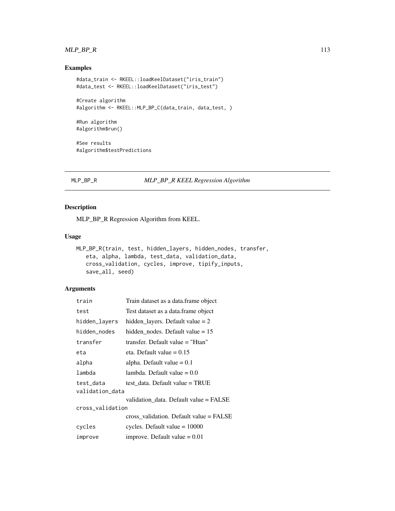## MLP\_BP\_R 113

## Examples

```
#data_train <- RKEEL::loadKeelDataset("iris_train")
#data_test <- RKEEL::loadKeelDataset("iris_test")
#Create algorithm
#algorithm <- RKEEL::MLP_BP_C(data_train, data_test, )
#Run algorithm
#algorithm$run()
#See results
```
#algorithm\$testPredictions

## MLP\_BP\_R *MLP\_BP\_R KEEL Regression Algorithm*

## Description

MLP\_BP\_R Regression Algorithm from KEEL.

#### Usage

```
MLP_BP_R(train, test, hidden_layers, hidden_nodes, transfer,
   eta, alpha, lambda, test_data, validation_data,
   cross_validation, cycles, improve, tipify_inputs,
   save_all, seed)
```
## Arguments

| train            | Train dataset as a data.frame object    |  |
|------------------|-----------------------------------------|--|
| test             | Test dataset as a data.frame object     |  |
| hidden_layers    | hidden_layers. Default value $= 2$      |  |
| hidden_nodes     | hidden nodes. Default value $= 15$      |  |
| transfer         | transfer. Default value = "Htan"        |  |
| eta              | eta. Default value $= 0.15$             |  |
| alpha            | alpha. Default value $= 0.1$            |  |
| lambda           | lambda. Default value $= 0.0$           |  |
| test_data        | test data. Default value = TRUE         |  |
| validation_data  |                                         |  |
|                  | validation data. Default value = FALSE  |  |
| cross_validation |                                         |  |
|                  | cross validation. Default value = FALSE |  |
| cycles           | cycles. Default value $= 10000$         |  |
| improve          | improve. Default value $= 0.01$         |  |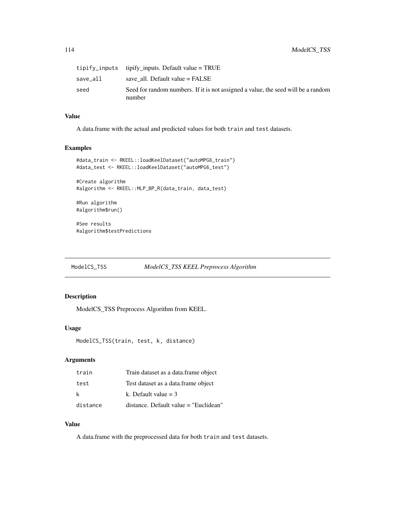|          | tipify_inputs tipify_inputs. Default value = TRUE                                           |
|----------|---------------------------------------------------------------------------------------------|
| save all | save all. Default value $=$ FALSE                                                           |
| seed     | Seed for random numbers. If it is not assigned a value, the seed will be a random<br>number |

#### Value

A data.frame with the actual and predicted values for both train and test datasets.

#### Examples

```
#data_train <- RKEEL::loadKeelDataset("autoMPG6_train")
#data_test <- RKEEL::loadKeelDataset("autoMPG6_test")
#Create algorithm
#algorithm <- RKEEL::MLP_BP_R(data_train, data_test)
#Run algorithm
#algorithm$run()
```
#See results #algorithm\$testPredictions

## ModelCS\_TSS *ModelCS\_TSS KEEL Preprocess Algorithm*

## Description

ModelCS\_TSS Preprocess Algorithm from KEEL.

## Usage

```
ModelCS_TSS(train, test, k, distance)
```
## Arguments

| train    | Train dataset as a data.frame object  |
|----------|---------------------------------------|
| test     | Test dataset as a data.frame object   |
| k        | k. Default value $=$ 3                |
| distance | distance. Default value = "Euclidean" |

#### Value

A data.frame with the preprocessed data for both train and test datasets.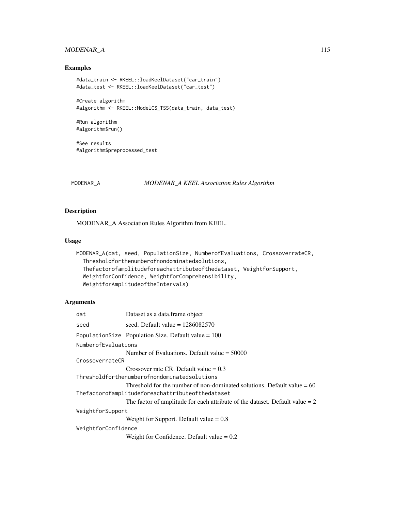## MODENAR\_A 115

#### Examples

```
#data_train <- RKEEL::loadKeelDataset("car_train")
#data_test <- RKEEL::loadKeelDataset("car_test")
```

```
#Create algorithm
#algorithm <- RKEEL::ModelCS_TSS(data_train, data_test)
```
#Run algorithm #algorithm\$run()

#See results #algorithm\$preprocessed\_test

MODENAR\_A *MODENAR\_A KEEL Association Rules Algorithm*

## Description

MODENAR\_A Association Rules Algorithm from KEEL.

#### Usage

```
MODENAR_A(dat, seed, PopulationSize, NumberofEvaluations, CrossoverrateCR,
  Thresholdforthenumberofnondominatedsolutions,
  Thefactorofamplitudeforeachattributeofthedataset, WeightforSupport,
  WeightforConfidence, WeightforComprehensibility,
  WeightforAmplitudeoftheIntervals)
```
## Arguments

| dat                                              | Dataset as a data.frame object                                                 |  |
|--------------------------------------------------|--------------------------------------------------------------------------------|--|
| seed                                             | seed. Default value $= 1286082570$                                             |  |
|                                                  | PopulationSize Population Size. Default value = $100$                          |  |
| NumberofEvaluations                              |                                                                                |  |
|                                                  | Number of Evaluations. Default value $= 50000$                                 |  |
| CrossoverrateCR                                  |                                                                                |  |
|                                                  | Crossover rate CR. Default value $= 0.3$                                       |  |
| Thresholdforthenumberofnondominatedsolutions     |                                                                                |  |
|                                                  | Threshold for the number of non-dominated solutions. Default value $= 60$      |  |
| Thefactorofamplitudeforeachattributeofthedataset |                                                                                |  |
|                                                  | The factor of amplitude for each attribute of the dataset. Default value $= 2$ |  |
| WeightforSupport                                 |                                                                                |  |
|                                                  | Weight for Support. Default value $= 0.8$                                      |  |
| WeightforConfidence                              |                                                                                |  |
|                                                  | Weight for Confidence. Default value $= 0.2$                                   |  |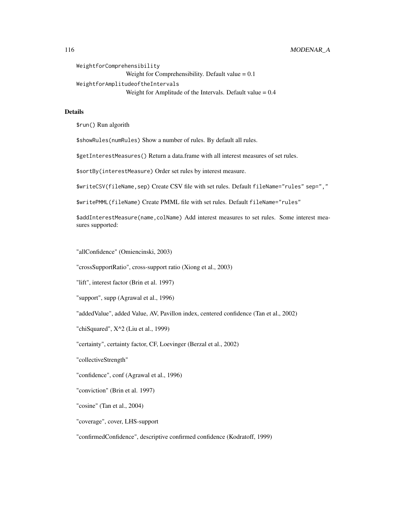## 116 MODENAR\_A

```
WeightforComprehensibility
                 Weight for Comprehensibility. Default value = 0.1WeightforAmplitudeoftheIntervals
                 Weight for Amplitude of the Intervals. Default value = 0.4
```
#### Details

\$run() Run algorith

\$showRules(numRules) Show a number of rules. By default all rules.

\$getInterestMeasures() Return a data.frame with all interest measures of set rules.

\$sortBy(interestMeasure) Order set rules by interest measure.

\$writeCSV(fileName,sep) Create CSV file with set rules. Default fileName="rules" sep=","

\$writePMML(fileName) Create PMML file with set rules. Default fileName="rules"

\$addInterestMeasure(name,colName) Add interest measures to set rules. Some interest measures supported:

"allConfidence" (Omiencinski, 2003)

"crossSupportRatio", cross-support ratio (Xiong et al., 2003)

"lift", interest factor (Brin et al. 1997)

"support", supp (Agrawal et al., 1996)

"addedValue", added Value, AV, Pavillon index, centered confidence (Tan et al., 2002)

"chiSquared",  $X^2$  (Liu et al., 1999)

"certainty", certainty factor, CF, Loevinger (Berzal et al., 2002)

"collectiveStrength"

"confidence", conf (Agrawal et al., 1996)

"conviction" (Brin et al. 1997)

"cosine" (Tan et al., 2004)

"coverage", cover, LHS-support

"confirmedConfidence", descriptive confirmed confidence (Kodratoff, 1999)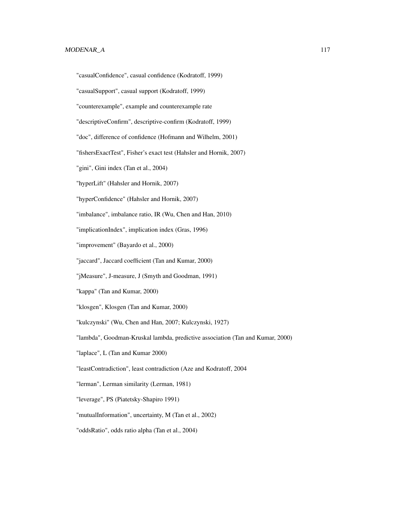"casualSupport", casual support (Kodratoff, 1999)

"counterexample", example and counterexample rate

"descriptiveConfirm", descriptive-confirm (Kodratoff, 1999)

"doc", difference of confidence (Hofmann and Wilhelm, 2001)

"fishersExactTest", Fisher's exact test (Hahsler and Hornik, 2007)

"gini", Gini index (Tan et al., 2004)

"hyperLift" (Hahsler and Hornik, 2007)

"hyperConfidence" (Hahsler and Hornik, 2007)

"imbalance", imbalance ratio, IR (Wu, Chen and Han, 2010)

"implicationIndex", implication index (Gras, 1996)

"improvement" (Bayardo et al., 2000)

"jaccard", Jaccard coefficient (Tan and Kumar, 2000)

"jMeasure", J-measure, J (Smyth and Goodman, 1991)

"kappa" (Tan and Kumar, 2000)

"klosgen", Klosgen (Tan and Kumar, 2000)

"kulczynski" (Wu, Chen and Han, 2007; Kulczynski, 1927)

"lambda", Goodman-Kruskal lambda, predictive association (Tan and Kumar, 2000)

"laplace", L (Tan and Kumar 2000)

"leastContradiction", least contradiction (Aze and Kodratoff, 2004

"lerman", Lerman similarity (Lerman, 1981)

"leverage", PS (Piatetsky-Shapiro 1991)

"mutualInformation", uncertainty, M (Tan et al., 2002)

"oddsRatio", odds ratio alpha (Tan et al., 2004)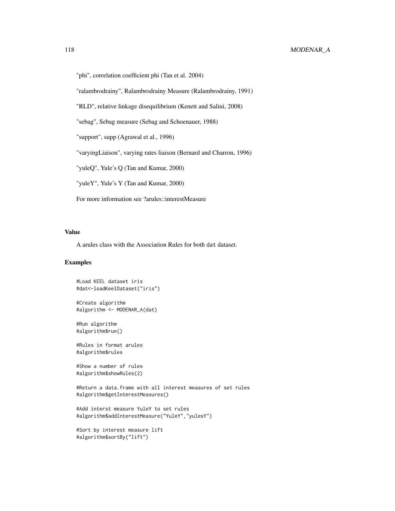## 118 MODENAR\_A

"phi", correlation coefficient phi (Tan et al. 2004)

"ralambrodrainy", Ralambrodrainy Measure (Ralambrodrainy, 1991)

"RLD", relative linkage disequilibrium (Kenett and Salini, 2008)

"sebag", Sebag measure (Sebag and Schoenauer, 1988)

"support", supp (Agrawal et al., 1996)

"varyingLiaison", varying rates liaison (Bernard and Charron, 1996)

"yuleQ", Yule's Q (Tan and Kumar, 2000)

"yuleY", Yule's Y (Tan and Kumar, 2000)

For more information see ?arules::interestMeasure

#### Value

A arules class with the Association Rules for both dat dataset.

## Examples

```
#Load KEEL dataset iris
#dat<-loadKeelDataset("iris")
#Create algorithm
#algorithm <- MODENAR_A(dat)
#Run algorithm
#algorithm$run()
#Rules in format arules
#algorithm$rules
#Show a number of rules
#algorithm$showRules(2)
#Return a data.frame with all interest measures of set rules
#algorithm$getInterestMeasures()
#Add interst measure YuleY to set rules
#algorithm$addInterestMeasure("YuleY","yulesY")
#Sort by interest measure lift
#algorithm$sortBy("lift")
```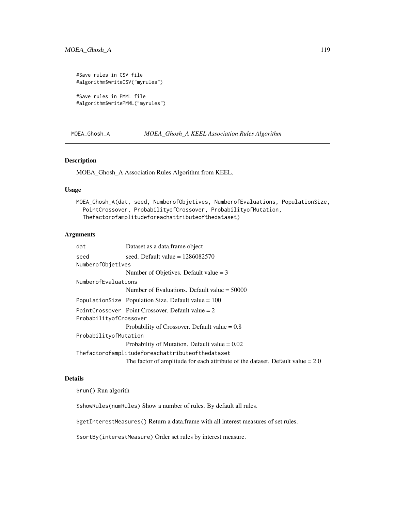#Save rules in CSV file #algorithm\$writeCSV("myrules")

#Save rules in PMML file #algorithm\$writePMML("myrules")

MOEA\_Ghosh\_A *MOEA\_Ghosh\_A KEEL Association Rules Algorithm*

## Description

MOEA\_Ghosh\_A Association Rules Algorithm from KEEL.

#### Usage

```
MOEA_Ghosh_A(dat, seed, NumberofObjetives, NumberofEvaluations, PopulationSize,
 PointCrossover, ProbabilityofCrossover, ProbabilityofMutation,
  Thefactorofamplitudeforeachattributeofthedataset)
```
# Arguments

| dat                    | Dataset as a data.frame object                                                   |
|------------------------|----------------------------------------------------------------------------------|
| seed                   | seed. Default value $= 1286082570$                                               |
| NumberofObjetives      |                                                                                  |
|                        | Number of Objetives. Default value $= 3$                                         |
| NumberofEvaluations    |                                                                                  |
|                        | Number of Evaluations. Default value $=$ 50000                                   |
|                        | Population Size Population Size. Default value $= 100$                           |
| ProbabilityofCrossover | Point Crossover Point Crossover. Default value $= 2$                             |
|                        | Probability of Crossover. Default value $= 0.8$                                  |
| ProbabilityofMutation  |                                                                                  |
|                        | Probability of Mutation. Default value $= 0.02$                                  |
|                        | Thefactorofamplitudeforeachattributeofthedataset                                 |
|                        | The factor of amplitude for each attribute of the dataset. Default value $= 2.0$ |

## Details

\$run() Run algorith

\$showRules(numRules) Show a number of rules. By default all rules.

\$getInterestMeasures() Return a data.frame with all interest measures of set rules.

\$sortBy(interestMeasure) Order set rules by interest measure.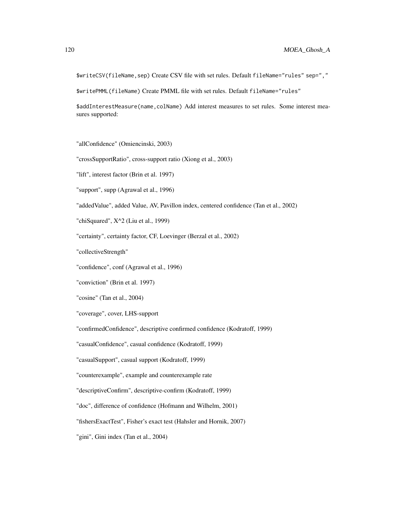\$writeCSV(fileName,sep) Create CSV file with set rules. Default fileName="rules" sep=","

\$writePMML(fileName) Create PMML file with set rules. Default fileName="rules"

\$addInterestMeasure(name,colName) Add interest measures to set rules. Some interest measures supported:

"allConfidence" (Omiencinski, 2003)

"crossSupportRatio", cross-support ratio (Xiong et al., 2003)

"lift", interest factor (Brin et al. 1997)

"support", supp (Agrawal et al., 1996)

"addedValue", added Value, AV, Pavillon index, centered confidence (Tan et al., 2002)

"chiSquared",  $X^2$  (Liu et al., 1999)

"certainty", certainty factor, CF, Loevinger (Berzal et al., 2002)

"collectiveStrength"

"confidence", conf (Agrawal et al., 1996)

"conviction" (Brin et al. 1997)

"cosine" (Tan et al., 2004)

"coverage", cover, LHS-support

"confirmedConfidence", descriptive confirmed confidence (Kodratoff, 1999)

"casualConfidence", casual confidence (Kodratoff, 1999)

"casualSupport", casual support (Kodratoff, 1999)

"counterexample", example and counterexample rate

"descriptiveConfirm", descriptive-confirm (Kodratoff, 1999)

"doc", difference of confidence (Hofmann and Wilhelm, 2001)

"fishersExactTest", Fisher's exact test (Hahsler and Hornik, 2007)

"gini", Gini index (Tan et al., 2004)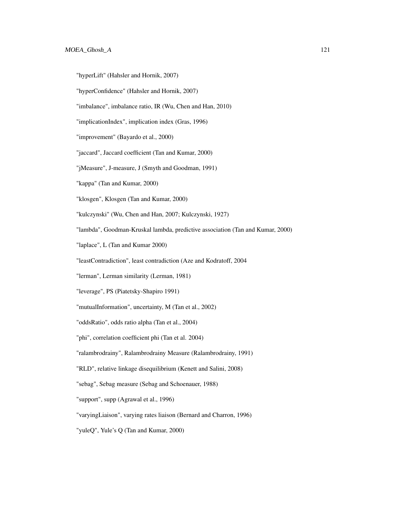- "hyperLift" (Hahsler and Hornik, 2007)
- "hyperConfidence" (Hahsler and Hornik, 2007)
- "imbalance", imbalance ratio, IR (Wu, Chen and Han, 2010)
- "implicationIndex", implication index (Gras, 1996)
- "improvement" (Bayardo et al., 2000)
- "jaccard", Jaccard coefficient (Tan and Kumar, 2000)
- "jMeasure", J-measure, J (Smyth and Goodman, 1991)
- "kappa" (Tan and Kumar, 2000)
- "klosgen", Klosgen (Tan and Kumar, 2000)
- "kulczynski" (Wu, Chen and Han, 2007; Kulczynski, 1927)
- "lambda", Goodman-Kruskal lambda, predictive association (Tan and Kumar, 2000)
- "laplace", L (Tan and Kumar 2000)
- "leastContradiction", least contradiction (Aze and Kodratoff, 2004
- "lerman", Lerman similarity (Lerman, 1981)
- "leverage", PS (Piatetsky-Shapiro 1991)
- "mutualInformation", uncertainty, M (Tan et al., 2002)
- "oddsRatio", odds ratio alpha (Tan et al., 2004)
- "phi", correlation coefficient phi (Tan et al. 2004)
- "ralambrodrainy", Ralambrodrainy Measure (Ralambrodrainy, 1991)
- "RLD", relative linkage disequilibrium (Kenett and Salini, 2008)
- "sebag", Sebag measure (Sebag and Schoenauer, 1988)
- "support", supp (Agrawal et al., 1996)
- "varyingLiaison", varying rates liaison (Bernard and Charron, 1996)
- "yuleQ", Yule's Q (Tan and Kumar, 2000)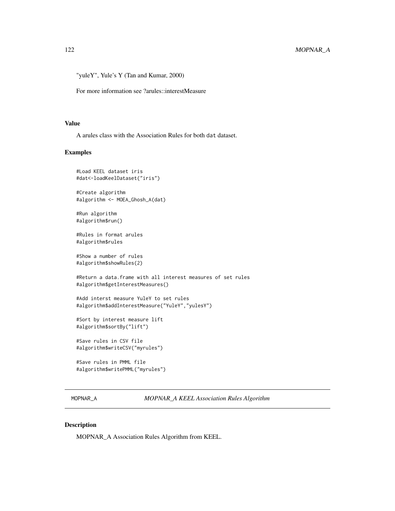"yuleY", Yule's Y (Tan and Kumar, 2000)

For more information see ?arules::interestMeasure

#### Value

A arules class with the Association Rules for both dat dataset.

## Examples

```
#Load KEEL dataset iris
#dat<-loadKeelDataset("iris")
#Create algorithm
#algorithm <- MOEA_Ghosh_A(dat)
#Run algorithm
#algorithm$run()
#Rules in format arules
#algorithm$rules
#Show a number of rules
#algorithm$showRules(2)
#Return a data.frame with all interest measures of set rules
#algorithm$getInterestMeasures()
#Add interst measure YuleY to set rules
#algorithm$addInterestMeasure("YuleY","yulesY")
#Sort by interest measure lift
#algorithm$sortBy("lift")
#Save rules in CSV file
#algorithm$writeCSV("myrules")
#Save rules in PMML file
#algorithm$writePMML("myrules")
```
MOPNAR\_A *MOPNAR\_A KEEL Association Rules Algorithm*

# Description

MOPNAR\_A Association Rules Algorithm from KEEL.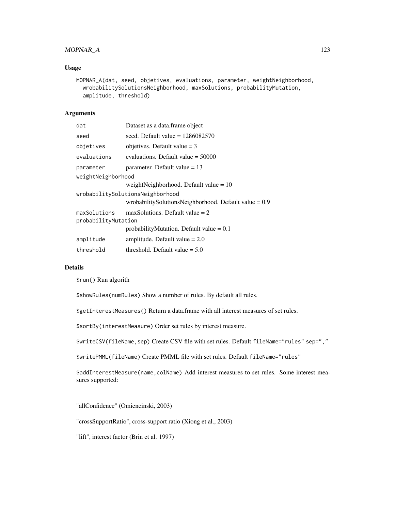## MOPNAR\_A 123

## Usage

```
MOPNAR_A(dat, seed, objetives, evaluations, parameter, weightNeighborhood,
  wrobabilitySolutionsNeighborhood, maxSolutions, probabilityMutation,
  amplitude, threshold)
```
## Arguments

| dat                 | Dataset as a data.frame object                          |
|---------------------|---------------------------------------------------------|
| seed                | seed. Default value $= 1286082570$                      |
| objetives           | objetives. Default value $=$ 3                          |
| evaluations         | evaluations. Default value $= 50000$                    |
| parameter           | parameter. Default value $= 13$                         |
| weightNeighborhood  |                                                         |
|                     | weightNeighborhood. Default value $= 10$                |
|                     | wrobabilitySolutionsNeighborhood                        |
|                     | wrobabilitySolutionsNeighborhood. Default value = $0.9$ |
| maxSolutions        | $maxSolutions$ . Default value = 2                      |
| probabilityMutation |                                                         |
|                     | probability Mutation. Default value $= 0.1$             |
| amplitude           | amplitude. Default value $= 2.0$                        |
| threshold           | threshold. Default value $= 5.0$                        |

#### Details

\$run() Run algorith

\$showRules(numRules) Show a number of rules. By default all rules.

\$getInterestMeasures() Return a data.frame with all interest measures of set rules.

\$sortBy(interestMeasure) Order set rules by interest measure.

\$writeCSV(fileName,sep) Create CSV file with set rules. Default fileName="rules" sep=","

\$writePMML(fileName) Create PMML file with set rules. Default fileName="rules"

\$addInterestMeasure(name,colName) Add interest measures to set rules. Some interest measures supported:

"allConfidence" (Omiencinski, 2003)

"crossSupportRatio", cross-support ratio (Xiong et al., 2003)

"lift", interest factor (Brin et al. 1997)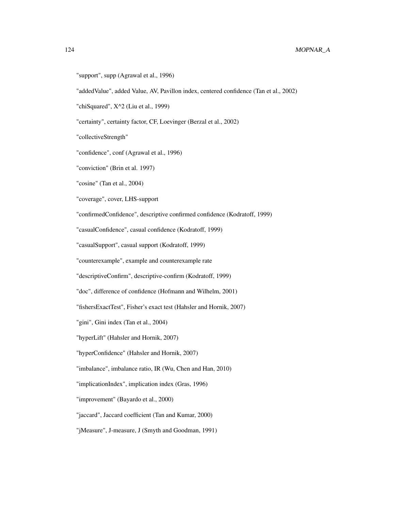## 124 MOPNAR\_A

"support", supp (Agrawal et al., 1996)

"addedValue", added Value, AV, Pavillon index, centered confidence (Tan et al., 2002)

"chiSquared", X^2 (Liu et al., 1999)

"certainty", certainty factor, CF, Loevinger (Berzal et al., 2002)

"collectiveStrength"

"confidence", conf (Agrawal et al., 1996)

"conviction" (Brin et al. 1997)

"cosine" (Tan et al., 2004)

"coverage", cover, LHS-support

"confirmedConfidence", descriptive confirmed confidence (Kodratoff, 1999)

"casualConfidence", casual confidence (Kodratoff, 1999)

"casualSupport", casual support (Kodratoff, 1999)

"counterexample", example and counterexample rate

"descriptiveConfirm", descriptive-confirm (Kodratoff, 1999)

"doc", difference of confidence (Hofmann and Wilhelm, 2001)

"fishersExactTest", Fisher's exact test (Hahsler and Hornik, 2007)

"gini", Gini index (Tan et al., 2004)

"hyperLift" (Hahsler and Hornik, 2007)

"hyperConfidence" (Hahsler and Hornik, 2007)

"imbalance", imbalance ratio, IR (Wu, Chen and Han, 2010)

"implicationIndex", implication index (Gras, 1996)

"improvement" (Bayardo et al., 2000)

"jaccard", Jaccard coefficient (Tan and Kumar, 2000)

"jMeasure", J-measure, J (Smyth and Goodman, 1991)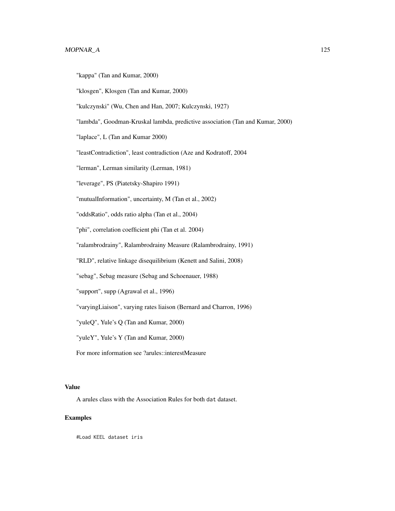"kappa" (Tan and Kumar, 2000)

"klosgen", Klosgen (Tan and Kumar, 2000)

"kulczynski" (Wu, Chen and Han, 2007; Kulczynski, 1927)

"lambda", Goodman-Kruskal lambda, predictive association (Tan and Kumar, 2000)

"laplace", L (Tan and Kumar 2000)

"leastContradiction", least contradiction (Aze and Kodratoff, 2004

"lerman", Lerman similarity (Lerman, 1981)

"leverage", PS (Piatetsky-Shapiro 1991)

"mutualInformation", uncertainty, M (Tan et al., 2002)

"oddsRatio", odds ratio alpha (Tan et al., 2004)

"phi", correlation coefficient phi (Tan et al. 2004)

"ralambrodrainy", Ralambrodrainy Measure (Ralambrodrainy, 1991)

"RLD", relative linkage disequilibrium (Kenett and Salini, 2008)

"sebag", Sebag measure (Sebag and Schoenauer, 1988)

"support", supp (Agrawal et al., 1996)

"varyingLiaison", varying rates liaison (Bernard and Charron, 1996)

"yuleQ", Yule's Q (Tan and Kumar, 2000)

"yuleY", Yule's Y (Tan and Kumar, 2000)

For more information see ?arules::interestMeasure

#### Value

A arules class with the Association Rules for both dat dataset.

#### Examples

#Load KEEL dataset iris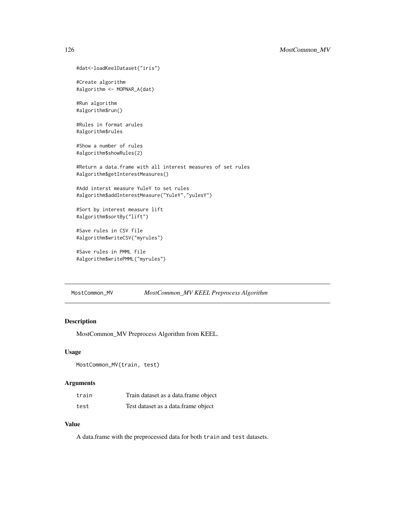```
#dat<-loadKeelDataset("iris")
#Create algorithm
#algorithm <- MOPNAR_A(dat)
#Run algorithm
#algorithm$run()
#Rules in format arules
#algorithm$rules
#Show a number of rules
#algorithm$showRules(2)
#Return a data.frame with all interest measures of set rules
#algorithm$getInterestMeasures()
#Add interst measure YuleY to set rules
#algorithm$addInterestMeasure("YuleY","yulesY")
#Sort by interest measure lift
#algorithm$sortBy("lift")
#Save rules in CSV file
#algorithm$writeCSV("myrules")
#Save rules in PMML file
```

```
#algorithm$writePMML("myrules")
```
MostCommon\_MV *MostCommon\_MV KEEL Preprocess Algorithm*

#### Description

MostCommon\_MV Preprocess Algorithm from KEEL.

## Usage

```
MostCommon_MV(train, test)
```
## Arguments

| train | Train dataset as a data.frame object |
|-------|--------------------------------------|
| test  | Test dataset as a data.frame object  |

#### Value

A data.frame with the preprocessed data for both train and test datasets.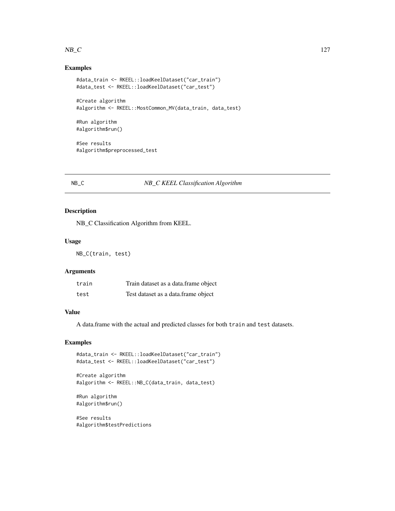#### $NB\_C$  127

#### Examples

```
#data_train <- RKEEL::loadKeelDataset("car_train")
#data_test <- RKEEL::loadKeelDataset("car_test")
#Create algorithm
```
#algorithm <- RKEEL::MostCommon\_MV(data\_train, data\_test)

#Run algorithm #algorithm\$run()

#See results #algorithm\$preprocessed\_test

## NB\_C *NB\_C KEEL Classification Algorithm*

#### Description

NB\_C Classification Algorithm from KEEL.

#### Usage

NB\_C(train, test)

## Arguments

| train | Train dataset as a data.frame object |
|-------|--------------------------------------|
| test  | Test dataset as a data.frame object  |

## Value

A data.frame with the actual and predicted classes for both train and test datasets.

#### Examples

```
#data_train <- RKEEL::loadKeelDataset("car_train")
#data_test <- RKEEL::loadKeelDataset("car_test")
```
#Create algorithm #algorithm <- RKEEL::NB\_C(data\_train, data\_test)

#Run algorithm #algorithm\$run()

#See results #algorithm\$testPredictions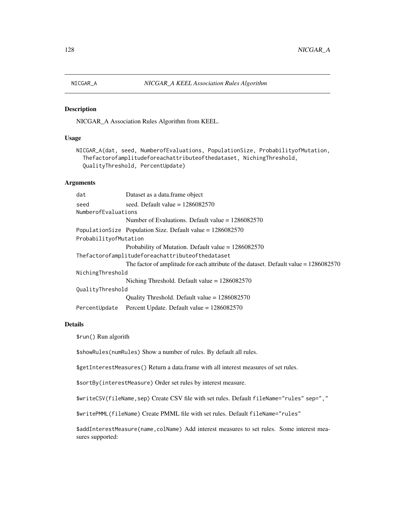NICGAR\_A Association Rules Algorithm from KEEL.

## Usage

```
NICGAR_A(dat, seed, NumberofEvaluations, PopulationSize, ProbabilityofMutation,
  Thefactorofamplitudeforeachattributeofthedataset, NichingThreshold,
  QualityThreshold, PercentUpdate)
```
## Arguments

| dat                                              | Dataset as a data.frame object                                                          |  |
|--------------------------------------------------|-----------------------------------------------------------------------------------------|--|
| seed                                             | seed. Default value $= 1286082570$                                                      |  |
| NumberofEvaluations                              |                                                                                         |  |
|                                                  | Number of Evaluations. Default value $= 1286082570$                                     |  |
|                                                  | Population Size Population Size. Default value = $1286082570$                           |  |
| Probability of Mutation                          |                                                                                         |  |
|                                                  | Probability of Mutation. Default value = $1286082570$                                   |  |
| Thefactorofamplitudeforeachattributeofthedataset |                                                                                         |  |
|                                                  | The factor of amplitude for each attribute of the dataset. Default value = $1286082570$ |  |
| NichingThreshold                                 |                                                                                         |  |
|                                                  | Niching Threshold. Default value $= 1286082570$                                         |  |
| QualityThreshold                                 |                                                                                         |  |
|                                                  | Quality Threshold. Default value = 1286082570                                           |  |
| PercentUpdate                                    | Percent Update. Default value = $1286082570$                                            |  |

#### Details

\$run() Run algorith

\$showRules(numRules) Show a number of rules. By default all rules.

\$getInterestMeasures() Return a data.frame with all interest measures of set rules.

\$sortBy(interestMeasure) Order set rules by interest measure.

\$writeCSV(fileName,sep) Create CSV file with set rules. Default fileName="rules" sep=","

\$writePMML(fileName) Create PMML file with set rules. Default fileName="rules"

\$addInterestMeasure(name,colName) Add interest measures to set rules. Some interest measures supported: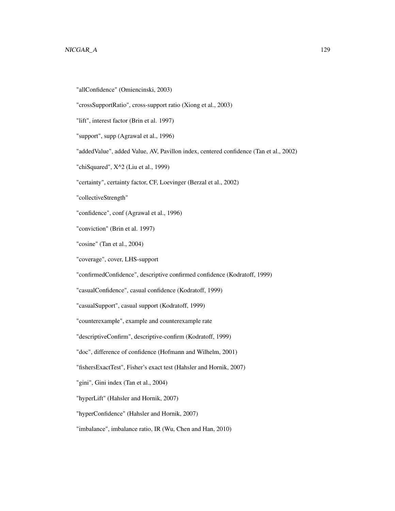## NICGAR\_A 129

"allConfidence" (Omiencinski, 2003)

"crossSupportRatio", cross-support ratio (Xiong et al., 2003)

"lift", interest factor (Brin et al. 1997)

"support", supp (Agrawal et al., 1996)

"addedValue", added Value, AV, Pavillon index, centered confidence (Tan et al., 2002)

"chiSquared", X^2 (Liu et al., 1999)

"certainty", certainty factor, CF, Loevinger (Berzal et al., 2002)

"collectiveStrength"

"confidence", conf (Agrawal et al., 1996)

"conviction" (Brin et al. 1997)

"cosine" (Tan et al., 2004)

"coverage", cover, LHS-support

"confirmedConfidence", descriptive confirmed confidence (Kodratoff, 1999)

"casualConfidence", casual confidence (Kodratoff, 1999)

"casualSupport", casual support (Kodratoff, 1999)

"counterexample", example and counterexample rate

"descriptiveConfirm", descriptive-confirm (Kodratoff, 1999)

"doc", difference of confidence (Hofmann and Wilhelm, 2001)

"fishersExactTest", Fisher's exact test (Hahsler and Hornik, 2007)

"gini", Gini index (Tan et al., 2004)

"hyperLift" (Hahsler and Hornik, 2007)

"hyperConfidence" (Hahsler and Hornik, 2007)

"imbalance", imbalance ratio, IR (Wu, Chen and Han, 2010)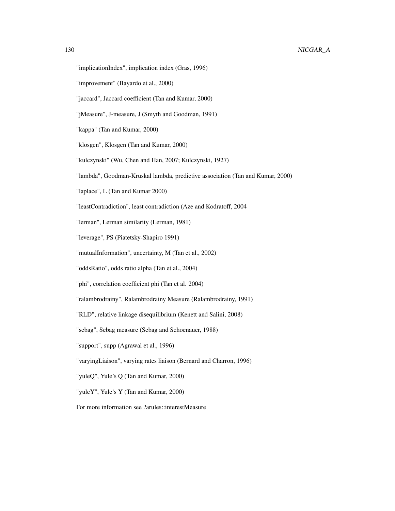- "implicationIndex", implication index (Gras, 1996)
- "improvement" (Bayardo et al., 2000)
- "jaccard", Jaccard coefficient (Tan and Kumar, 2000)
- "jMeasure", J-measure, J (Smyth and Goodman, 1991)
- "kappa" (Tan and Kumar, 2000)
- "klosgen", Klosgen (Tan and Kumar, 2000)
- "kulczynski" (Wu, Chen and Han, 2007; Kulczynski, 1927)
- "lambda", Goodman-Kruskal lambda, predictive association (Tan and Kumar, 2000)
- "laplace", L (Tan and Kumar 2000)
- "leastContradiction", least contradiction (Aze and Kodratoff, 2004
- "lerman", Lerman similarity (Lerman, 1981)
- "leverage", PS (Piatetsky-Shapiro 1991)
- "mutualInformation", uncertainty, M (Tan et al., 2002)
- "oddsRatio", odds ratio alpha (Tan et al., 2004)
- "phi", correlation coefficient phi (Tan et al. 2004)
- "ralambrodrainy", Ralambrodrainy Measure (Ralambrodrainy, 1991)
- "RLD", relative linkage disequilibrium (Kenett and Salini, 2008)
- "sebag", Sebag measure (Sebag and Schoenauer, 1988)
- "support", supp (Agrawal et al., 1996)
- "varyingLiaison", varying rates liaison (Bernard and Charron, 1996)
- "yuleQ", Yule's Q (Tan and Kumar, 2000)
- "yuleY", Yule's Y (Tan and Kumar, 2000)
- For more information see ?arules::interestMeasure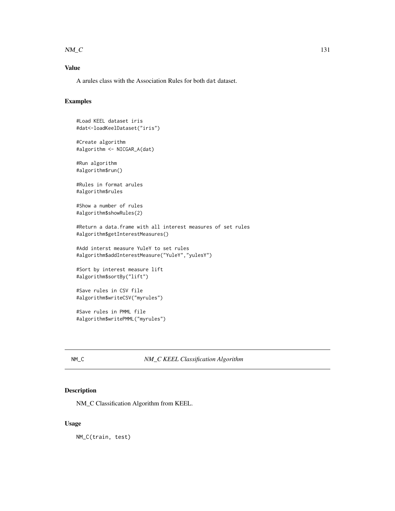#### $NM\_C$  131

# Value

A arules class with the Association Rules for both dat dataset.

## Examples

```
#Load KEEL dataset iris
#dat<-loadKeelDataset("iris")
#Create algorithm
#algorithm <- NICGAR_A(dat)
#Run algorithm
#algorithm$run()
#Rules in format arules
#algorithm$rules
#Show a number of rules
#algorithm$showRules(2)
#Return a data.frame with all interest measures of set rules
#algorithm$getInterestMeasures()
#Add interst measure YuleY to set rules
#algorithm$addInterestMeasure("YuleY","yulesY")
#Sort by interest measure lift
#algorithm$sortBy("lift")
#Save rules in CSV file
#algorithm$writeCSV("myrules")
#Save rules in PMML file
```
#algorithm\$writePMML("myrules")

#### NM\_C *NM\_C KEEL Classification Algorithm*

## Description

NM\_C Classification Algorithm from KEEL.

#### Usage

NM\_C(train, test)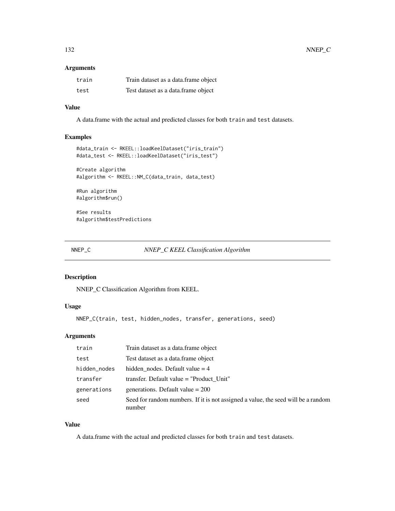## Arguments

| train | Train dataset as a data.frame object |
|-------|--------------------------------------|
| test  | Test dataset as a data.frame object  |

## Value

A data.frame with the actual and predicted classes for both train and test datasets.

#### Examples

```
#data_train <- RKEEL::loadKeelDataset("iris_train")
#data_test <- RKEEL::loadKeelDataset("iris_test")
#Create algorithm
```
#algorithm <- RKEEL::NM\_C(data\_train, data\_test)

#Run algorithm #algorithm\$run()

#See results #algorithm\$testPredictions

#### NNEP\_C *NNEP\_C KEEL Classification Algorithm*

# Description

NNEP\_C Classification Algorithm from KEEL.

#### Usage

NNEP\_C(train, test, hidden\_nodes, transfer, generations, seed)

## Arguments

| train        | Train dataset as a data.frame object                                                        |
|--------------|---------------------------------------------------------------------------------------------|
| test         | Test dataset as a data.frame object                                                         |
| hidden_nodes | hidden nodes. Default value $=$ 4                                                           |
| transfer     | transfer. Default value = "Product Unit"                                                    |
| generations  | generations. Default value $= 200$                                                          |
| seed         | Seed for random numbers. If it is not assigned a value, the seed will be a random<br>number |

## Value

A data.frame with the actual and predicted classes for both train and test datasets.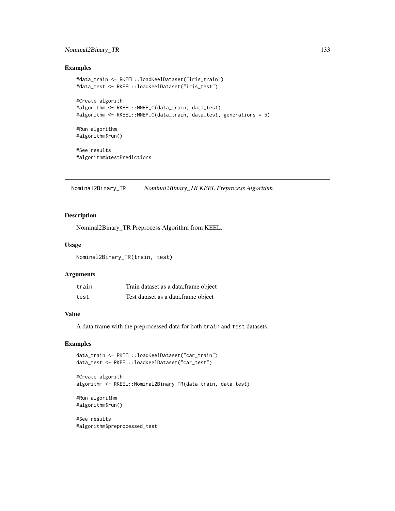## Nominal2Binary\_TR 133

#### Examples

```
#data_train <- RKEEL::loadKeelDataset("iris_train")
#data_test <- RKEEL::loadKeelDataset("iris_test")
#Create algorithm
#algorithm <- RKEEL::NNEP_C(data_train, data_test)
#algorithm <- RKEEL::NNEP_C(data_train, data_test, generations = 5)
#Run algorithm
#algorithm$run()
#See results
#algorithm$testPredictions
```
Nominal2Binary\_TR *Nominal2Binary\_TR KEEL Preprocess Algorithm*

#### Description

Nominal2Binary\_TR Preprocess Algorithm from KEEL.

#### Usage

Nominal2Binary\_TR(train, test)

#### Arguments

| train | Train dataset as a data.frame object |
|-------|--------------------------------------|
| test  | Test dataset as a data.frame object  |

## Value

A data.frame with the preprocessed data for both train and test datasets.

## Examples

```
data_train <- RKEEL::loadKeelDataset("car_train")
data_test <- RKEEL::loadKeelDataset("car_test")
```

```
#Create algorithm
algorithm <- RKEEL::Nominal2Binary_TR(data_train, data_test)
```
#Run algorithm #algorithm\$run()

#See results #algorithm\$preprocessed\_test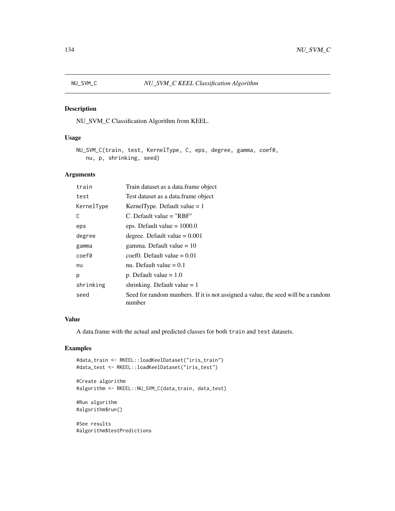NU\_SVM\_C Classification Algorithm from KEEL.

## Usage

```
NU_SVM_C(train, test, KernelType, C, eps, degree, gamma, coef0,
   nu, p, shrinking, seed)
```
# Arguments

| Train dataset as a data. frame object                                                       |
|---------------------------------------------------------------------------------------------|
| Test dataset as a data. frame object                                                        |
| KernelType. Default value $= 1$                                                             |
| $C.$ Default value $=$ "RBF"                                                                |
| eps. Default value $= 1000.0$                                                               |
| degree. Default value $= 0.001$                                                             |
| gamma. Default value $= 10$                                                                 |
| $\text{coeff}$ . Default value = 0.01                                                       |
| nu. Default value $= 0.1$                                                                   |
| p. Default value $= 1.0$                                                                    |
| shrinking. Default value $= 1$                                                              |
| Seed for random numbers. If it is not assigned a value, the seed will be a random<br>number |
|                                                                                             |

# Value

A data.frame with the actual and predicted classes for both train and test datasets.

## Examples

```
#data_train <- RKEEL::loadKeelDataset("iris_train")
#data_test <- RKEEL::loadKeelDataset("iris_test")
```

```
#Create algorithm
#algorithm <- RKEEL::NU_SVM_C(data_train, data_test)
```

```
#Run algorithm
#algorithm$run()
```
#See results #algorithm\$testPredictions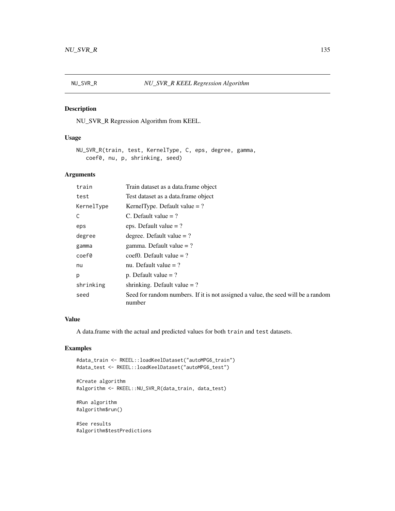NU\_SVR\_R Regression Algorithm from KEEL.

## Usage

```
NU_SVR_R(train, test, KernelType, C, eps, degree, gamma,
   coef0, nu, p, shrinking, seed)
```
# Arguments

| train      | Train dataset as a data.frame object                                                        |
|------------|---------------------------------------------------------------------------------------------|
| test       | Test dataset as a data. frame object                                                        |
| KernelType | KernelType. Default value $= ?$                                                             |
| C          | C. Default value $= ?$                                                                      |
| eps        | eps. Default value $= ?$                                                                    |
| degree     | degree. Default value $= ?$                                                                 |
| gamma      | gamma. Default value $= ?$                                                                  |
| coef0      | coef0. Default value $= ?$                                                                  |
| nu         | nu. Default value $= ?$                                                                     |
| p          | p. Default value $= ?$                                                                      |
| shrinking  | shrinking. Default value $= ?$                                                              |
| seed       | Seed for random numbers. If it is not assigned a value, the seed will be a random<br>number |
|            |                                                                                             |

# Value

A data.frame with the actual and predicted values for both train and test datasets.

## Examples

```
#data_train <- RKEEL::loadKeelDataset("autoMPG6_train")
#data_test <- RKEEL::loadKeelDataset("autoMPG6_test")
```
#Create algorithm #algorithm <- RKEEL::NU\_SVR\_R(data\_train, data\_test)

```
#Run algorithm
#algorithm$run()
```
#See results #algorithm\$testPredictions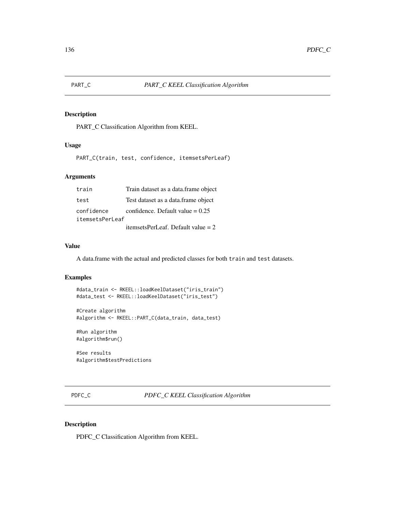PART\_C Classification Algorithm from KEEL.

## Usage

PART\_C(train, test, confidence, itemsetsPerLeaf)

#### Arguments

| train           | Train dataset as a data.frame object |
|-----------------|--------------------------------------|
| test            | Test dataset as a data frame object  |
| confidence      | confidence. Default value $= 0.25$   |
| itemsetsPerLeaf |                                      |
|                 | itemsetsPerLeaf. Default value $= 2$ |

#### Value

A data.frame with the actual and predicted classes for both train and test datasets.

## Examples

```
#data_train <- RKEEL::loadKeelDataset("iris_train")
#data_test <- RKEEL::loadKeelDataset("iris_test")
```

```
#Create algorithm
#algorithm <- RKEEL::PART_C(data_train, data_test)
```
#Run algorithm #algorithm\$run()

#See results #algorithm\$testPredictions

PDFC\_C *PDFC\_C KEEL Classification Algorithm*

## Description

PDFC\_C Classification Algorithm from KEEL.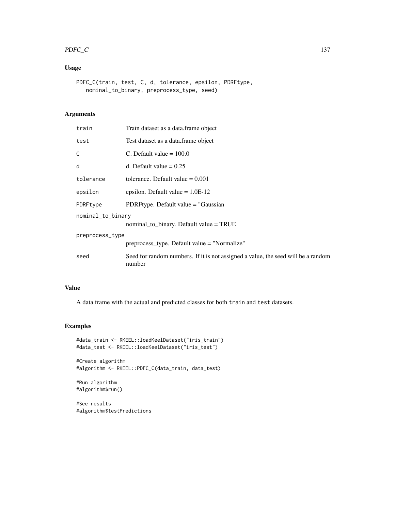### $PDFC\_C$  137

## Usage

```
PDFC_C(train, test, C, d, tolerance, epsilon, PDRFtype,
   nominal_to_binary, preprocess_type, seed)
```
# Arguments

| train             | Train dataset as a data. frame object                                                       |  |
|-------------------|---------------------------------------------------------------------------------------------|--|
| test              | Test dataset as a data. frame object                                                        |  |
| C                 | C. Default value $= 100.0$                                                                  |  |
| d                 | d. Default value $= 0.25$                                                                   |  |
| tolerance         | tolerance. Default value $= 0.001$                                                          |  |
| epsilon           | epsilon. Default value $= 1.0E-12$                                                          |  |
| PDRFtype          | PDRF type. Default value $=$ "Gaussian"                                                     |  |
| nominal_to_binary |                                                                                             |  |
|                   | nominal_to_binary. Default value = TRUE                                                     |  |
| preprocess_type   |                                                                                             |  |
|                   | preprocess_type. Default value = "Normalize"                                                |  |
| seed              | Seed for random numbers. If it is not assigned a value, the seed will be a random<br>number |  |

## Value

A data.frame with the actual and predicted classes for both train and test datasets.

## Examples

```
#data_train <- RKEEL::loadKeelDataset("iris_train")
#data_test <- RKEEL::loadKeelDataset("iris_test")
```

```
#Create algorithm
#algorithm <- RKEEL::PDFC_C(data_train, data_test)
```

```
#Run algorithm
#algorithm$run()
```
#See results #algorithm\$testPredictions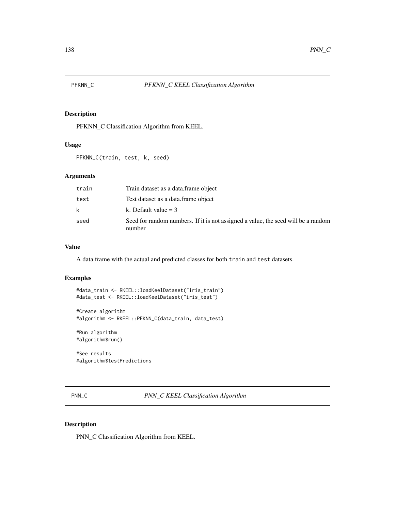PFKNN\_C Classification Algorithm from KEEL.

## Usage

```
PFKNN_C(train, test, k, seed)
```
## Arguments

| train | Train dataset as a data.frame object                                                        |
|-------|---------------------------------------------------------------------------------------------|
| test  | Test dataset as a data.frame object                                                         |
| k     | k. Default value $=$ 3                                                                      |
| seed  | Seed for random numbers. If it is not assigned a value, the seed will be a random<br>number |

#### Value

A data.frame with the actual and predicted classes for both train and test datasets.

## Examples

```
#data_train <- RKEEL::loadKeelDataset("iris_train")
#data_test <- RKEEL::loadKeelDataset("iris_test")
```

```
#Create algorithm
#algorithm <- RKEEL::PFKNN_C(data_train, data_test)
```
#Run algorithm #algorithm\$run()

#See results #algorithm\$testPredictions

PNN\_C *PNN\_C KEEL Classification Algorithm*

## Description

PNN\_C Classification Algorithm from KEEL.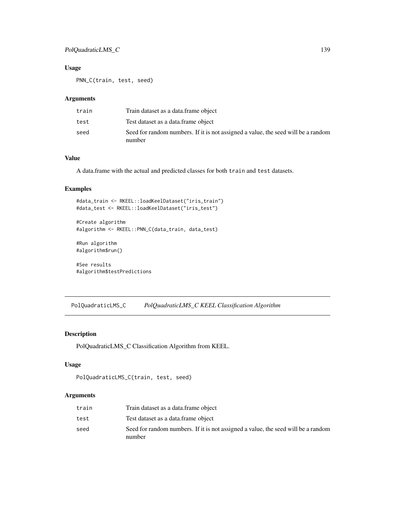## PolQuadraticLMS\_C 139

## Usage

PNN\_C(train, test, seed)

#### Arguments

| train | Train dataset as a data.frame object                                                        |
|-------|---------------------------------------------------------------------------------------------|
| test  | Test dataset as a data.frame object                                                         |
| seed  | Seed for random numbers. If it is not assigned a value, the seed will be a random<br>number |

#### Value

A data.frame with the actual and predicted classes for both train and test datasets.

## Examples

```
#data_train <- RKEEL::loadKeelDataset("iris_train")
#data_test <- RKEEL::loadKeelDataset("iris_test")
```

```
#Create algorithm
#algorithm <- RKEEL::PNN_C(data_train, data_test)
```

```
#Run algorithm
#algorithm$run()
```
#See results #algorithm\$testPredictions

PolQuadraticLMS\_C *PolQuadraticLMS\_C KEEL Classification Algorithm*

## Description

PolQuadraticLMS\_C Classification Algorithm from KEEL.

#### Usage

```
PolQuadraticLMS_C(train, test, seed)
```
# Arguments

| train | Train dataset as a data.frame object                                                        |
|-------|---------------------------------------------------------------------------------------------|
| test  | Test dataset as a data frame object                                                         |
| seed  | Seed for random numbers. If it is not assigned a value, the seed will be a random<br>number |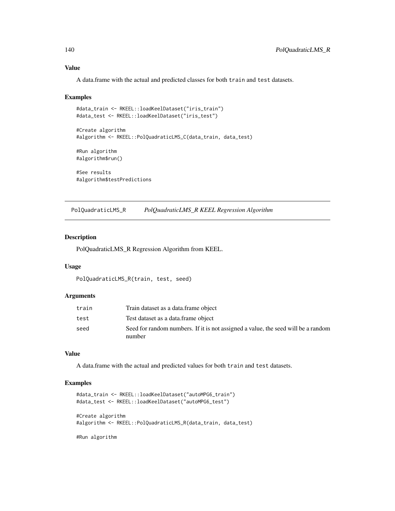## Value

A data.frame with the actual and predicted classes for both train and test datasets.

#### Examples

```
#data_train <- RKEEL::loadKeelDataset("iris_train")
#data_test <- RKEEL::loadKeelDataset("iris_test")
#Create algorithm
#algorithm <- RKEEL::PolQuadraticLMS_C(data_train, data_test)
#Run algorithm
#algorithm$run()
#See results
#algorithm$testPredictions
```
PolQuadraticLMS\_R *PolQuadraticLMS\_R KEEL Regression Algorithm*

## Description

PolQuadraticLMS\_R Regression Algorithm from KEEL.

## Usage

PolQuadraticLMS\_R(train, test, seed)

#### Arguments

| train | Train dataset as a data frame object                                                        |
|-------|---------------------------------------------------------------------------------------------|
| test  | Test dataset as a data.frame object                                                         |
| seed  | Seed for random numbers. If it is not assigned a value, the seed will be a random<br>number |

## Value

A data.frame with the actual and predicted values for both train and test datasets.

## Examples

```
#data_train <- RKEEL::loadKeelDataset("autoMPG6_train")
#data_test <- RKEEL::loadKeelDataset("autoMPG6_test")
#Create algorithm
#algorithm <- RKEEL::PolQuadraticLMS_R(data_train, data_test)
```
#Run algorithm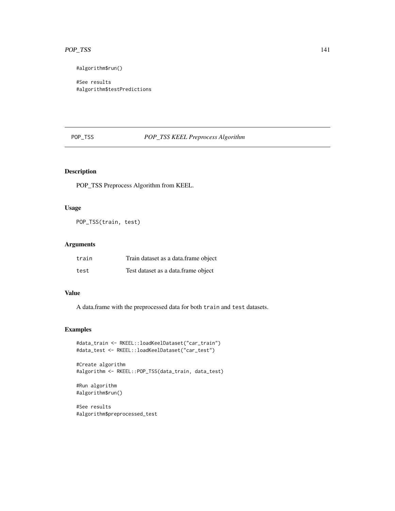#### POP\_TSS 141

#algorithm\$run()

#See results #algorithm\$testPredictions

# POP\_TSS *POP\_TSS KEEL Preprocess Algorithm*

## Description

POP\_TSS Preprocess Algorithm from KEEL.

#### Usage

POP\_TSS(train, test)

# Arguments

| train | Train dataset as a data.frame object |
|-------|--------------------------------------|
| test  | Test dataset as a data frame object  |

## Value

A data.frame with the preprocessed data for both train and test datasets.

# Examples

```
#data_train <- RKEEL::loadKeelDataset("car_train")
#data_test <- RKEEL::loadKeelDataset("car_test")
```

```
#Create algorithm
#algorithm <- RKEEL::POP_TSS(data_train, data_test)
```

```
#Run algorithm
#algorithm$run()
```
#See results #algorithm\$preprocessed\_test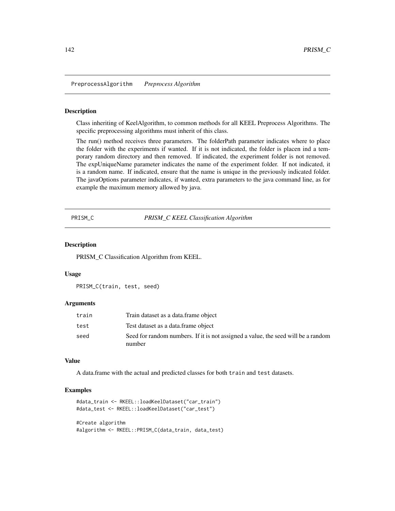PreprocessAlgorithm *Preprocess Algorithm*

#### Description

Class inheriting of KeelAlgorithm, to common methods for all KEEL Preprocess Algorithms. The specific preprocessing algorithms must inherit of this class.

The run() method receives three parameters. The folderPath parameter indicates where to place the folder with the experiments if wanted. If it is not indicated, the folder is placen ind a temporary random directory and then removed. If indicated, the experiment folder is not removed. The expUniqueName parameter indicates the name of the experiment folder. If not indicated, it is a random name. If indicated, ensure that the name is unique in the previously indicated folder. The javaOptions parameter indicates, if wanted, extra parameters to the java command line, as for example the maximum memory allowed by java.

PRISM\_C *PRISM\_C KEEL Classification Algorithm*

#### Description

PRISM\_C Classification Algorithm from KEEL.

#### Usage

PRISM\_C(train, test, seed)

#### Arguments

| train | Train dataset as a data.frame object                                                        |
|-------|---------------------------------------------------------------------------------------------|
| test  | Test dataset as a data.frame object                                                         |
| seed  | Seed for random numbers. If it is not assigned a value, the seed will be a random<br>number |

#### Value

A data.frame with the actual and predicted classes for both train and test datasets.

#### Examples

```
#data_train <- RKEEL::loadKeelDataset("car_train")
#data_test <- RKEEL::loadKeelDataset("car_test")
#Create algorithm
#algorithm <- RKEEL::PRISM_C(data_train, data_test)
```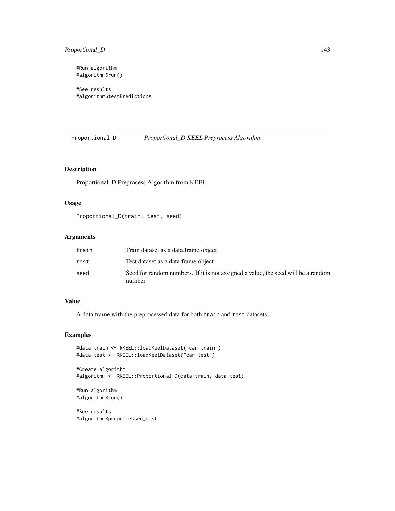## Proportional\_D 143

#Run algorithm #algorithm\$run()

#See results #algorithm\$testPredictions

Proportional\_D *Proportional\_D KEEL Preprocess Algorithm*

## Description

Proportional\_D Preprocess Algorithm from KEEL.

## Usage

Proportional\_D(train, test, seed)

## Arguments

| train | Train dataset as a data.frame object                                                        |
|-------|---------------------------------------------------------------------------------------------|
| test  | Test dataset as a data frame object                                                         |
| seed  | Seed for random numbers. If it is not assigned a value, the seed will be a random<br>number |

## Value

A data.frame with the preprocessed data for both train and test datasets.

#### Examples

```
#data_train <- RKEEL::loadKeelDataset("car_train")
#data_test <- RKEEL::loadKeelDataset("car_test")
```

```
#Create algorithm
#algorithm <- RKEEL::Proportional_D(data_train, data_test)
```

```
#Run algorithm
#algorithm$run()
```
#See results #algorithm\$preprocessed\_test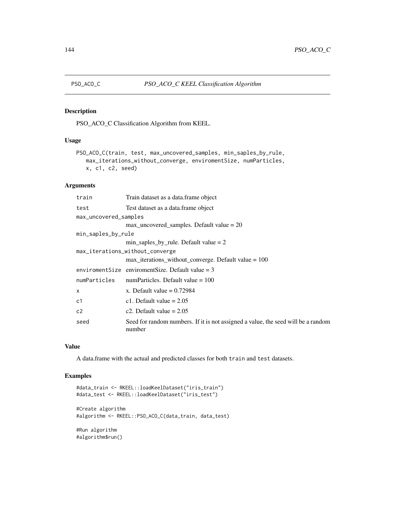PSO\_ACO\_C Classification Algorithm from KEEL.

## Usage

```
PSO_ACO_C(train, test, max_uncovered_samples, min_saples_by_rule,
   max_iterations_without_converge, enviromentSize, numParticles,
   x, c1, c2, seed)
```
## Arguments

| train                           | Train dataset as a data. frame object                                                       |  |
|---------------------------------|---------------------------------------------------------------------------------------------|--|
| test                            | Test dataset as a data. frame object                                                        |  |
| max_uncovered_samples           |                                                                                             |  |
|                                 | $max\_uncovered\_samples$ . Default value = 20                                              |  |
| min_saples_by_rule              |                                                                                             |  |
|                                 | $min\_saples_by$ _rule. Default value = 2                                                   |  |
| max_iterations_without_converge |                                                                                             |  |
|                                 | $max_i$ iterations_without_converge. Default value = 100                                    |  |
|                                 | enviroment Size enviroment Size. Default value = $3$                                        |  |
| numParticles                    | num Particles. Default value = $100$                                                        |  |
| $\mathsf{x}$                    | x. Default value $= 0.72984$                                                                |  |
| c <sub>1</sub>                  | c1. Default value $= 2.05$                                                                  |  |
| c2                              | c2. Default value $= 2.05$                                                                  |  |
| seed                            | Seed for random numbers. If it is not assigned a value, the seed will be a random<br>number |  |

## Value

A data.frame with the actual and predicted classes for both train and test datasets.

## Examples

```
#data_train <- RKEEL::loadKeelDataset("iris_train")
#data_test <- RKEEL::loadKeelDataset("iris_test")
#Create algorithm
#algorithm <- RKEEL::PSO_ACO_C(data_train, data_test)
#Run algorithm
#algorithm$run()
```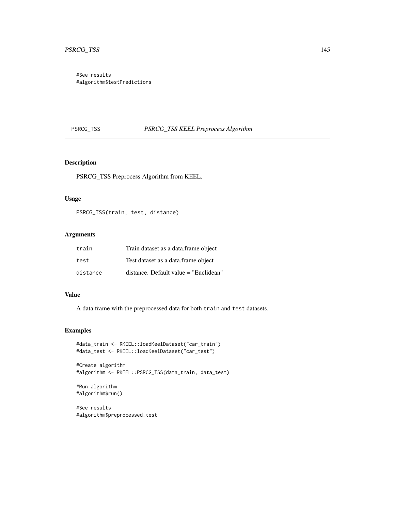<span id="page-144-0"></span>#See results #algorithm\$testPredictions

# PSRCG\_TSS *PSRCG\_TSS KEEL Preprocess Algorithm*

# Description

PSRCG\_TSS Preprocess Algorithm from KEEL.

# Usage

PSRCG\_TSS(train, test, distance)

# Arguments

| train    | Train dataset as a data.frame object      |
|----------|-------------------------------------------|
| test     | Test dataset as a data.frame object       |
| distance | $distance.$ Default value $=$ "Euclidean" |

#### Value

A data.frame with the preprocessed data for both train and test datasets.

#### Examples

```
#data_train <- RKEEL::loadKeelDataset("car_train")
#data_test <- RKEEL::loadKeelDataset("car_test")
```

```
#Create algorithm
#algorithm <- RKEEL::PSRCG_TSS(data_train, data_test)
```

```
#Run algorithm
#algorithm$run()
```
#See results #algorithm\$preprocessed\_test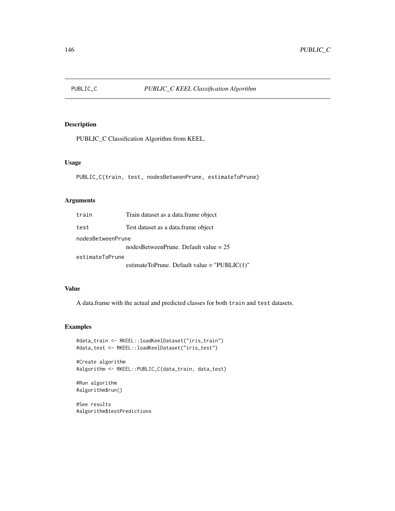<span id="page-145-0"></span>

PUBLIC\_C Classification Algorithm from KEEL.

#### Usage

```
PUBLIC_C(train, test, nodesBetweenPrune, estimateToPrune)
```
#### Arguments

| train             | Train dataset as a data. frame object            |
|-------------------|--------------------------------------------------|
| test              | Test dataset as a data. frame object             |
| nodesBetweenPrune |                                                  |
|                   | nodes Between Prune. Default value $= 25$        |
| estimateToPrune   |                                                  |
|                   | estimateToPrune. Default value = "PUBLIC $(1)$ " |

### Value

A data.frame with the actual and predicted classes for both train and test datasets.

# Examples

```
#data_train <- RKEEL::loadKeelDataset("iris_train")
#data_test <- RKEEL::loadKeelDataset("iris_test")
```
#Create algorithm #algorithm <- RKEEL::PUBLIC\_C(data\_train, data\_test)

```
#Run algorithm
#algorithm$run()
```
#See results #algorithm\$testPredictions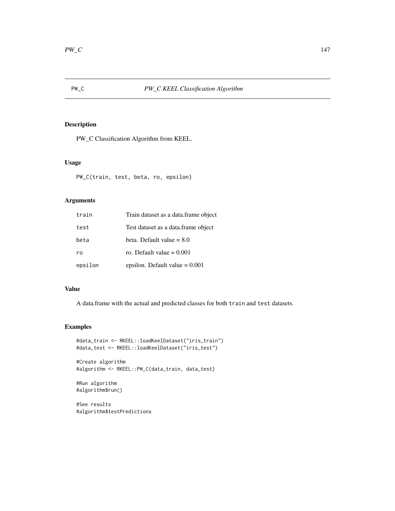<span id="page-146-0"></span>

PW\_C Classification Algorithm from KEEL.

# Usage

PW\_C(train, test, beta, ro, epsilon)

#### Arguments

| train   | Train dataset as a data.frame object |
|---------|--------------------------------------|
| test    | Test dataset as a data.frame object  |
| beta    | beta. Default value $= 8.0$          |
| ro      | ro. Default value $= 0.001$          |
| epsilon | epsilon. Default value $= 0.001$     |

# Value

A data.frame with the actual and predicted classes for both train and test datasets.

# Examples

```
#data_train <- RKEEL::loadKeelDataset("iris_train")
#data_test <- RKEEL::loadKeelDataset("iris_test")
```

```
#Create algorithm
#algorithm <- RKEEL::PW_C(data_train, data_test)
```

```
#Run algorithm
#algorithm$run()
```
#See results #algorithm\$testPredictions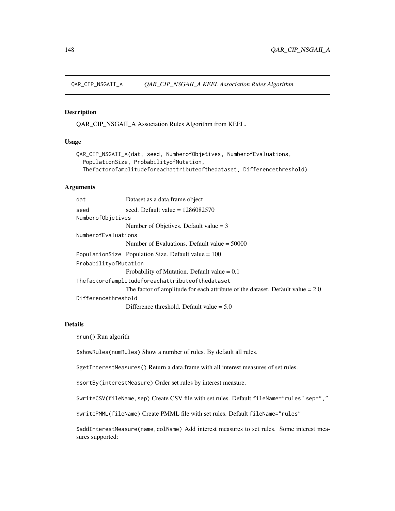<span id="page-147-0"></span>QAR\_CIP\_NSGAII\_A *QAR\_CIP\_NSGAII\_A KEEL Association Rules Algorithm*

#### Description

QAR\_CIP\_NSGAII\_A Association Rules Algorithm from KEEL.

# Usage

```
QAR_CIP_NSGAII_A(dat, seed, NumberofObjetives, NumberofEvaluations,
  PopulationSize, ProbabilityofMutation,
  Thefactorofamplitudeforeachattributeofthedataset, Differencethreshold)
```
#### Arguments

| dat                   | Dataset as a data.frame object                                                   |  |
|-----------------------|----------------------------------------------------------------------------------|--|
| seed                  | seed. Default value $= 1286082570$                                               |  |
| NumberofObjetives     |                                                                                  |  |
|                       | Number of Objetives. Default value $=$ 3                                         |  |
| NumberofEvaluations   |                                                                                  |  |
|                       | Number of Evaluations. Default value $=$ 50000                                   |  |
|                       | Population Size Population Size. Default value = $100$                           |  |
| ProbabilityofMutation |                                                                                  |  |
|                       | Probability of Mutation. Default value $= 0.1$                                   |  |
|                       | Thefactorofamplitudeforeachattributeofthedataset                                 |  |
|                       | The factor of amplitude for each attribute of the dataset. Default value $= 2.0$ |  |
| Differencethreshold   |                                                                                  |  |
|                       | Difference threshold. Default value $= 5.0$                                      |  |

#### Details

\$run() Run algorith

\$showRules(numRules) Show a number of rules. By default all rules.

\$getInterestMeasures() Return a data.frame with all interest measures of set rules.

\$sortBy(interestMeasure) Order set rules by interest measure.

\$writeCSV(fileName,sep) Create CSV file with set rules. Default fileName="rules" sep=","

\$writePMML(fileName) Create PMML file with set rules. Default fileName="rules"

\$addInterestMeasure(name,colName) Add interest measures to set rules. Some interest measures supported: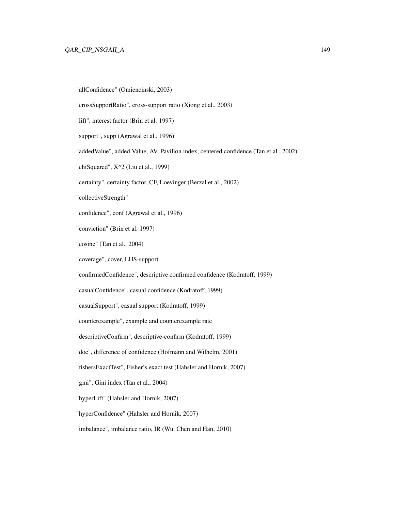# QAR\_CIP\_NSGAII\_A 149

"allConfidence" (Omiencinski, 2003)

"crossSupportRatio", cross-support ratio (Xiong et al., 2003)

"lift", interest factor (Brin et al. 1997)

"support", supp (Agrawal et al., 1996)

"addedValue", added Value, AV, Pavillon index, centered confidence (Tan et al., 2002)

"chiSquared", X^2 (Liu et al., 1999)

"certainty", certainty factor, CF, Loevinger (Berzal et al., 2002)

"collectiveStrength"

"confidence", conf (Agrawal et al., 1996)

"conviction" (Brin et al. 1997)

"cosine" (Tan et al., 2004)

"coverage", cover, LHS-support

"confirmedConfidence", descriptive confirmed confidence (Kodratoff, 1999)

"casualConfidence", casual confidence (Kodratoff, 1999)

"casualSupport", casual support (Kodratoff, 1999)

"counterexample", example and counterexample rate

"descriptiveConfirm", descriptive-confirm (Kodratoff, 1999)

"doc", difference of confidence (Hofmann and Wilhelm, 2001)

"fishersExactTest", Fisher's exact test (Hahsler and Hornik, 2007)

"gini", Gini index (Tan et al., 2004)

"hyperLift" (Hahsler and Hornik, 2007)

"hyperConfidence" (Hahsler and Hornik, 2007)

"imbalance", imbalance ratio, IR (Wu, Chen and Han, 2010)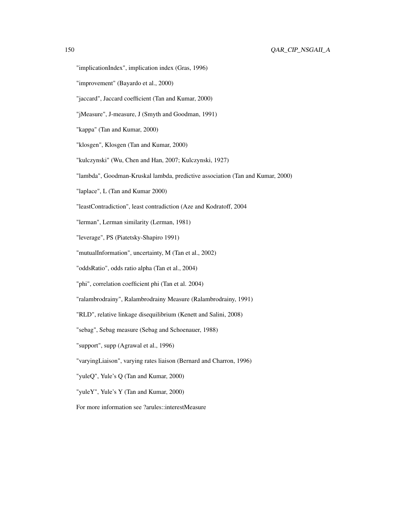- "implicationIndex", implication index (Gras, 1996)
- "improvement" (Bayardo et al., 2000)
- "jaccard", Jaccard coefficient (Tan and Kumar, 2000)
- "jMeasure", J-measure, J (Smyth and Goodman, 1991)
- "kappa" (Tan and Kumar, 2000)
- "klosgen", Klosgen (Tan and Kumar, 2000)
- "kulczynski" (Wu, Chen and Han, 2007; Kulczynski, 1927)
- "lambda", Goodman-Kruskal lambda, predictive association (Tan and Kumar, 2000)
- "laplace", L (Tan and Kumar 2000)
- "leastContradiction", least contradiction (Aze and Kodratoff, 2004
- "lerman", Lerman similarity (Lerman, 1981)
- "leverage", PS (Piatetsky-Shapiro 1991)
- "mutualInformation", uncertainty, M (Tan et al., 2002)
- "oddsRatio", odds ratio alpha (Tan et al., 2004)
- "phi", correlation coefficient phi (Tan et al. 2004)
- "ralambrodrainy", Ralambrodrainy Measure (Ralambrodrainy, 1991)
- "RLD", relative linkage disequilibrium (Kenett and Salini, 2008)
- "sebag", Sebag measure (Sebag and Schoenauer, 1988)
- "support", supp (Agrawal et al., 1996)
- "varyingLiaison", varying rates liaison (Bernard and Charron, 1996)
- "yuleQ", Yule's Q (Tan and Kumar, 2000)
- "yuleY", Yule's Y (Tan and Kumar, 2000)
- For more information see ?arules::interestMeasure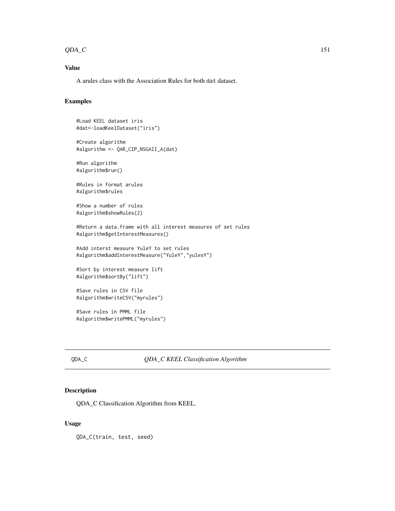#### <span id="page-150-0"></span> $QDA\_C$  151

# Value

A arules class with the Association Rules for both dat dataset.

# Examples

```
#Load KEEL dataset iris
#dat<-loadKeelDataset("iris")
#Create algorithm
#algorithm <- QAR_CIP_NSGAII_A(dat)
#Run algorithm
#algorithm$run()
#Rules in format arules
#algorithm$rules
#Show a number of rules
#algorithm$showRules(2)
#Return a data.frame with all interest measures of set rules
#algorithm$getInterestMeasures()
#Add interst measure YuleY to set rules
#algorithm$addInterestMeasure("YuleY","yulesY")
#Sort by interest measure lift
#algorithm$sortBy("lift")
#Save rules in CSV file
#algorithm$writeCSV("myrules")
#Save rules in PMML file
```
#algorithm\$writePMML("myrules")

#### QDA\_C *QDA\_C KEEL Classification Algorithm*

# Description

QDA\_C Classification Algorithm from KEEL.

#### Usage

QDA\_C(train, test, seed)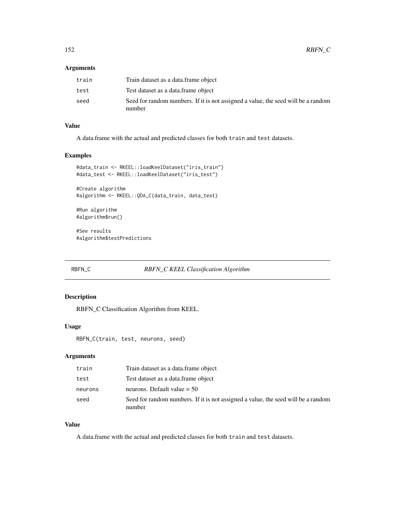#### <span id="page-151-0"></span>Arguments

| train | Train dataset as a data.frame object                                                        |
|-------|---------------------------------------------------------------------------------------------|
| test  | Test dataset as a data.frame object                                                         |
| seed  | Seed for random numbers. If it is not assigned a value, the seed will be a random<br>number |

#### Value

A data.frame with the actual and predicted classes for both train and test datasets.

# Examples

```
#data_train <- RKEEL::loadKeelDataset("iris_train")
#data_test <- RKEEL::loadKeelDataset("iris_test")
```

```
#Create algorithm
#algorithm <- RKEEL::QDA_C(data_train, data_test)
```

```
#Run algorithm
#algorithm$run()
```
#See results #algorithm\$testPredictions

# RBFN\_C *RBFN\_C KEEL Classification Algorithm*

# Description

RBFN\_C Classification Algorithm from KEEL.

#### Usage

```
RBFN_C(train, test, neurons, seed)
```
# Arguments

| train   | Train dataset as a data.frame object                                                        |
|---------|---------------------------------------------------------------------------------------------|
| test    | Test dataset as a data.frame object                                                         |
| neurons | neurons. Default value $= 50$                                                               |
| seed    | Seed for random numbers. If it is not assigned a value, the seed will be a random<br>number |

# Value

A data.frame with the actual and predicted classes for both train and test datasets.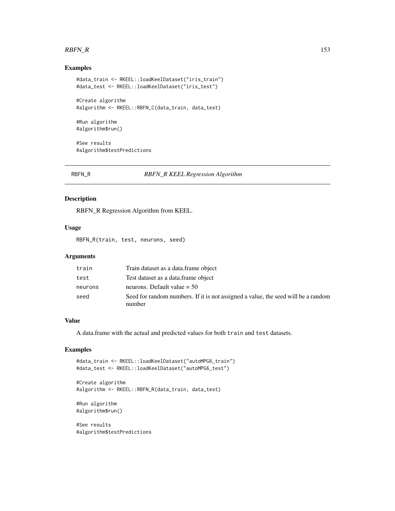#### <span id="page-152-0"></span> $RBFN_R$  153

#### Examples

```
#data_train <- RKEEL::loadKeelDataset("iris_train")
#data_test <- RKEEL::loadKeelDataset("iris_test")
#Create algorithm
#algorithm <- RKEEL::RBFN_C(data_train, data_test)
```
#Run algorithm #algorithm\$run()

#See results #algorithm\$testPredictions

RBFN\_R *RBFN\_R KEEL Regression Algorithm*

# Description

RBFN\_R Regression Algorithm from KEEL.

#### Usage

RBFN\_R(train, test, neurons, seed)

#### Arguments

| train   | Train dataset as a data.frame object                                                        |
|---------|---------------------------------------------------------------------------------------------|
| test    | Test dataset as a data.frame object                                                         |
| neurons | neurons. Default value $= 50$                                                               |
| seed    | Seed for random numbers. If it is not assigned a value, the seed will be a random<br>number |

#### Value

A data.frame with the actual and predicted values for both train and test datasets.

#### Examples

```
#data_train <- RKEEL::loadKeelDataset("autoMPG6_train")
#data_test <- RKEEL::loadKeelDataset("autoMPG6_test")
```
#Create algorithm #algorithm <- RKEEL::RBFN\_R(data\_train, data\_test)

```
#Run algorithm
#algorithm$run()
```
#See results #algorithm\$testPredictions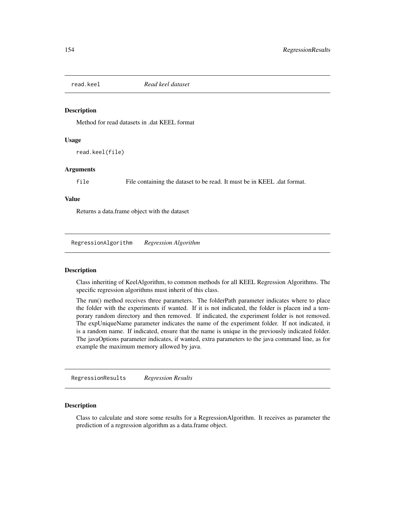<span id="page-153-0"></span>

Method for read datasets in .dat KEEL format

#### Usage

read.keel(file)

#### Arguments

file File containing the dataset to be read. It must be in KEEL .dat format.

#### Value

Returns a data.frame object with the dataset

RegressionAlgorithm *Regression Algorithm*

#### Description

Class inheriting of KeelAlgorithm, to common methods for all KEEL Regression Algorithms. The specific regression algorithms must inherit of this class.

The run() method receives three parameters. The folderPath parameter indicates where to place the folder with the experiments if wanted. If it is not indicated, the folder is placen ind a temporary random directory and then removed. If indicated, the experiment folder is not removed. The expUniqueName parameter indicates the name of the experiment folder. If not indicated, it is a random name. If indicated, ensure that the name is unique in the previously indicated folder. The javaOptions parameter indicates, if wanted, extra parameters to the java command line, as for example the maximum memory allowed by java.

RegressionResults *Regression Results*

#### Description

Class to calculate and store some results for a RegressionAlgorithm. It receives as parameter the prediction of a regression algorithm as a data.frame object.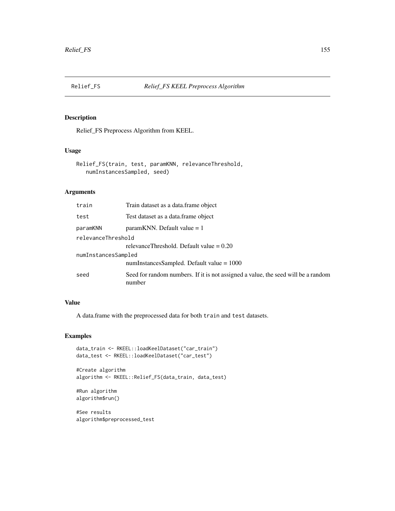<span id="page-154-0"></span>

Relief\_FS Preprocess Algorithm from KEEL.

#### Usage

```
Relief_FS(train, test, paramKNN, relevanceThreshold,
   numInstancesSampled, seed)
```
# Arguments

| train               | Train dataset as a data. frame object                                                       |
|---------------------|---------------------------------------------------------------------------------------------|
| test                | Test dataset as a data. frame object                                                        |
| paramKNN            | $paramKNN. Default value = 1$                                                               |
| relevanceThreshold  |                                                                                             |
|                     | relevanceThreshold. Default value $= 0.20$                                                  |
| numInstancesSampled |                                                                                             |
|                     | numInstancesSampled. Default value $= 1000$                                                 |
| seed                | Seed for random numbers. If it is not assigned a value, the seed will be a random<br>number |

# Value

A data.frame with the preprocessed data for both train and test datasets.

# Examples

```
data_train <- RKEEL::loadKeelDataset("car_train")
data_test <- RKEEL::loadKeelDataset("car_test")
```

```
#Create algorithm
algorithm <- RKEEL::Relief_FS(data_train, data_test)
```

```
#Run algorithm
algorithm$run()
```
#See results algorithm\$preprocessed\_test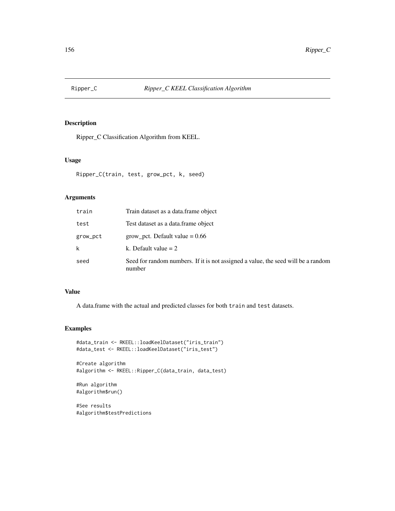<span id="page-155-0"></span>

Ripper\_C Classification Algorithm from KEEL.

#### Usage

Ripper\_C(train, test, grow\_pct, k, seed)

# Arguments

| train    | Train dataset as a data. frame object                                                       |
|----------|---------------------------------------------------------------------------------------------|
| test     | Test dataset as a data. frame object                                                        |
| grow_pct | grow pct. Default value $= 0.66$                                                            |
| k        | k. Default value $= 2$                                                                      |
| seed     | Seed for random numbers. If it is not assigned a value, the seed will be a random<br>number |

# Value

A data.frame with the actual and predicted classes for both train and test datasets.

# Examples

```
#data_train <- RKEEL::loadKeelDataset("iris_train")
#data_test <- RKEEL::loadKeelDataset("iris_test")
```

```
#Create algorithm
#algorithm <- RKEEL::Ripper_C(data_train, data_test)
```

```
#Run algorithm
#algorithm$run()
```
#See results #algorithm\$testPredictions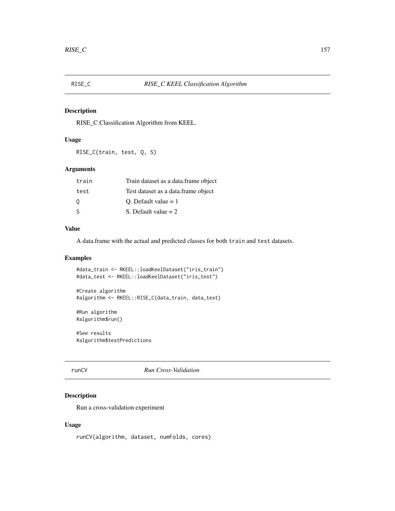<span id="page-156-0"></span>

RISE\_C Classification Algorithm from KEEL.

#### Usage

RISE\_C(train, test, Q, S)

# Arguments

| train | Train dataset as a data.frame object |
|-------|--------------------------------------|
| test  | Test dataset as a data. frame object |
| 0     | O. Default value $= 1$               |
| S     | S. Default value $= 2$               |

#### Value

A data.frame with the actual and predicted classes for both train and test datasets.

# Examples

```
#data_train <- RKEEL::loadKeelDataset("iris_train")
#data_test <- RKEEL::loadKeelDataset("iris_test")
```
#Create algorithm #algorithm <- RKEEL::RISE\_C(data\_train, data\_test)

#Run algorithm #algorithm\$run()

#See results #algorithm\$testPredictions

runCV *Run Cross-Validation*

# Description

Run a cross-validation experiment

# Usage

runCV(algorithm, dataset, numFolds, cores)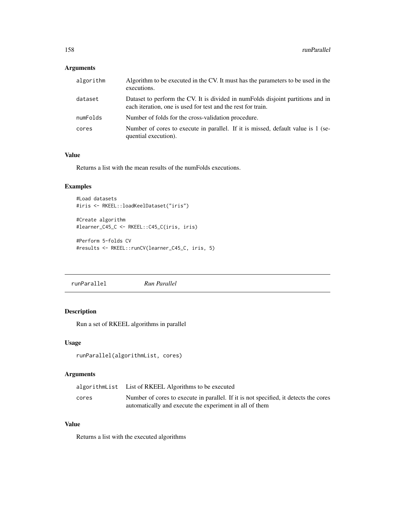# <span id="page-157-0"></span>Arguments

| algorithm | Algorithm to be executed in the CV. It must has the parameters to be used in the<br>executions.                                                 |
|-----------|-------------------------------------------------------------------------------------------------------------------------------------------------|
| dataset   | Dataset to perform the CV. It is divided in numFolds disjoint partitions and in<br>each iteration, one is used for test and the rest for train. |
| numFolds  | Number of folds for the cross-validation procedure.                                                                                             |
| cores     | Number of cores to execute in parallel. If it is missed, default value is 1 (se-<br>quential execution).                                        |

#### Value

Returns a list with the mean results of the numFolds executions.

# Examples

```
#Load datasets
#iris <- RKEEL::loadKeelDataset("iris")
```

```
#Create algorithm
#learner_C45_C <- RKEEL::C45_C(iris, iris)
```

```
#Perform 5-folds CV
#results <- RKEEL::runCV(learner_C45_C, iris, 5)
```
runParallel *Run Parallel*

# Description

Run a set of RKEEL algorithms in parallel

# Usage

```
runParallel(algorithmList, cores)
```
# Arguments

|       | algorithmList List of RKEEL Algorithms to be executed                                |
|-------|--------------------------------------------------------------------------------------|
| cores | Number of cores to execute in parallel. If it is not specified, it detects the cores |
|       | automatically and execute the experiment in all of them                              |

# Value

Returns a list with the executed algorithms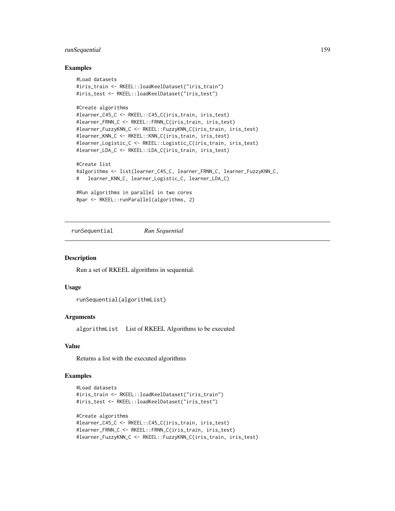#### <span id="page-158-0"></span>runSequential 159

#### Examples

```
#Load datasets
#iris_train <- RKEEL::loadKeelDataset("iris_train")
#iris_test <- RKEEL::loadKeelDataset("iris_test")
#Create algorithms
#learner_C45_C <- RKEEL::C45_C(iris_train, iris_test)
#learner_FRNN_C <- RKEEL::FRNN_C(iris_train, iris_test)
#learner_FuzzyKNN_C <- RKEEL::FuzzyKNN_C(iris_train, iris_test)
#learner_KNN_C <- RKEEL::KNN_C(iris_train, iris_test)
#learner_Logistic_C <- RKEEL::Logistic_C(iris_train, iris_test)
#learner_LDA_C <- RKEEL::LDA_C(iris_train, iris_test)
#Create list
#algorithms <- list(learner_C45_C, learner_FRNN_C, learner_FuzzyKNN_C,
# learner_KNN_C, learner_Logistic_C, learner_LDA_C)
#Run algorithms in parallel in two cores
#par <- RKEEL::runParallel(algorithms, 2)
```
runSequential *Run Sequential*

#### Description

Run a set of RKEEL algorithms in sequential.

#### Usage

```
runSequential(algorithmList)
```
#### Arguments

algorithmList List of RKEEL Algorithms to be executed

#### Value

Returns a list with the executed algorithms

#### Examples

```
#Load datasets
#iris_train <- RKEEL::loadKeelDataset("iris_train")
#iris_test <- RKEEL::loadKeelDataset("iris_test")
#Create algorithms
#learner_C45_C <- RKEEL::C45_C(iris_train, iris_test)
#learner_FRNN_C <- RKEEL::FRNN_C(iris_train, iris_test)
#learner_FuzzyKNN_C <- RKEEL::FuzzyKNN_C(iris_train, iris_test)
```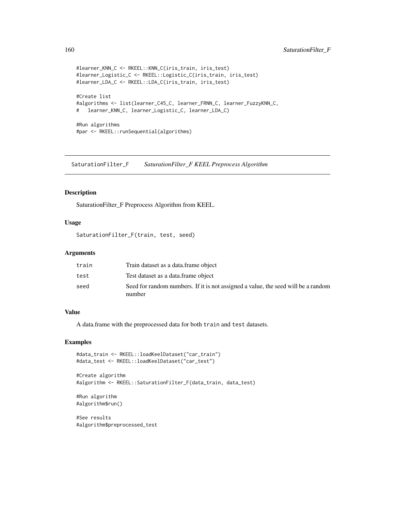```
#learner_KNN_C <- RKEEL::KNN_C(iris_train, iris_test)
#learner_Logistic_C <- RKEEL::Logistic_C(iris_train, iris_test)
#learner_LDA_C <- RKEEL::LDA_C(iris_train, iris_test)
#Create list
#algorithms <- list(learner_C45_C, learner_FRNN_C, learner_FuzzyKNN_C,
# learner_KNN_C, learner_Logistic_C, learner_LDA_C)
#Run algorithms
#par <- RKEEL::runSequential(algorithms)
```
SaturationFilter\_F *SaturationFilter\_F KEEL Preprocess Algorithm*

#### Description

SaturationFilter\_F Preprocess Algorithm from KEEL.

#### Usage

SaturationFilter\_F(train, test, seed)

#### Arguments

| train | Train dataset as a data.frame object                                                        |
|-------|---------------------------------------------------------------------------------------------|
| test  | Test dataset as a data.frame object                                                         |
| seed  | Seed for random numbers. If it is not assigned a value, the seed will be a random<br>number |

### Value

A data.frame with the preprocessed data for both train and test datasets.

#### Examples

```
#data_train <- RKEEL::loadKeelDataset("car_train")
#data_test <- RKEEL::loadKeelDataset("car_test")
```

```
#Create algorithm
#algorithm <- RKEEL::SaturationFilter_F(data_train, data_test)
```
#Run algorithm #algorithm\$run()

#See results #algorithm\$preprocessed\_test

<span id="page-159-0"></span>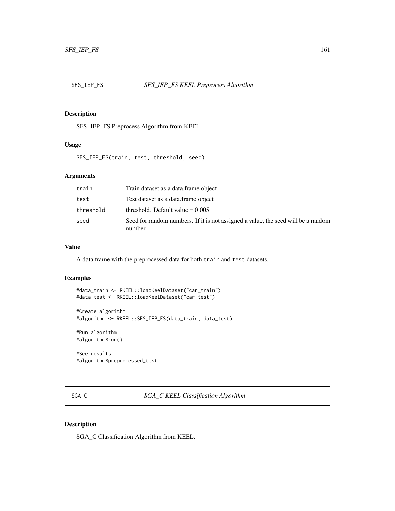<span id="page-160-0"></span>

SFS\_IEP\_FS Preprocess Algorithm from KEEL.

# Usage

SFS\_IEP\_FS(train, test, threshold, seed)

# Arguments

| train     | Train dataset as a data.frame object                                                        |
|-----------|---------------------------------------------------------------------------------------------|
| test      | Test dataset as a data frame object                                                         |
| threshold | threshold. Default value $= 0.005$                                                          |
| seed      | Seed for random numbers. If it is not assigned a value, the seed will be a random<br>number |

#### Value

A data.frame with the preprocessed data for both train and test datasets.

#### Examples

```
#data_train <- RKEEL::loadKeelDataset("car_train")
#data_test <- RKEEL::loadKeelDataset("car_test")
```

```
#Create algorithm
#algorithm <- RKEEL::SFS_IEP_FS(data_train, data_test)
```
#Run algorithm #algorithm\$run()

#See results #algorithm\$preprocessed\_test

SGA\_C *SGA\_C KEEL Classification Algorithm*

# Description

SGA\_C Classification Algorithm from KEEL.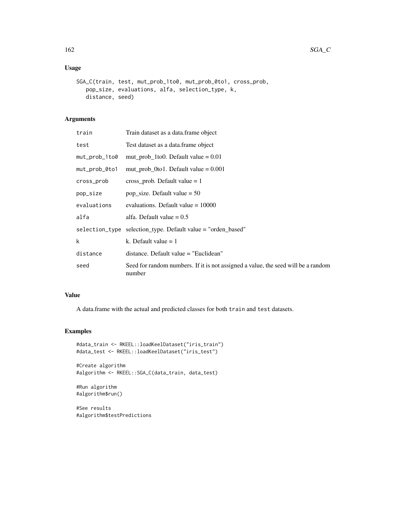# Usage

```
SGA_C(train, test, mut_prob_1to0, mut_prob_0to1, cross_prob,
   pop_size, evaluations, alfa, selection_type, k,
   distance, seed)
```
# Arguments

| train         | Train dataset as a data. frame object                                                       |
|---------------|---------------------------------------------------------------------------------------------|
| test          | Test dataset as a data.frame object                                                         |
| mut_prob_1to0 | mut_prob_1to0. Default value = $0.01$                                                       |
| mut_prob_0to1 | mut_prob_0to1. Default value = $0.001$                                                      |
| cross_prob    | $cross\_prob$ . Default value = 1                                                           |
| pop_size      | pop_size. Default value = $50$                                                              |
| evaluations   | evaluations. Default value $= 10000$                                                        |
| alfa          | alfa. Default value $= 0.5$                                                                 |
|               | selection_type selection_type. Default value = "orden_based"                                |
| k             | k. Default value $= 1$                                                                      |
| distance      | distance. Default value = "Euclidean"                                                       |
| seed          | Seed for random numbers. If it is not assigned a value, the seed will be a random<br>number |

# Value

A data.frame with the actual and predicted classes for both train and test datasets.

# Examples

```
#data_train <- RKEEL::loadKeelDataset("iris_train")
#data_test <- RKEEL::loadKeelDataset("iris_test")
```

```
#Create algorithm
#algorithm <- RKEEL::SGA_C(data_train, data_test)
```

```
#Run algorithm
#algorithm$run()
```
#See results #algorithm\$testPredictions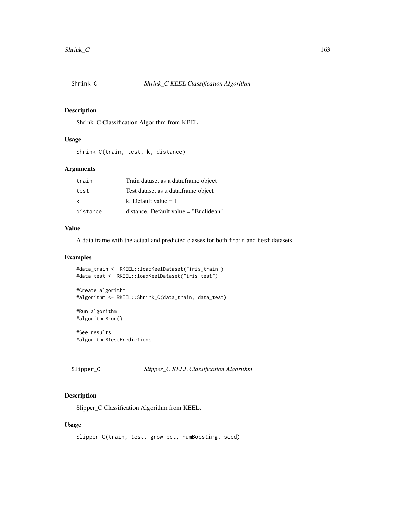<span id="page-162-0"></span>

Shrink\_C Classification Algorithm from KEEL.

#### Usage

Shrink\_C(train, test, k, distance)

#### Arguments

| train    | Train dataset as a data.frame object      |
|----------|-------------------------------------------|
| test     | Test dataset as a data.frame object       |
| k        | k. Default value $= 1$                    |
| distance | $distance.$ Default value $=$ "Euclidean" |

#### Value

A data.frame with the actual and predicted classes for both train and test datasets.

#### Examples

```
#data_train <- RKEEL::loadKeelDataset("iris_train")
#data_test <- RKEEL::loadKeelDataset("iris_test")
```
#Create algorithm #algorithm <- RKEEL::Shrink\_C(data\_train, data\_test)

#Run algorithm #algorithm\$run()

#See results #algorithm\$testPredictions

```
Slipper_C Slipper_C KEEL Classification Algorithm
```
# Description

Slipper\_C Classification Algorithm from KEEL.

#### Usage

Slipper\_C(train, test, grow\_pct, numBoosting, seed)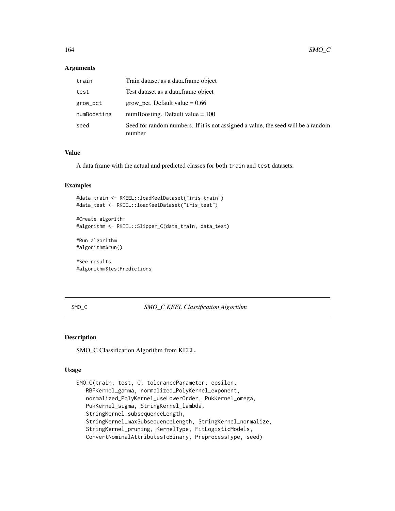#### **Arguments**

| train       | Train dataset as a data.frame object                                                        |
|-------------|---------------------------------------------------------------------------------------------|
| test        | Test dataset as a data. frame object                                                        |
| grow_pct    | grow_pct. Default value $= 0.66$                                                            |
| numBoosting | numBoosting. Default value $= 100$                                                          |
| seed        | Seed for random numbers. If it is not assigned a value, the seed will be a random<br>number |

## Value

A data.frame with the actual and predicted classes for both train and test datasets.

#### Examples

```
#data_train <- RKEEL::loadKeelDataset("iris_train")
#data_test <- RKEEL::loadKeelDataset("iris_test")
```

```
#Create algorithm
#algorithm <- RKEEL::Slipper_C(data_train, data_test)
```

```
#Run algorithm
#algorithm$run()
```
#See results #algorithm\$testPredictions

#### SMO\_C *SMO\_C KEEL Classification Algorithm*

#### Description

SMO\_C Classification Algorithm from KEEL.

#### Usage

```
SMO_C(train, test, C, toleranceParameter, epsilon,
  RBFKernel_gamma, normalized_PolyKernel_exponent,
   normalized_PolyKernel_useLowerOrder, PukKernel_omega,
  PukKernel_sigma, StringKernel_lambda,
   StringKernel_subsequenceLength,
   StringKernel_maxSubsequenceLength, StringKernel_normalize,
   StringKernel_pruning, KernelType, FitLogisticModels,
  ConvertNominalAttributesToBinary, PreprocessType, seed)
```
<span id="page-163-0"></span>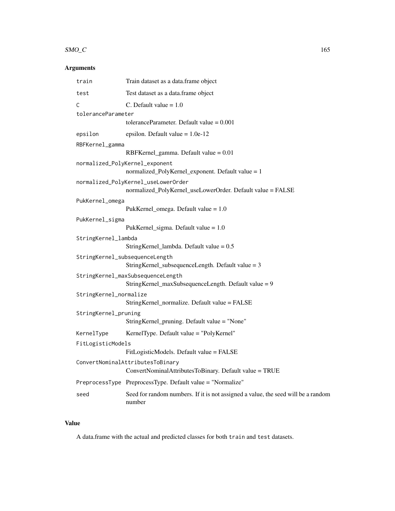#### $\text{SMO}_\text{L}$  and  $\text{SMO}_\text{L}$  and  $\text{SMO}_\text{L}$  and  $\text{SMO}_\text{L}$  and  $\text{SMO}_\text{L}$  and  $\text{SMO}_\text{L}$  and  $\text{SMO}_\text{L}$  and  $\text{SMO}_\text{L}$  and  $\text{SMO}_\text{L}$  and  $\text{SMO}_\text{L}$  and  $\text{SMO}_\text{L}$  and  $\text{SMO}_\text{L}$  and  $\text{S$

# Arguments

| train                  | Train dataset as a data.frame object                                                        |
|------------------------|---------------------------------------------------------------------------------------------|
| test                   | Test dataset as a data.frame object                                                         |
| C                      | C. Default value $= 1.0$                                                                    |
| toleranceParameter     |                                                                                             |
|                        | toleranceParameter. Default value $= 0.001$                                                 |
| epsilon                | epsilon. Default value = $1.0e-12$                                                          |
| RBFKernel_gamma        |                                                                                             |
|                        | RBFKernel_gamma. Default value = $0.01$                                                     |
|                        | normalized_PolyKernel_exponent<br>normalized_PolyKernel_exponent. Default value = 1         |
|                        | normalized_PolyKernel_useLowerOrder                                                         |
|                        | normalized_PolyKernel_useLowerOrder. Default value = FALSE                                  |
| PukKernel_omega        |                                                                                             |
|                        | PukKernel_omega. Default value = 1.0                                                        |
| PukKernel_sigma        |                                                                                             |
|                        | PukKernel_sigma. Default value = $1.0$                                                      |
| StringKernel_lambda    |                                                                                             |
|                        | StringKernel_lambda. Default value = $0.5$                                                  |
|                        | StringKernel_subsequenceLength                                                              |
|                        | StringKernel_subsequenceLength. Default value = 3                                           |
|                        | StringKernel_maxSubsequenceLength                                                           |
|                        | StringKernel_maxSubsequenceLength. Default value = 9                                        |
| StringKernel_normalize |                                                                                             |
|                        | StringKernel_normalize. Default value = FALSE                                               |
| StringKernel_pruning   |                                                                                             |
|                        | StringKernel_pruning. Default value = "None"                                                |
| KernelType             | KernelType. Default value = "PolyKernel"                                                    |
| FitLogisticModels      |                                                                                             |
|                        | FitLogisticModels. Default value = FALSE                                                    |
|                        | ConvertNominalAttributesToBinary                                                            |
|                        | ConvertNominalAttributesToBinary. Default value = TRUE                                      |
|                        | PreprocessType PreprocessType. Default value = "Normalize"                                  |
| seed                   | Seed for random numbers. If it is not assigned a value, the seed will be a random<br>number |

# Value

A data.frame with the actual and predicted classes for both train and test datasets.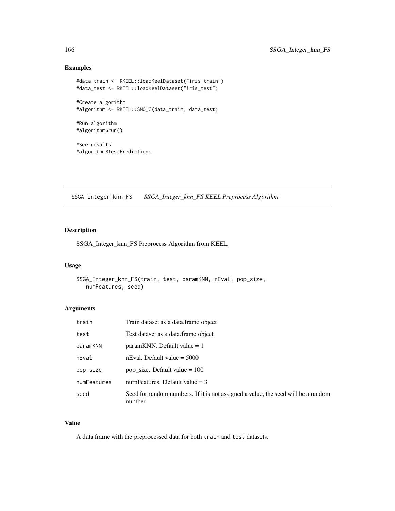# Examples

```
#data_train <- RKEEL::loadKeelDataset("iris_train")
#data_test <- RKEEL::loadKeelDataset("iris_test")
#Create algorithm
#algorithm <- RKEEL::SMO_C(data_train, data_test)
#Run algorithm
#algorithm$run()
#See results
#algorithm$testPredictions
```
SSGA\_Integer\_knn\_FS *SSGA\_Integer\_knn\_FS KEEL Preprocess Algorithm*

# Description

SSGA\_Integer\_knn\_FS Preprocess Algorithm from KEEL.

#### Usage

```
SSGA_Integer_knn_FS(train, test, paramKNN, nEval, pop_size,
   numFeatures, seed)
```
# Arguments

| train       | Train dataset as a data. frame object                                                       |
|-------------|---------------------------------------------------------------------------------------------|
| test        | Test dataset as a data.frame object                                                         |
| paramKNN    | $paramKNN$ . Default value = 1                                                              |
| nEval       | nEval. Default value $=$ 5000                                                               |
| pop_size    | pop_size. Default value = $100$                                                             |
| numFeatures | num Features. Default value $=$ 3                                                           |
| seed        | Seed for random numbers. If it is not assigned a value, the seed will be a random<br>number |

# Value

A data.frame with the preprocessed data for both train and test datasets.

<span id="page-165-0"></span>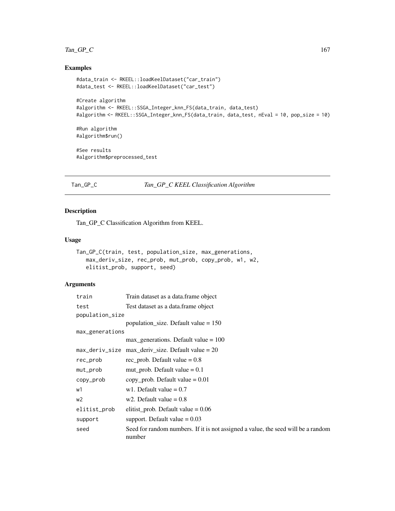# <span id="page-166-0"></span> $Tan\_GP\_C$  167

# Examples

```
#data_train <- RKEEL::loadKeelDataset("car_train")
#data_test <- RKEEL::loadKeelDataset("car_test")
#Create algorithm
#algorithm <- RKEEL::SSGA_Integer_knn_FS(data_train, data_test)
#algorithm <- RKEEL::SSGA_Integer_knn_FS(data_train, data_test, nEval = 10, pop_size = 10)
#Run algorithm
#algorithm$run()
#See results
#algorithm$preprocessed_test
```
# Tan\_GP\_C *Tan\_GP\_C KEEL Classification Algorithm*

#### Description

Tan\_GP\_C Classification Algorithm from KEEL.

#### Usage

```
Tan_GP_C(train, test, population_size, max_generations,
   max_deriv_size, rec_prob, mut_prob, copy_prob, w1, w2,
   elitist_prob, support, seed)
```
# Arguments

| train           | Train dataset as a data.frame object                                                        |  |
|-----------------|---------------------------------------------------------------------------------------------|--|
| test            | Test dataset as a data.frame object                                                         |  |
| population_size |                                                                                             |  |
|                 | population_size. Default value = $150$                                                      |  |
| max_generations |                                                                                             |  |
|                 | $max\_generations$ . Default value = 100                                                    |  |
|                 | $max\_deriv\_size$ $max\_deriv\_size$ . Default value = 20                                  |  |
| rec_prob        | rec_prob. Default value $= 0.8$                                                             |  |
| mut_prob        | mut prob. Default value $= 0.1$                                                             |  |
| copy_prob       | $copy_prob$ . Default value = 0.01                                                          |  |
| w1              | w1. Default value $= 0.7$                                                                   |  |
| w2              | w2. Default value $= 0.8$                                                                   |  |
| elitist_prob    | elitist_prob. Default value = $0.06$                                                        |  |
| support         | support. Default value $= 0.03$                                                             |  |
| seed            | Seed for random numbers. If it is not assigned a value, the seed will be a random<br>number |  |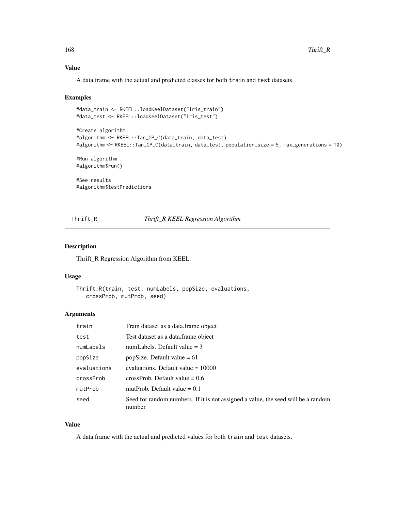#### <span id="page-167-0"></span>Value

A data.frame with the actual and predicted classes for both train and test datasets.

#### Examples

```
#data_train <- RKEEL::loadKeelDataset("iris_train")
#data_test <- RKEEL::loadKeelDataset("iris_test")
```

```
#Create algorithm
#algorithm <- RKEEL::Tan_GP_C(data_train, data_test)
#algorithm <- RKEEL::Tan_GP_C(data_train, data_test, population_size = 5, max_generations = 10)
```

```
#Run algorithm
#algorithm$run()
```
#See results #algorithm\$testPredictions

#### Thrift\_R *Thrift\_R KEEL Regression Algorithm*

#### Description

Thrift\_R Regression Algorithm from KEEL.

#### Usage

```
Thrift_R(train, test, numLabels, popSize, evaluations,
  crossProb, mutProb, seed)
```
# Arguments

| train       | Train dataset as a data. frame object                                                       |
|-------------|---------------------------------------------------------------------------------------------|
| test        | Test dataset as a data frame object                                                         |
| numLabels   | numLabels. Default value $=$ 3                                                              |
| popSize     | popSize. Default value $= 61$                                                               |
| evaluations | evaluations. Default value $= 10000$                                                        |
| crossProb   | crossProb. Default value $= 0.6$                                                            |
| mutProb     | mutProb. Default value $= 0.1$                                                              |
| seed        | Seed for random numbers. If it is not assigned a value, the seed will be a random<br>number |

# Value

A data.frame with the actual and predicted values for both train and test datasets.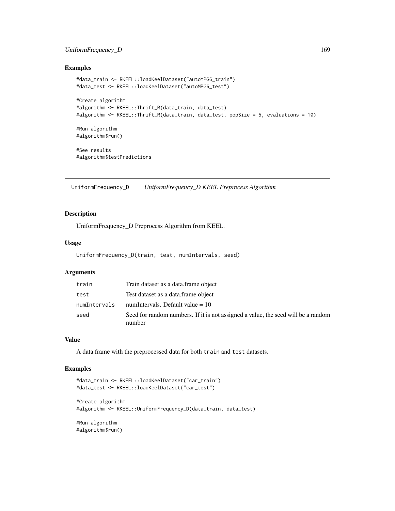# <span id="page-168-0"></span>UniformFrequency\_D 169

#### Examples

```
#data_train <- RKEEL::loadKeelDataset("autoMPG6_train")
#data_test <- RKEEL::loadKeelDataset("autoMPG6_test")
#Create algorithm
#algorithm <- RKEEL::Thrift_R(data_train, data_test)
#algorithm <- RKEEL::Thrift_R(data_train, data_test, popSize = 5, evaluations = 10)
#Run algorithm
#algorithm$run()
#See results
#algorithm$testPredictions
```
UniformFrequency\_D *UniformFrequency\_D KEEL Preprocess Algorithm*

# Description

UniformFrequency\_D Preprocess Algorithm from KEEL.

#### Usage

UniformFrequency\_D(train, test, numIntervals, seed)

#### Arguments

| train        | Train dataset as a data.frame object                                                        |
|--------------|---------------------------------------------------------------------------------------------|
| test         | Test dataset as a data.frame object                                                         |
| numIntervals | numIntervals. Default value $= 10$                                                          |
| seed         | Seed for random numbers. If it is not assigned a value, the seed will be a random<br>number |

# Value

A data.frame with the preprocessed data for both train and test datasets.

#### Examples

```
#data_train <- RKEEL::loadKeelDataset("car_train")
#data_test <- RKEEL::loadKeelDataset("car_test")
```

```
#Create algorithm
#algorithm <- RKEEL::UniformFrequency_D(data_train, data_test)
```
#Run algorithm #algorithm\$run()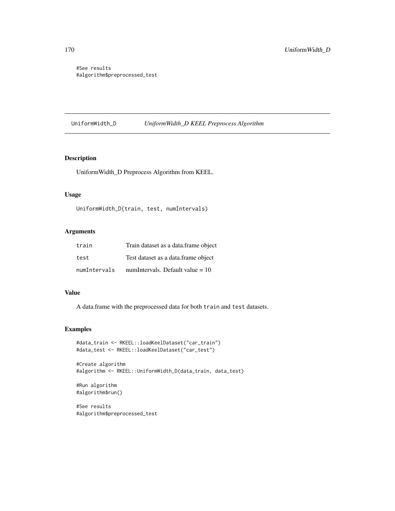#See results #algorithm\$preprocessed\_test

UniformWidth\_D *UniformWidth\_D KEEL Preprocess Algorithm*

# Description

UniformWidth\_D Preprocess Algorithm from KEEL.

# Usage

```
UniformWidth_D(train, test, numIntervals)
```
# Arguments

| train        | Train dataset as a data frame object |
|--------------|--------------------------------------|
| test         | Test dataset as a data. frame object |
| numIntervals | numIntervals. Default value $= 10$   |

# Value

A data.frame with the preprocessed data for both train and test datasets.

# Examples

```
#data_train <- RKEEL::loadKeelDataset("car_train")
#data_test <- RKEEL::loadKeelDataset("car_test")
```

```
#Create algorithm
#algorithm <- RKEEL::UniformWidth_D(data_train, data_test)
```

```
#Run algorithm
#algorithm$run()
```
#See results #algorithm\$preprocessed\_test

<span id="page-169-0"></span>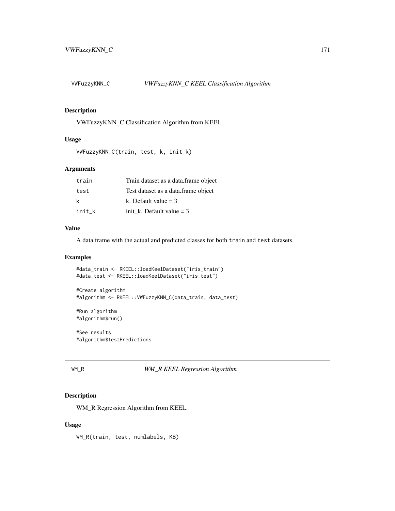<span id="page-170-0"></span>

VWFuzzyKNN\_C Classification Algorithm from KEEL.

#### Usage

```
VWFuzzyKNN_C(train, test, k, init_k)
```
#### Arguments

| train  | Train dataset as a data.frame object |
|--------|--------------------------------------|
| test   | Test dataset as a data.frame object  |
| k      | k. Default value $=$ 3               |
| init k | init k. Default value $=$ 3          |

#### Value

A data.frame with the actual and predicted classes for both train and test datasets.

#### Examples

```
#data_train <- RKEEL::loadKeelDataset("iris_train")
#data_test <- RKEEL::loadKeelDataset("iris_test")
```

```
#Create algorithm
#algorithm <- RKEEL::VWFuzzyKNN_C(data_train, data_test)
```
#Run algorithm #algorithm\$run()

#See results #algorithm\$testPredictions

# WM\_R *WM\_R KEEL Regression Algorithm*

# Description

WM\_R Regression Algorithm from KEEL.

#### Usage

WM\_R(train, test, numlabels, KB)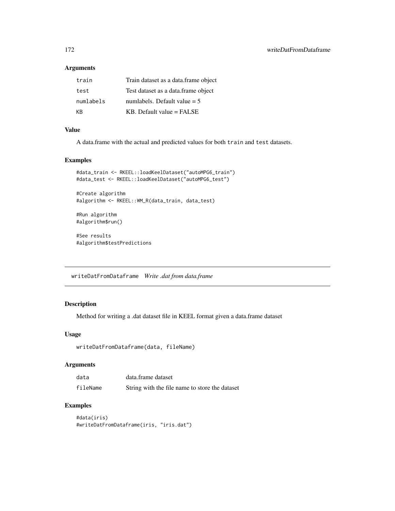# Arguments

| train     | Train dataset as a data.frame object |
|-----------|--------------------------------------|
| test      | Test dataset as a data.frame object  |
| numlabels | numlabels. Default value $=$ 5       |
| KB        | $KB.$ Default value = FALSE          |

# Value

A data.frame with the actual and predicted values for both train and test datasets.

#### Examples

```
#data_train <- RKEEL::loadKeelDataset("autoMPG6_train")
#data_test <- RKEEL::loadKeelDataset("autoMPG6_test")
#Create algorithm
#algorithm <- RKEEL::WM_R(data_train, data_test)
#Run algorithm
#algorithm$run()
#See results
#algorithm$testPredictions
```
writeDatFromDataframe *Write .dat from data.frame*

# Description

Method for writing a .dat dataset file in KEEL format given a data.frame dataset

#### Usage

```
writeDatFromDataframe(data, fileName)
```
#### Arguments

| data     | data.frame dataset                             |
|----------|------------------------------------------------|
| fileName | String with the file name to store the dataset |

#### Examples

```
#data(iris)
#writeDatFromDataframe(iris, "iris.dat")
```
<span id="page-171-0"></span>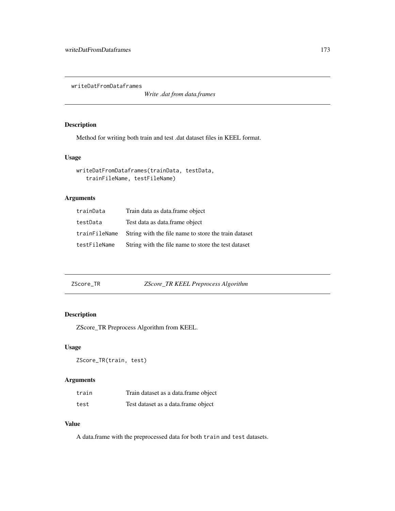<span id="page-172-0"></span>writeDatFromDataframes

*Write .dat from data.frames*

# Description

Method for writing both train and test .dat dataset files in KEEL format.

#### Usage

```
writeDatFromDataframes(trainData, testData,
   trainFileName, testFileName)
```
# Arguments

| trainData     | Train data as data.frame object                      |
|---------------|------------------------------------------------------|
| testData      | Test data as data.frame object                       |
| trainFileName | String with the file name to store the train dataset |
| testFileName  | String with the file name to store the test dataset  |

| ZScore_TR | ZScore_TR KEEL Preprocess Algorithm |  |
|-----------|-------------------------------------|--|
|           |                                     |  |

# Description

ZScore\_TR Preprocess Algorithm from KEEL.

#### Usage

ZScore\_TR(train, test)

# Arguments

| train | Train dataset as a data.frame object |
|-------|--------------------------------------|
| test  | Test dataset as a data.frame object  |

#### Value

A data.frame with the preprocessed data for both train and test datasets.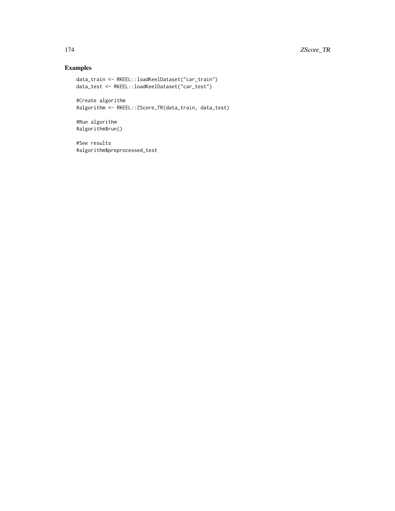# Examples

```
data_train <- RKEEL::loadKeelDataset("car_train")
data_test <- RKEEL::loadKeelDataset("car_test")
```

```
#Create algorithm
#algorithm <- RKEEL::ZScore_TR(data_train, data_test)
```
#Run algorithm #algorithm\$run()

#See results #algorithm\$preprocessed\_test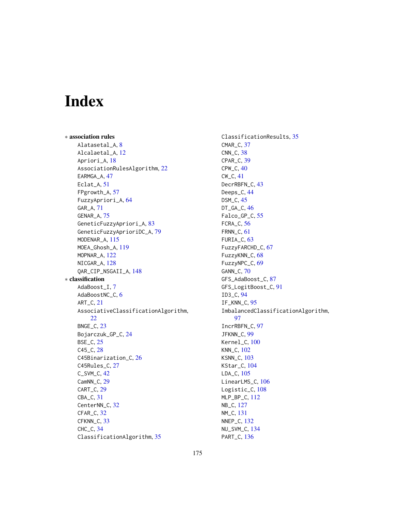# Index

∗ association rules Alatasetal\_A, [8](#page-7-0) Alcalaetal\_A, [12](#page-11-0) Apriori\_A, [18](#page-17-0) AssociationRulesAlgorithm, [22](#page-21-0) EARMGA\_A, [47](#page-46-0) Eclat\_A, [51](#page-50-0) FPgrowth\_A, [57](#page-56-0) FuzzyApriori\_A, [64](#page-63-0) GAR\_A, [71](#page-70-0) GENAR\_A, [75](#page-74-0) GeneticFuzzyApriori\_A, [83](#page-82-0) GeneticFuzzyAprioriDC\_A, [79](#page-78-0) MODENAR\_A, [115](#page-114-0) MOEA\_Ghosh\_A, [119](#page-118-0) MOPNAR\_A, [122](#page-121-0) NICGAR\_A, [128](#page-127-0) QAR\_CIP\_NSGAII\_A, [148](#page-147-0) ∗ classification AdaBoost\_I, [7](#page-6-0) AdaBoostNC\_C, [6](#page-5-0) ART\_C, [21](#page-20-0) AssociativeClassificationAlgorithm, [22](#page-21-0) BNGE\_C, [23](#page-22-0) Bojarczuk\_GP\_C, [24](#page-23-0) BSE\_C, [25](#page-24-0) C45\_C, [28](#page-27-0) C45Binarization\_C, [26](#page-25-0) C45Rules\_C, [27](#page-26-0) C\_SVM\_C, [42](#page-41-0) CamNN\_C, [29](#page-28-0) CART\_C, [29](#page-28-0) CBA\_C, [31](#page-30-0) CenterNN\_C, [32](#page-31-0) CFAR\_C, [32](#page-31-0) CFKNN\_C, [33](#page-32-0) CHC\_C, [34](#page-33-0) ClassificationAlgorithm, [35](#page-34-0)

ClassificationResults, [35](#page-34-0) CMAR\_C, [37](#page-36-0) CNN\_C, [38](#page-37-0) CPAR\_C, [39](#page-38-0) CPW\_C, [40](#page-39-0) CW\_C, [41](#page-40-0) DecrRBFN\_C, [43](#page-42-0) Deeps\_C, [44](#page-43-0) DSM\_C, [45](#page-44-0) DT\_GA\_C, [46](#page-45-0) Falco\_GP\_C, [55](#page-54-0) FCRA\_C, [56](#page-55-0) FRNN\_C, [61](#page-60-0) FURIA\_C, [63](#page-62-0) FuzzyFARCHD\_C, [67](#page-66-0) FuzzyKNN\_C, [68](#page-67-0) FuzzyNPC\_C, [69](#page-68-0) GANN\_C, [70](#page-69-0) GFS\_AdaBoost\_C, [87](#page-86-0) GFS\_LogitBoost\_C, [91](#page-90-0) ID3\_C, [94](#page-93-0) IF\_KNN\_C, [95](#page-94-0) ImbalancedClassificationAlgorithm, [97](#page-96-0) IncrRBFN\_C, [97](#page-96-0) JFKNN\_C, [99](#page-98-0) Kernel\_C, [100](#page-99-0) KNN\_C, [102](#page-101-0) KSNN\_C, [103](#page-102-0) KStar\_C, [104](#page-103-0) LDA\_C, [105](#page-104-0) LinearLMS\_C, [106](#page-105-0) Logistic\_C, [108](#page-107-0) MLP\_BP\_C, [112](#page-111-0) NB\_C, [127](#page-126-0) NM\_C, [131](#page-130-0) NNEP\_C, [132](#page-131-0) NU\_SVM\_C, [134](#page-133-0) PART\_C, [136](#page-135-0)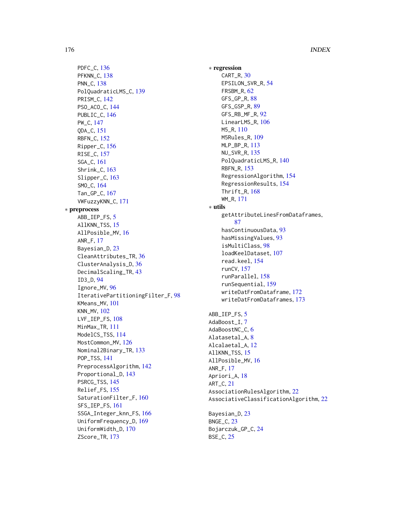PDFC\_C, [136](#page-135-0) PFKNN\_C, [138](#page-137-0) PNN\_C, [138](#page-137-0) PolQuadraticLMS\_C, [139](#page-138-0) PRISM\_C, [142](#page-141-0) PSO\_ACO\_C, [144](#page-143-0) PUBLIC\_C, [146](#page-145-0) PW\_C, [147](#page-146-0) QDA\_C, [151](#page-150-0) RBFN\_C, [152](#page-151-0) Ripper\_C, [156](#page-155-0) RISE\_C, [157](#page-156-0) SGA\_C, [161](#page-160-0) Shrink\_C, [163](#page-162-0) Slipper\_C, [163](#page-162-0) SMO\_C, [164](#page-163-0) Tan\_GP\_C, [167](#page-166-0) VWFuzzyKNN\_C, [171](#page-170-0) ∗ preprocess ABB\_IEP\_FS, [5](#page-4-0) AllKNN TSS, [15](#page-14-0) AllPosible\_MV, [16](#page-15-0) ANR\_F, [17](#page-16-0) Bayesian\_D, [23](#page-22-0) CleanAttributes\_TR, [36](#page-35-0) ClusterAnalysis\_D, [36](#page-35-0) DecimalScaling\_TR, [43](#page-42-0) ID3\_D, [94](#page-93-0) Ignore\_MV, [96](#page-95-0) IterativePartitioningFilter\_F, [98](#page-97-0) KMeans\_MV, [101](#page-100-0) KNN\_MV, [102](#page-101-0) LVF\_IEP\_FS, [108](#page-107-0) MinMax\_TR, [111](#page-110-0) ModelCS\_TSS, [114](#page-113-0) MostCommon\_MV, [126](#page-125-0) Nominal2Binary\_TR, [133](#page-132-0) POP\_TSS, [141](#page-140-0) PreprocessAlgorithm, [142](#page-141-0) Proportional\_D, [143](#page-142-0) PSRCG\_TSS, [145](#page-144-0) Relief\_FS, [155](#page-154-0) SaturationFilter\_F, [160](#page-159-0) SFS\_IEP\_FS, [161](#page-160-0) SSGA\_Integer\_knn\_FS, [166](#page-165-0) UniformFrequency\_D, [169](#page-168-0) UniformWidth\_D, [170](#page-169-0) ZScore\_TR, [173](#page-172-0)

∗ regression CART\_R, [30](#page-29-0) EPSILON\_SVR\_R, [54](#page-53-0) FRSBM\_R, [62](#page-61-0) GFS\_GP\_R, [88](#page-87-0) GFS\_GSP\_R, [89](#page-88-0) GFS\_RB\_MF\_R, [92](#page-91-0) LinearLMS\_R, [106](#page-105-0) M5\_R, [110](#page-109-0) M5Rules\_R, [109](#page-108-0) MLP\_BP\_R, [113](#page-112-0) NU\_SVR\_R, [135](#page-134-0) PolQuadraticLMS\_R, [140](#page-139-0) RBFN\_R, [153](#page-152-0) RegressionAlgorithm, [154](#page-153-0) RegressionResults, [154](#page-153-0) Thrift\_R, [168](#page-167-0) WM\_R, [171](#page-170-0) ∗ utils getAttributeLinesFromDataframes, [87](#page-86-0) hasContinuousData, [93](#page-92-0) hasMissingValues, [93](#page-92-0) isMultiClass, [98](#page-97-0) loadKeelDataset, [107](#page-106-0) read.keel, [154](#page-153-0) runCV, [157](#page-156-0) runParallel, [158](#page-157-0) runSequential, [159](#page-158-0) writeDatFromDataframe, [172](#page-171-0) writeDatFromDataframes, [173](#page-172-0) ABB\_IEP\_FS, [5](#page-4-0) AdaBoost\_I, [7](#page-6-0) AdaBoostNC\_C, [6](#page-5-0) Alatasetal\_A, [8](#page-7-0) Alcalaetal\_A, [12](#page-11-0) AllKNN TSS, [15](#page-14-0) AllPosible\_MV, [16](#page-15-0) ANR\_F, [17](#page-16-0) Apriori\_A, [18](#page-17-0) ART\_C, [21](#page-20-0) AssociationRulesAlgorithm, [22](#page-21-0) AssociativeClassificationAlgorithm, [22](#page-21-0) Bayesian\_D, [23](#page-22-0) BNGE\_C, [23](#page-22-0) Bojarczuk\_GP\_C, [24](#page-23-0) BSE\_C, [25](#page-24-0)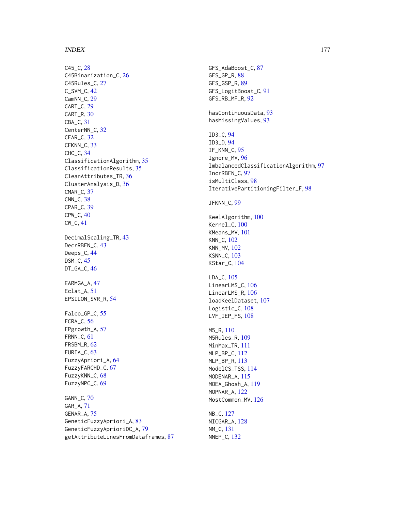#### INDEX 177

C45\_C, [28](#page-27-0) C45Binarization\_C, [26](#page-25-0) C45Rules\_C, [27](#page-26-0) C\_SVM\_C, [42](#page-41-0) CamNN<sub></sub>C, [29](#page-28-0) CART\_C, [29](#page-28-0) CART\_R, [30](#page-29-0) CBA\_C, [31](#page-30-0) CenterNN\_C, [32](#page-31-0) CFAR\_C, [32](#page-31-0) CFKNN\_C, [33](#page-32-0) CHC\_C, [34](#page-33-0) ClassificationAlgorithm, [35](#page-34-0) ClassificationResults, [35](#page-34-0) CleanAttributes\_TR, [36](#page-35-0) ClusterAnalysis\_D, [36](#page-35-0) CMAR\_C, [37](#page-36-0) CNN\_C, [38](#page-37-0) CPAR\_C, [39](#page-38-0) CPW\_C, [40](#page-39-0) CW\_C, [41](#page-40-0) DecimalScaling\_TR, [43](#page-42-0) DecrRBFN\_C, [43](#page-42-0) Deeps\_C, [44](#page-43-0) DSM\_C, [45](#page-44-0) DT\_GA\_C, [46](#page-45-0) EARMGA\_A, [47](#page-46-0) Eclat\_A, [51](#page-50-0) EPSILON\_SVR\_R, [54](#page-53-0) Falco GP C, [55](#page-54-0) FCRA\_C, [56](#page-55-0) FPgrowth\_A, [57](#page-56-0) FRNN\_C, [61](#page-60-0) FRSBM\_R, [62](#page-61-0) FURIA\_C, [63](#page-62-0) FuzzyApriori\_A, [64](#page-63-0) FuzzyFARCHD\_C, [67](#page-66-0) FuzzyKNN\_C, [68](#page-67-0) FuzzyNPC\_C, [69](#page-68-0) GANN\_C, [70](#page-69-0) GAR\_A, [71](#page-70-0) GENAR\_A, [75](#page-74-0) GeneticFuzzyApriori\_A, [83](#page-82-0) GeneticFuzzyAprioriDC\_A, [79](#page-78-0)

getAttributeLinesFromDataframes, [87](#page-86-0)

GFS\_AdaBoost\_C, [87](#page-86-0) GFS\_GP\_R, [88](#page-87-0) GFS\_GSP\_R, [89](#page-88-0) GFS\_LogitBoost\_C, [91](#page-90-0) GFS\_RB\_MF\_R, [92](#page-91-0) hasContinuousData, [93](#page-92-0) hasMissingValues, [93](#page-92-0) ID3\_C, [94](#page-93-0) ID3\_D, [94](#page-93-0) IF\_KNN\_C, [95](#page-94-0) Ignore\_MV, [96](#page-95-0) ImbalancedClassificationAlgorithm, [97](#page-96-0) IncrRBFN\_C, [97](#page-96-0) isMultiClass, [98](#page-97-0) IterativePartitioningFilter\_F, [98](#page-97-0) JFKNN\_C, [99](#page-98-0) KeelAlgorithm, [100](#page-99-0) Kernel\_C, [100](#page-99-0) KMeans\_MV, [101](#page-100-0) KNN\_C, [102](#page-101-0) KNN\_MV, [102](#page-101-0) KSNN\_C, [103](#page-102-0) KStar\_C, [104](#page-103-0) LDA\_C, [105](#page-104-0) LinearLMS\_C, [106](#page-105-0) LinearLMS\_R, [106](#page-105-0) loadKeelDataset, [107](#page-106-0) Logistic\_C, [108](#page-107-0) LVF\_IEP\_FS, [108](#page-107-0) M5\_R, [110](#page-109-0) M5Rules\_R, [109](#page-108-0) MinMax\_TR, [111](#page-110-0) MLP\_BP\_C, [112](#page-111-0) MLP\_BP\_R, [113](#page-112-0) ModelCS\_TSS, [114](#page-113-0) MODENAR\_A, [115](#page-114-0) MOEA\_Ghosh\_A, [119](#page-118-0) MOPNAR\_A, [122](#page-121-0) MostCommon\_MV, [126](#page-125-0) NB\_C, [127](#page-126-0) NICGAR\_A, [128](#page-127-0) NM\_C, [131](#page-130-0) NNEP\_C, [132](#page-131-0)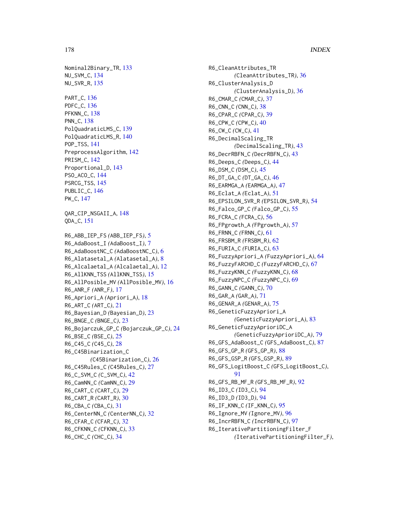Nominal2Binary\_TR, [133](#page-132-0) NU\_SVM\_C, [134](#page-133-0) NU\_SVR\_R, [135](#page-134-0) PART\_C, [136](#page-135-0) PDFC\_C, [136](#page-135-0) PFKNN\_C, [138](#page-137-0) PNN\_C, [138](#page-137-0) PolQuadraticLMS\_C, [139](#page-138-0) PolQuadraticLMS\_R, [140](#page-139-0) POP\_TSS, [141](#page-140-0) PreprocessAlgorithm, [142](#page-141-0) PRISM\_C, [142](#page-141-0) Proportional\_D, [143](#page-142-0) PSO\_ACO\_C, [144](#page-143-0) PSRCG\_TSS, [145](#page-144-0) PUBLIC\_C, [146](#page-145-0) PW\_C, [147](#page-146-0) QAR\_CIP\_NSGAII\_A, [148](#page-147-0) QDA\_C, [151](#page-150-0) R6\_ABB\_IEP\_FS *(*ABB\_IEP\_FS*)*, [5](#page-4-0) R6\_AdaBoost\_I *(*AdaBoost\_I*)*, [7](#page-6-0) R6\_AdaBoostNC\_C *(*AdaBoostNC\_C*)*, [6](#page-5-0) R6\_Alatasetal\_A *(*Alatasetal\_A*)*, [8](#page-7-0) R6\_Alcalaetal\_A *(*Alcalaetal\_A*)*, [12](#page-11-0) R6\_AllKNN\_TSS *(*AllKNN\_TSS*)*, [15](#page-14-0) R6\_AllPosible\_MV *(*AllPosible\_MV*)*, [16](#page-15-0) R6\_ANR\_F *(*ANR\_F*)*, [17](#page-16-0) R6\_Apriori\_A *(*Apriori\_A*)*, [18](#page-17-0) R6\_ART\_C *(*ART\_C*)*, [21](#page-20-0) R6\_Bayesian\_D *(*Bayesian\_D*)*, [23](#page-22-0) R6\_BNGE\_C *(*BNGE\_C*)*, [23](#page-22-0) R6\_Bojarczuk\_GP\_C *(*Bojarczuk\_GP\_C*)*, [24](#page-23-0) R6\_BSE\_C *(*BSE\_C*)*, [25](#page-24-0) R6\_C45\_C *(*C45\_C*)*, [28](#page-27-0) R6\_C45Binarization\_C *(*C45Binarization\_C*)*, [26](#page-25-0) R6\_C45Rules\_C *(*C45Rules\_C*)*, [27](#page-26-0) R6\_C\_SVM\_C *(*C\_SVM\_C*)*, [42](#page-41-0) R6\_CamNN\_C *(*CamNN\_C*)*, [29](#page-28-0) R6\_CART\_C *(*CART\_C*)*, [29](#page-28-0) R6\_CART\_R *(*CART\_R*)*, [30](#page-29-0) R6\_CBA\_C *(*CBA\_C*)*, [31](#page-30-0) R6\_CenterNN\_C *(*CenterNN\_C*)*, [32](#page-31-0) R6\_CFAR\_C *(*CFAR\_C*)*, [32](#page-31-0) R6\_CFKNN\_C *(*CFKNN\_C*)*, [33](#page-32-0) R6\_CHC\_C *(*CHC\_C*)*, [34](#page-33-0)

R6\_CleanAttributes\_TR *(*CleanAttributes\_TR*)*, [36](#page-35-0) R6\_ClusterAnalysis\_D *(*ClusterAnalysis\_D*)*, [36](#page-35-0) R6\_CMAR\_C *(*CMAR\_C*)*, [37](#page-36-0) R6\_CNN\_C *(*CNN\_C*)*, [38](#page-37-0) R6\_CPAR\_C *(*CPAR\_C*)*, [39](#page-38-0) R6\_CPW\_C *(*CPW\_C*)*, [40](#page-39-0) R6\_CW\_C *(*CW\_C*)*, [41](#page-40-0) R6\_DecimalScaling\_TR *(*DecimalScaling\_TR*)*, [43](#page-42-0) R6\_DecrRBFN\_C *(*DecrRBFN\_C*)*, [43](#page-42-0) R6\_Deeps\_C *(*Deeps\_C*)*, [44](#page-43-0) R6\_DSM\_C *(*DSM\_C*)*, [45](#page-44-0) R6\_DT\_GA\_C *(*DT\_GA\_C*)*, [46](#page-45-0) R6\_EARMGA\_A *(*EARMGA\_A*)*, [47](#page-46-0) R6\_Eclat\_A *(*Eclat\_A*)*, [51](#page-50-0) R6\_EPSILON\_SVR\_R *(*EPSILON\_SVR\_R*)*, [54](#page-53-0) R6\_Falco\_GP\_C *(*Falco\_GP\_C*)*, [55](#page-54-0) R6\_FCRA\_C *(*FCRA\_C*)*, [56](#page-55-0) R6\_FPgrowth\_A *(*FPgrowth\_A*)*, [57](#page-56-0) R6\_FRNN\_C *(*FRNN\_C*)*, [61](#page-60-0) R6\_FRSBM\_R *(*FRSBM\_R*)*, [62](#page-61-0) R6\_FURIA\_C *(*FURIA\_C*)*, [63](#page-62-0) R6\_FuzzyApriori\_A *(*FuzzyApriori\_A*)*, [64](#page-63-0) R6\_FuzzyFARCHD\_C *(*FuzzyFARCHD\_C*)*, [67](#page-66-0) R6\_FuzzyKNN\_C *(*FuzzyKNN\_C*)*, [68](#page-67-0) R6\_FuzzyNPC\_C *(*FuzzyNPC\_C*)*, [69](#page-68-0) R6\_GANN\_C *(*GANN\_C*)*, [70](#page-69-0) R6\_GAR\_A *(*GAR\_A*)*, [71](#page-70-0) R6\_GENAR\_A *(*GENAR\_A*)*, [75](#page-74-0) R6\_GeneticFuzzyApriori\_A *(*GeneticFuzzyApriori\_A*)*, [83](#page-82-0) R6\_GeneticFuzzyAprioriDC\_A *(*GeneticFuzzyAprioriDC\_A*)*, [79](#page-78-0) R6\_GFS\_AdaBoost\_C *(*GFS\_AdaBoost\_C*)*, [87](#page-86-0) R6\_GFS\_GP\_R *(*GFS\_GP\_R*)*, [88](#page-87-0) R6\_GFS\_GSP\_R *(*GFS\_GSP\_R*)*, [89](#page-88-0) R6\_GFS\_LogitBoost\_C *(*GFS\_LogitBoost\_C*)*, [91](#page-90-0) R6\_GFS\_RB\_MF\_R *(*GFS\_RB\_MF\_R*)*, [92](#page-91-0) R6\_ID3\_C *(*ID3\_C*)*, [94](#page-93-0) R6\_ID3\_D *(*ID3\_D*)*, [94](#page-93-0) R6\_IF\_KNN\_C *(*IF\_KNN\_C*)*, [95](#page-94-0) R6\_Ignore\_MV *(*Ignore\_MV*)*, [96](#page-95-0) R6\_IncrRBFN\_C *(*IncrRBFN\_C*)*, [97](#page-96-0) R6\_IterativePartitioningFilter\_F *(*IterativePartitioningFilter\_F*)*,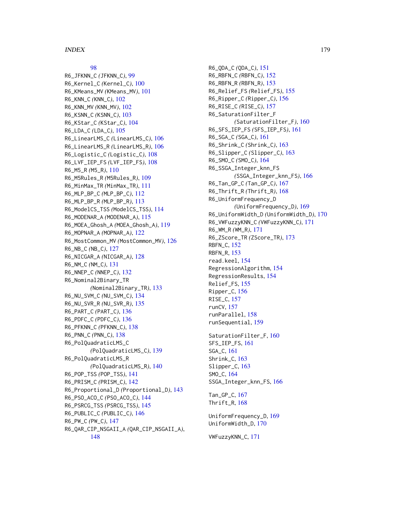#### INDEX 279

# [98](#page-97-0)

R6\_JFKNN\_C *(*JFKNN\_C*)*, [99](#page-98-0) R6\_Kernel\_C *(*Kernel\_C*)*, [100](#page-99-0) R6\_KMeans\_MV *(*KMeans\_MV*)*, [101](#page-100-0) R6\_KNN\_C *(*KNN\_C*)*, [102](#page-101-0) R6\_KNN\_MV *(*KNN\_MV*)*, [102](#page-101-0) R6\_KSNN\_C *(*KSNN\_C*)*, [103](#page-102-0) R6\_KStar\_C *(*KStar\_C*)*, [104](#page-103-0) R6\_LDA\_C *(*LDA\_C*)*, [105](#page-104-0) R6\_LinearLMS\_C *(*LinearLMS\_C*)*, [106](#page-105-0) R6\_LinearLMS\_R *(*LinearLMS\_R*)*, [106](#page-105-0) R6\_Logistic\_C *(*Logistic\_C*)*, [108](#page-107-0) R6\_LVF\_IEP\_FS *(*LVF\_IEP\_FS*)*, [108](#page-107-0) R6\_M5\_R *(*M5\_R*)*, [110](#page-109-0) R6\_M5Rules\_R *(*M5Rules\_R*)*, [109](#page-108-0) R6\_MinMax\_TR *(*MinMax\_TR*)*, [111](#page-110-0) R6\_MLP\_BP\_C *(*MLP\_BP\_C*)*, [112](#page-111-0) R6\_MLP\_BP\_R *(*MLP\_BP\_R*)*, [113](#page-112-0) R6\_ModelCS\_TSS *(*ModelCS\_TSS*)*, [114](#page-113-0) R6\_MODENAR\_A *(*MODENAR\_A*)*, [115](#page-114-0) R6\_MOEA\_Ghosh\_A *(*MOEA\_Ghosh\_A*)*, [119](#page-118-0) R6\_MOPNAR\_A *(*MOPNAR\_A*)*, [122](#page-121-0) R6\_MostCommon\_MV *(*MostCommon\_MV*)*, [126](#page-125-0) R6\_NB\_C *(*NB\_C*)*, [127](#page-126-0) R6\_NICGAR\_A *(*NICGAR\_A*)*, [128](#page-127-0) R6\_NM\_C *(*NM\_C*)*, [131](#page-130-0) R6\_NNEP\_C *(*NNEP\_C*)*, [132](#page-131-0) R6\_Nominal2Binary\_TR *(*Nominal2Binary\_TR*)*, [133](#page-132-0) R6\_NU\_SVM\_C *(*NU\_SVM\_C*)*, [134](#page-133-0) R6\_NU\_SVR\_R *(*NU\_SVR\_R*)*, [135](#page-134-0) R6\_PART\_C *(*PART\_C*)*, [136](#page-135-0) R6\_PDFC\_C *(*PDFC\_C*)*, [136](#page-135-0) R6\_PFKNN\_C *(*PFKNN\_C*)*, [138](#page-137-0) R6\_PNN\_C *(*PNN\_C*)*, [138](#page-137-0) R6\_PolQuadraticLMS\_C *(*PolQuadraticLMS\_C*)*, [139](#page-138-0) R6\_PolQuadraticLMS\_R *(*PolQuadraticLMS\_R*)*, [140](#page-139-0) R6\_POP\_TSS *(*POP\_TSS*)*, [141](#page-140-0) R6\_PRISM\_C *(*PRISM\_C*)*, [142](#page-141-0) R6\_Proportional\_D *(*Proportional\_D*)*, [143](#page-142-0) R6\_PSO\_ACO\_C *(*PSO\_ACO\_C*)*, [144](#page-143-0) R6\_PSRCG\_TSS *(*PSRCG\_TSS*)*, [145](#page-144-0) R6\_PUBLIC\_C *(*PUBLIC\_C*)*, [146](#page-145-0) R6\_PW\_C *(*PW\_C*)*, [147](#page-146-0) R6\_QAR\_CIP\_NSGAII\_A *(*QAR\_CIP\_NSGAII\_A*)*, [148](#page-147-0)

R6\_QDA\_C *(*QDA\_C*)*, [151](#page-150-0) R6\_RBFN\_C *(*RBFN\_C*)*, [152](#page-151-0) R6\_RBFN\_R *(*RBFN\_R*)*, [153](#page-152-0) R6\_Relief\_FS *(*Relief\_FS*)*, [155](#page-154-0) R6\_Ripper\_C *(*Ripper\_C*)*, [156](#page-155-0) R6\_RISE\_C *(*RISE\_C*)*, [157](#page-156-0) R6\_SaturationFilter\_F *(*SaturationFilter\_F*)*, [160](#page-159-0) R6\_SFS\_IEP\_FS *(*SFS\_IEP\_FS*)*, [161](#page-160-0) R6\_SGA\_C *(*SGA\_C*)*, [161](#page-160-0) R6\_Shrink\_C *(*Shrink\_C*)*, [163](#page-162-0) R6\_Slipper\_C *(*Slipper\_C*)*, [163](#page-162-0) R6\_SMO\_C *(*SMO\_C*)*, [164](#page-163-0) R6\_SSGA\_Integer\_knn\_FS *(*SSGA\_Integer\_knn\_FS*)*, [166](#page-165-0) R6\_Tan\_GP\_C *(*Tan\_GP\_C*)*, [167](#page-166-0) R6\_Thrift\_R *(*Thrift\_R*)*, [168](#page-167-0) R6\_UniformFrequency\_D *(*UniformFrequency\_D*)*, [169](#page-168-0) R6\_UniformWidth\_D *(*UniformWidth\_D*)*, [170](#page-169-0) R6\_VWFuzzyKNN\_C *(*VWFuzzyKNN\_C*)*, [171](#page-170-0) R6\_WM\_R *(*WM\_R*)*, [171](#page-170-0) R6\_ZScore\_TR *(*ZScore\_TR*)*, [173](#page-172-0) RBFN\_C, [152](#page-151-0) RBFN\_R, [153](#page-152-0) read.keel, [154](#page-153-0) RegressionAlgorithm, [154](#page-153-0) RegressionResults, [154](#page-153-0) Relief\_FS, [155](#page-154-0) Ripper\_C, [156](#page-155-0) RISE\_C, [157](#page-156-0) runCV, [157](#page-156-0) runParallel, [158](#page-157-0) runSequential, [159](#page-158-0) SaturationFilter\_F, [160](#page-159-0) SFS\_IEP\_FS, [161](#page-160-0) SGA\_C, [161](#page-160-0) Shrink\_C, [163](#page-162-0) Slipper\_C, [163](#page-162-0) SMO\_C, [164](#page-163-0) SSGA\_Integer\_knn\_FS, [166](#page-165-0) Tan\_GP\_C, [167](#page-166-0) Thrift\_R, [168](#page-167-0) UniformFrequency\_D, [169](#page-168-0)

UniformWidth\_D, [170](#page-169-0)

VWFuzzyKNN\_C, [171](#page-170-0)